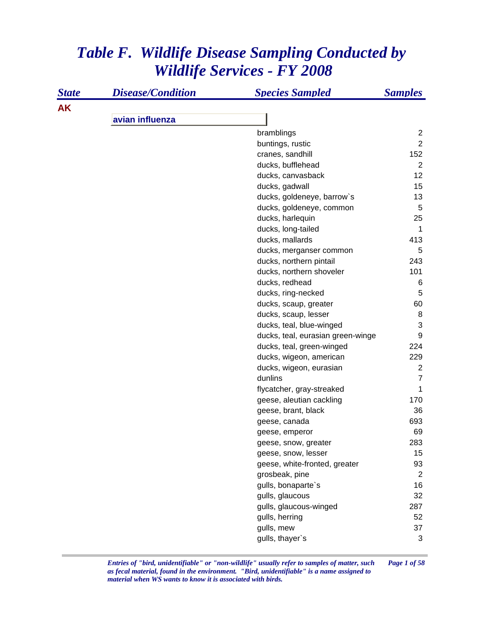## *Table F. Wildlife Disease Sampling Conducted by Wildlife Services - FY 2008*

| <b>State</b> | <b>Disease/Condition</b> | <b>Species Sampled</b>            | <b>Samples</b> |
|--------------|--------------------------|-----------------------------------|----------------|
| <b>AK</b>    |                          |                                   |                |
|              | avian influenza          |                                   |                |
|              |                          | bramblings                        | $\overline{2}$ |
|              |                          | buntings, rustic                  | $\overline{2}$ |
|              |                          | cranes, sandhill                  | 152            |
|              |                          | ducks, bufflehead                 | $\overline{2}$ |
|              |                          | ducks, canvasback                 | 12             |
|              |                          | ducks, gadwall                    | 15             |
|              |                          | ducks, goldeneye, barrow's        | 13             |
|              |                          | ducks, goldeneye, common          | 5              |
|              |                          | ducks, harlequin                  | 25             |
|              |                          | ducks, long-tailed                | 1              |
|              |                          | ducks, mallards                   | 413            |
|              |                          | ducks, merganser common           | 5              |
|              |                          | ducks, northern pintail           | 243            |
|              |                          | ducks, northern shoveler          | 101            |
|              |                          | ducks, redhead                    | 6              |
|              |                          | ducks, ring-necked                | 5              |
|              |                          | ducks, scaup, greater             | 60             |
|              |                          | ducks, scaup, lesser              | 8              |
|              |                          | ducks, teal, blue-winged          | 3              |
|              |                          | ducks, teal, eurasian green-winge | 9              |
|              |                          | ducks, teal, green-winged         | 224            |
|              |                          | ducks, wigeon, american           | 229            |
|              |                          | ducks, wigeon, eurasian           | $\overline{2}$ |
|              |                          | dunlins                           | $\overline{7}$ |
|              |                          | flycatcher, gray-streaked         | 1              |
|              |                          | geese, aleutian cackling          | 170            |
|              |                          | geese, brant, black               | 36             |
|              |                          | geese, canada                     | 693            |
|              |                          | geese, emperor                    | 69             |
|              |                          | geese, snow, greater              | 283            |
|              |                          | geese, snow, lesser               | 15             |
|              |                          | geese, white-fronted, greater     | 93             |
|              |                          | grosbeak, pine                    | 2              |
|              |                          | gulls, bonaparte's                | 16             |
|              |                          | gulls, glaucous                   | 32             |
|              |                          | gulls, glaucous-winged            | 287            |
|              |                          | gulls, herring                    | 52             |
|              |                          | gulls, mew                        | 37             |
|              |                          | gulls, thayer's                   | 3              |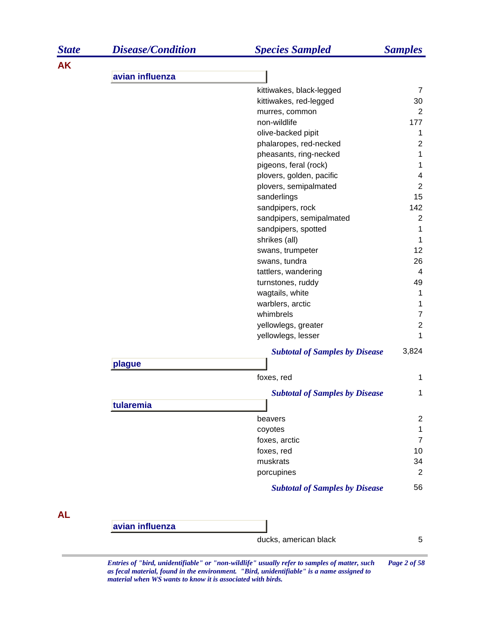| <b>State</b> | <b>Disease/Condition</b> | <b>Species Sampled</b>                | <b>Samples</b>          |
|--------------|--------------------------|---------------------------------------|-------------------------|
| <b>AK</b>    |                          |                                       |                         |
|              | avian influenza          |                                       |                         |
|              |                          | kittiwakes, black-legged              | $\overline{7}$          |
|              |                          | kittiwakes, red-legged                | 30                      |
|              |                          | murres, common                        | $\overline{2}$          |
|              |                          | non-wildlife                          | 177                     |
|              |                          | olive-backed pipit                    | 1                       |
|              |                          | phalaropes, red-necked                | $\overline{\mathbf{c}}$ |
|              |                          | pheasants, ring-necked                | $\mathbf 1$             |
|              |                          | pigeons, feral (rock)                 | $\mathbf 1$             |
|              |                          | plovers, golden, pacific              | 4                       |
|              |                          | plovers, semipalmated                 | $\boldsymbol{2}$<br>15  |
|              |                          | sanderlings<br>sandpipers, rock       | 142                     |
|              |                          | sandpipers, semipalmated              | $\overline{2}$          |
|              |                          | sandpipers, spotted                   | 1                       |
|              |                          | shrikes (all)                         | 1                       |
|              |                          | swans, trumpeter                      | 12                      |
|              |                          | swans, tundra                         | 26                      |
|              |                          | tattlers, wandering                   | 4                       |
|              |                          | turnstones, ruddy                     | 49                      |
|              |                          | wagtails, white                       | 1                       |
|              |                          | warblers, arctic                      | 1                       |
|              |                          | whimbrels                             | $\boldsymbol{7}$        |
|              |                          | yellowlegs, greater                   | $\overline{2}$          |
|              |                          | yellowlegs, lesser                    | 1                       |
|              |                          | <b>Subtotal of Samples by Disease</b> | 3,824                   |
|              | plague                   |                                       |                         |
|              |                          | foxes, red                            | 1                       |
|              |                          | <b>Subtotal of Samples by Disease</b> | 1                       |
|              | tularemia                |                                       |                         |
|              |                          | beavers                               | $\overline{c}$          |
|              |                          | coyotes                               | $\mathbf 1$             |
|              |                          | foxes, arctic                         | $\overline{7}$          |
|              |                          | foxes, red                            | 10                      |
|              |                          | muskrats                              | 34                      |
|              |                          | porcupines                            | $\overline{2}$          |
|              |                          | <b>Subtotal of Samples by Disease</b> | 56                      |
| <b>AL</b>    |                          |                                       |                         |
|              | avian influenza          |                                       |                         |
|              |                          | ducks, american black                 | 5                       |

*Entries of "bird, unidentifiable" or "non-wildlife" usually refer to samples of matter, such Page 2 of 58 as fecal material, found in the environment. "Bird, unidentifiable" is a name assigned to material when WS wants to know it is associated with birds.*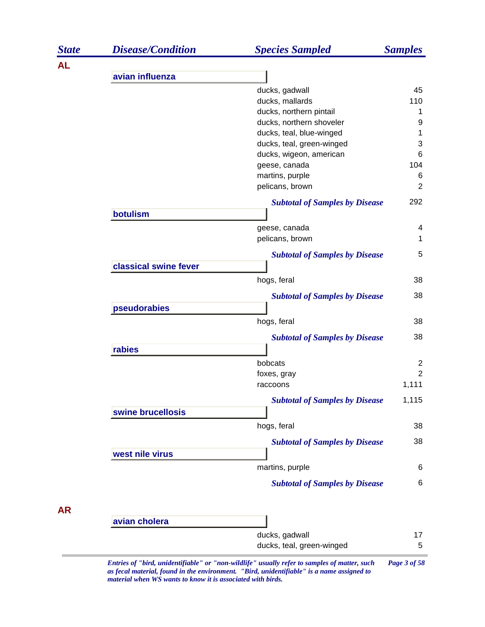| <b>State</b> | <b>Disease/Condition</b> | <b>Species Sampled</b>                | <b>Samples</b> |
|--------------|--------------------------|---------------------------------------|----------------|
| <b>AL</b>    |                          |                                       |                |
|              | avian influenza          |                                       |                |
|              |                          | ducks, gadwall                        | 45             |
|              |                          | ducks, mallards                       | 110            |
|              |                          | ducks, northern pintail               | 1              |
|              |                          | ducks, northern shoveler              | 9              |
|              |                          | ducks, teal, blue-winged              | 1              |
|              |                          | ducks, teal, green-winged             | 3              |
|              |                          | ducks, wigeon, american               | 6              |
|              |                          | geese, canada                         | 104            |
|              |                          | martins, purple                       | 6              |
|              |                          | pelicans, brown                       | 2              |
|              |                          | <b>Subtotal of Samples by Disease</b> | 292            |
|              | botulism                 |                                       |                |
|              |                          | geese, canada                         | 4              |
|              |                          | pelicans, brown                       | 1              |
|              |                          | <b>Subtotal of Samples by Disease</b> | 5              |
|              | classical swine fever    |                                       |                |
|              |                          | hogs, feral                           | 38             |
|              |                          | <b>Subtotal of Samples by Disease</b> | 38             |
|              | pseudorabies             |                                       |                |
|              |                          | hogs, feral                           | 38             |
|              |                          | <b>Subtotal of Samples by Disease</b> | 38             |
|              | rabies                   |                                       |                |
|              |                          | bobcats                               | $\overline{c}$ |
|              |                          | foxes, gray                           | $\overline{2}$ |
|              |                          | raccoons                              | 1,111          |
|              |                          | <b>Subtotal of Samples by Disease</b> | 1,115          |
|              | swine brucellosis        |                                       |                |
|              |                          | hogs, feral                           | 38             |
|              |                          | <b>Subtotal of Samples by Disease</b> | 38             |
|              | west nile virus          |                                       |                |
|              |                          | martins, purple                       | 6              |
|              |                          | <b>Subtotal of Samples by Disease</b> | 6              |
|              |                          |                                       |                |
| <b>AR</b>    |                          |                                       |                |
|              | avian cholera            |                                       |                |
|              |                          | ducks, gadwall                        | 17             |
|              |                          | ducks, teal, green-winged             | 5              |

*Entries of "bird, unidentifiable" or "non-wildlife" usually refer to samples of matter, such Page 3 of 58 as fecal material, found in the environment. "Bird, unidentifiable" is a name assigned to material when WS wants to know it is associated with birds.*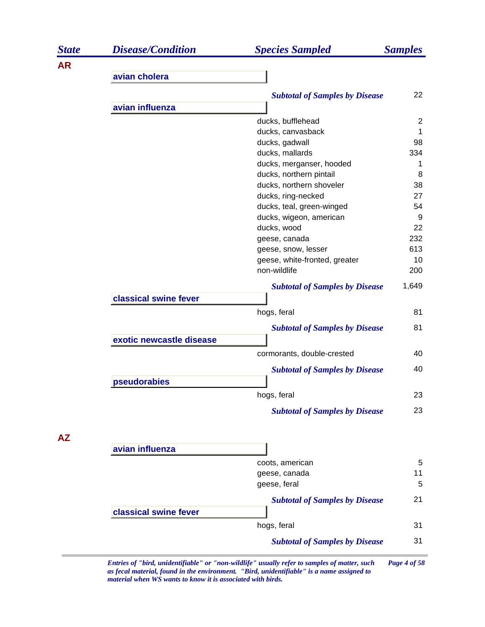| <b>State</b> | <b>Disease/Condition</b> | <b>Species Sampled</b>                | <b>Samples</b> |
|--------------|--------------------------|---------------------------------------|----------------|
| <b>AR</b>    |                          |                                       |                |
|              | avian cholera            |                                       |                |
|              |                          | <b>Subtotal of Samples by Disease</b> | 22             |
|              | avian influenza          |                                       |                |
|              |                          | ducks, bufflehead                     | $\overline{2}$ |
|              |                          | ducks, canvasback                     | 1              |
|              |                          | ducks, gadwall                        | 98             |
|              |                          | ducks, mallards                       | 334            |
|              |                          | ducks, merganser, hooded              | 1              |
|              |                          | ducks, northern pintail               | 8              |
|              |                          | ducks, northern shoveler              | 38             |
|              |                          | ducks, ring-necked                    | 27             |
|              |                          | ducks, teal, green-winged             | 54             |
|              |                          | ducks, wigeon, american               | 9              |
|              |                          | ducks, wood                           | 22             |
|              |                          | geese, canada                         | 232            |
|              |                          | geese, snow, lesser                   | 613            |
|              |                          | geese, white-fronted, greater         | 10             |
|              |                          | non-wildlife                          | 200            |
|              | classical swine fever    | <b>Subtotal of Samples by Disease</b> | 1,649          |
|              |                          |                                       |                |
|              |                          | hogs, feral                           | 81             |
|              |                          | <b>Subtotal of Samples by Disease</b> | 81             |
|              | exotic newcastle disease |                                       |                |
|              |                          | cormorants, double-crested            | 40             |
|              |                          | <b>Subtotal of Samples by Disease</b> | 40             |
|              | pseudorabies             |                                       |                |
|              |                          | hogs, feral                           | 23             |
|              |                          | <b>Subtotal of Samples by Disease</b> | 23             |
|              |                          |                                       |                |
| <b>AZ</b>    | avian influenza          |                                       |                |
|              |                          | coots, american                       |                |
|              |                          | geese, canada                         | 5<br>11        |
|              |                          | geese, feral                          | 5              |
|              |                          |                                       |                |
|              | classical swine fever    | <b>Subtotal of Samples by Disease</b> | 21             |
|              |                          | hogs, feral                           | 31             |
|              |                          | <b>Subtotal of Samples by Disease</b> | 31             |

*Entries of "bird, unidentifiable" or "non-wildlife" usually refer to samples of matter, such Page 4 of 58 as fecal material, found in the environment. "Bird, unidentifiable" is a name assigned to material when WS wants to know it is associated with birds.*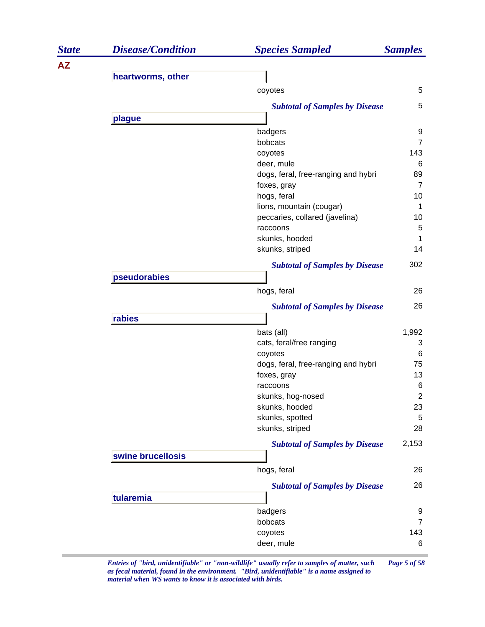| <b>State</b> | <b>Disease/Condition</b> | <b>Species Sampled</b>                  | <b>Samples</b>       |
|--------------|--------------------------|-----------------------------------------|----------------------|
| <b>AZ</b>    |                          |                                         |                      |
|              | heartworms, other        |                                         |                      |
|              |                          | coyotes                                 | 5                    |
|              |                          | <b>Subtotal of Samples by Disease</b>   | 5                    |
|              | plague                   |                                         |                      |
|              |                          | badgers                                 | 9                    |
|              |                          | bobcats                                 | $\overline{7}$       |
|              |                          | coyotes                                 | 143                  |
|              |                          | deer, mule                              | 6                    |
|              |                          | dogs, feral, free-ranging and hybri     | 89                   |
|              |                          | foxes, gray                             | $\overline{7}$       |
|              |                          | hogs, feral<br>lions, mountain (cougar) | 10<br>$\mathbf 1$    |
|              |                          | peccaries, collared (javelina)          | 10                   |
|              |                          | raccoons                                | 5                    |
|              |                          | skunks, hooded                          | 1                    |
|              |                          | skunks, striped                         | 14                   |
|              |                          | <b>Subtotal of Samples by Disease</b>   | 302                  |
|              | pseudorabies             |                                         |                      |
|              |                          | hogs, feral                             | 26                   |
|              |                          | <b>Subtotal of Samples by Disease</b>   | 26                   |
|              | rabies                   |                                         |                      |
|              |                          | bats (all)                              | 1,992                |
|              |                          | cats, feral/free ranging                | 3                    |
|              |                          | coyotes                                 | 6                    |
|              |                          | dogs, feral, free-ranging and hybri     | 75                   |
|              |                          | foxes, gray                             | 13                   |
|              |                          | raccoons                                | $\,6$                |
|              |                          | skunks, hog-nosed<br>skunks, hooded     | $\overline{2}$<br>23 |
|              |                          | skunks, spotted                         | 5                    |
|              |                          | skunks, striped                         | 28                   |
|              |                          | <b>Subtotal of Samples by Disease</b>   | 2,153                |
|              | swine brucellosis        |                                         |                      |
|              |                          | hogs, feral                             | 26                   |
|              |                          | <b>Subtotal of Samples by Disease</b>   | 26                   |
|              | tularemia                |                                         |                      |
|              |                          | badgers                                 | 9                    |
|              |                          | bobcats                                 | $\overline{7}$       |
|              |                          | coyotes                                 | 143                  |
|              |                          | deer, mule                              | 6                    |
|              |                          |                                         |                      |

*Entries of "bird, unidentifiable" or "non-wildlife" usually refer to samples of matter, such Page 5 of 58 as fecal material, found in the environment. "Bird, unidentifiable" is a name assigned to material when WS wants to know it is associated with birds.*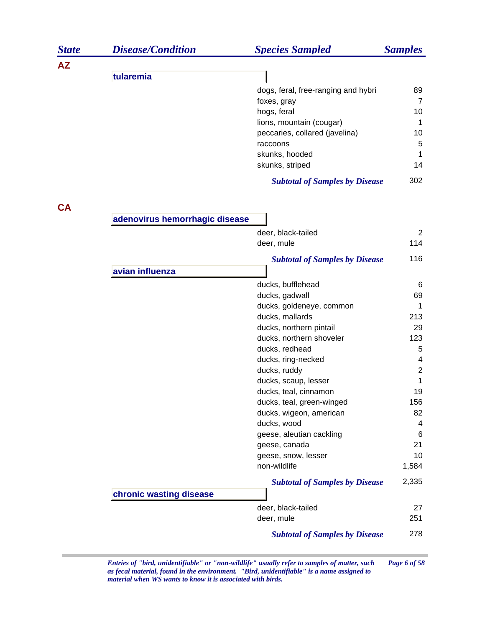| <b>State</b> | <b>Disease/Condition</b>       | <b>Species Sampled</b>                | <b>Samples</b> |
|--------------|--------------------------------|---------------------------------------|----------------|
| <b>AZ</b>    |                                |                                       |                |
|              | tularemia                      |                                       |                |
|              |                                | dogs, feral, free-ranging and hybri   | 89             |
|              |                                | foxes, gray                           | $\overline{7}$ |
|              |                                | hogs, feral                           | 10             |
|              |                                | lions, mountain (cougar)              | 1              |
|              |                                | peccaries, collared (javelina)        | 10             |
|              |                                | raccoons                              | 5              |
|              |                                | skunks, hooded                        | 1              |
|              |                                | skunks, striped                       | 14             |
|              |                                | <b>Subtotal of Samples by Disease</b> | 302            |
| <b>CA</b>    |                                |                                       |                |
|              | adenovirus hemorrhagic disease |                                       |                |
|              |                                | deer, black-tailed                    | $\overline{2}$ |
|              |                                | deer, mule                            | 114            |
|              |                                | <b>Subtotal of Samples by Disease</b> | 116            |
|              | avian influenza                |                                       |                |
|              |                                | ducks, bufflehead                     | 6              |
|              |                                | ducks, gadwall                        | 69             |
|              |                                | ducks, goldeneye, common              | 1              |
|              |                                | ducks, mallards                       | 213            |
|              |                                | ducks, northern pintail               | 29             |
|              |                                | ducks, northern shoveler              | 123            |
|              |                                | ducks, redhead                        | 5              |
|              |                                | ducks, ring-necked                    | 4              |
|              |                                | ducks, ruddy                          | $\overline{2}$ |
|              |                                | ducks, scaup, lesser                  | 1              |
|              |                                | ducks, teal, cinnamon                 | 19             |
|              |                                | ducks, teal, green-winged             | 156            |
|              |                                | ducks, wigeon, american               | 82             |
|              |                                | ducks, wood                           | 4              |
|              |                                | geese, aleutian cackling              | 6              |
|              |                                | geese, canada                         | 21             |
|              |                                | geese, snow, lesser<br>non-wildlife   | 10             |
|              |                                |                                       | 1,584          |
|              |                                | <b>Subtotal of Samples by Disease</b> | 2,335          |
|              | chronic wasting disease        |                                       |                |
|              |                                | deer, black-tailed                    | 27             |
|              |                                | deer, mule                            | 251            |
|              |                                | <b>Subtotal of Samples by Disease</b> | 278            |

*Entries of "bird, unidentifiable" or "non-wildlife" usually refer to samples of matter, such Page 6 of 58 as fecal material, found in the environment. "Bird, unidentifiable" is a name assigned to material when WS wants to know it is associated with birds.*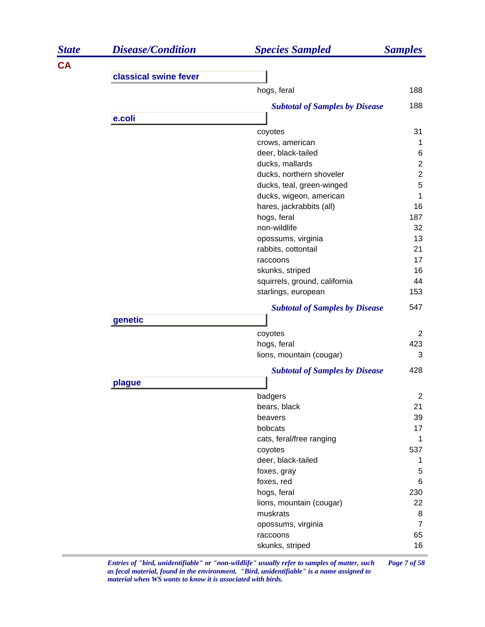| <b>State</b> | <b>Disease/Condition</b> | <b>Species Sampled</b>                  | <b>Samples</b> |
|--------------|--------------------------|-----------------------------------------|----------------|
| <b>CA</b>    |                          |                                         |                |
|              | classical swine fever    |                                         |                |
|              |                          | hogs, feral                             | 188            |
|              |                          | <b>Subtotal of Samples by Disease</b>   | 188            |
|              | e.coli                   |                                         |                |
|              |                          | coyotes                                 | 31             |
|              |                          | crows, american                         | 1              |
|              |                          | deer, black-tailed                      | 6              |
|              |                          | ducks, mallards                         | $\overline{2}$ |
|              |                          | ducks, northern shoveler                | $\overline{c}$ |
|              |                          | ducks, teal, green-winged               | 5              |
|              |                          | ducks, wigeon, american                 | 1              |
|              |                          | hares, jackrabbits (all)                | 16             |
|              |                          | hogs, feral<br>non-wildlife             | 187<br>32      |
|              |                          | opossums, virginia                      | 13             |
|              |                          | rabbits, cottontail                     | 21             |
|              |                          | raccoons                                | 17             |
|              |                          | skunks, striped                         | 16             |
|              |                          | squirrels, ground, california           | 44             |
|              |                          | starlings, european                     | 153            |
|              |                          | <b>Subtotal of Samples by Disease</b>   | 547            |
|              | genetic                  |                                         |                |
|              |                          | coyotes                                 | $\overline{2}$ |
|              |                          | hogs, feral                             | 423            |
|              |                          | lions, mountain (cougar)                | 3              |
|              |                          | <b>Subtotal of Samples by Disease</b>   | 428            |
|              | plague                   |                                         |                |
|              |                          | badgers                                 | $\overline{c}$ |
|              |                          | bears, black                            | 21             |
|              |                          | beavers                                 | 39             |
|              |                          | bobcats                                 | 17             |
|              |                          | cats, feral/free ranging                | $\mathbf{1}$   |
|              |                          | coyotes                                 | 537            |
|              |                          | deer, black-tailed                      | 1              |
|              |                          | foxes, gray                             | 5              |
|              |                          | foxes, red                              | 6              |
|              |                          | hogs, feral<br>lions, mountain (cougar) | 230<br>22      |
|              |                          | muskrats                                | 8              |
|              |                          | opossums, virginia                      | $\overline{7}$ |
|              |                          | raccoons                                | 65             |
|              |                          | skunks, striped                         | 16             |
|              |                          |                                         |                |

*Entries of "bird, unidentifiable" or "non-wildlife" usually refer to samples of matter, such Page 7 of 58 as fecal material, found in the environment. "Bird, unidentifiable" is a name assigned to material when WS wants to know it is associated with birds.*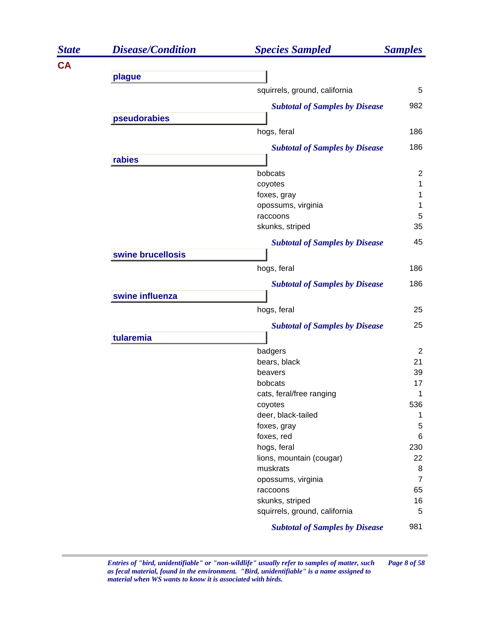| <b>State</b> | <b>Disease/Condition</b> | <b>Species Sampled</b>                           | <b>Samples</b> |
|--------------|--------------------------|--------------------------------------------------|----------------|
| <b>CA</b>    |                          |                                                  |                |
|              | plague                   |                                                  |                |
|              |                          | squirrels, ground, california                    | 5              |
|              |                          | <b>Subtotal of Samples by Disease</b>            | 982            |
|              | pseudorabies             |                                                  |                |
|              |                          | hogs, feral                                      | 186            |
|              |                          | <b>Subtotal of Samples by Disease</b>            | 186            |
|              | rabies                   |                                                  |                |
|              |                          | bobcats                                          | $\overline{2}$ |
|              |                          | coyotes                                          | 1              |
|              |                          | foxes, gray                                      | 1              |
|              |                          | opossums, virginia                               | 1              |
|              |                          | raccoons                                         | 5              |
|              |                          | skunks, striped                                  | 35             |
|              |                          | <b>Subtotal of Samples by Disease</b>            | 45             |
|              | swine brucellosis        |                                                  |                |
|              |                          | hogs, feral                                      | 186            |
|              |                          | <b>Subtotal of Samples by Disease</b>            | 186            |
|              | swine influenza          |                                                  |                |
|              |                          | hogs, feral                                      | 25             |
|              |                          | <b>Subtotal of Samples by Disease</b>            | 25             |
|              | tularemia                |                                                  |                |
|              |                          | badgers                                          | 2              |
|              |                          | bears, black                                     | 21             |
|              |                          | beavers                                          | 39             |
|              |                          | bobcats                                          | 17             |
|              |                          | cats, feral/free ranging                         | 1              |
|              |                          | coyotes                                          | 536            |
|              |                          | deer, black-tailed                               | 1              |
|              |                          | foxes, gray                                      | 5              |
|              |                          | foxes, red                                       | 6              |
|              |                          | hogs, feral                                      | 230            |
|              |                          | lions, mountain (cougar)                         | 22             |
|              |                          | muskrats                                         | 8              |
|              |                          | opossums, virginia                               | $\overline{7}$ |
|              |                          | raccoons                                         | 65             |
|              |                          | skunks, striped<br>squirrels, ground, california | 16<br>5        |
|              |                          |                                                  |                |
|              |                          | <b>Subtotal of Samples by Disease</b>            | 981            |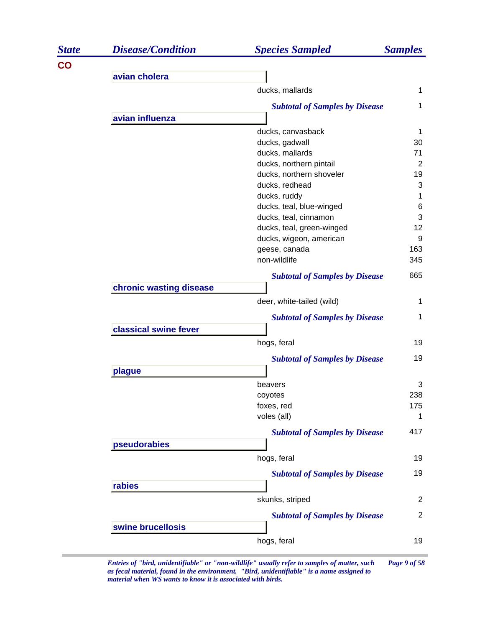| <b>State</b> | <b>Disease/Condition</b> | <b>Species Sampled</b>                | <b>Samples</b> |
|--------------|--------------------------|---------------------------------------|----------------|
| <b>CO</b>    |                          |                                       |                |
|              | avian cholera            |                                       |                |
|              |                          | ducks, mallards                       | 1              |
|              |                          | <b>Subtotal of Samples by Disease</b> | 1              |
|              | avian influenza          |                                       |                |
|              |                          | ducks, canvasback                     | 1              |
|              |                          | ducks, gadwall                        | 30             |
|              |                          | ducks, mallards                       | 71             |
|              |                          | ducks, northern pintail               | $\overline{2}$ |
|              |                          | ducks, northern shoveler              | 19             |
|              |                          | ducks, redhead                        | 3              |
|              |                          | ducks, ruddy                          | 1              |
|              |                          | ducks, teal, blue-winged              | 6              |
|              |                          | ducks, teal, cinnamon                 | 3              |
|              |                          | ducks, teal, green-winged             | 12             |
|              |                          | ducks, wigeon, american               | 9              |
|              |                          | geese, canada                         | 163            |
|              |                          | non-wildlife                          | 345            |
|              |                          | <b>Subtotal of Samples by Disease</b> | 665            |
|              | chronic wasting disease  |                                       |                |
|              |                          | deer, white-tailed (wild)             | 1              |
|              |                          | <b>Subtotal of Samples by Disease</b> | 1              |
|              | classical swine fever    |                                       |                |
|              |                          | hogs, feral                           | 19             |
|              |                          | <b>Subtotal of Samples by Disease</b> | 19             |
|              | plague                   |                                       |                |
|              |                          | beavers                               | 3              |
|              |                          | coyotes                               | 238            |
|              |                          | foxes, red                            | 175            |
|              |                          | voles (all)                           | 1              |
|              |                          | <b>Subtotal of Samples by Disease</b> | 417            |
|              | pseudorabies             |                                       |                |
|              |                          |                                       |                |
|              |                          | hogs, feral                           | 19             |
|              |                          | <b>Subtotal of Samples by Disease</b> | 19             |
|              | rabies                   |                                       |                |
|              |                          | skunks, striped                       | $\overline{2}$ |
|              |                          | <b>Subtotal of Samples by Disease</b> | $\overline{2}$ |
|              | swine brucellosis        |                                       |                |
|              |                          | hogs, feral                           | 19             |
|              |                          |                                       |                |

*Entries of "bird, unidentifiable" or "non-wildlife" usually refer to samples of matter, such Page 9 of 58 as fecal material, found in the environment. "Bird, unidentifiable" is a name assigned to material when WS wants to know it is associated with birds.*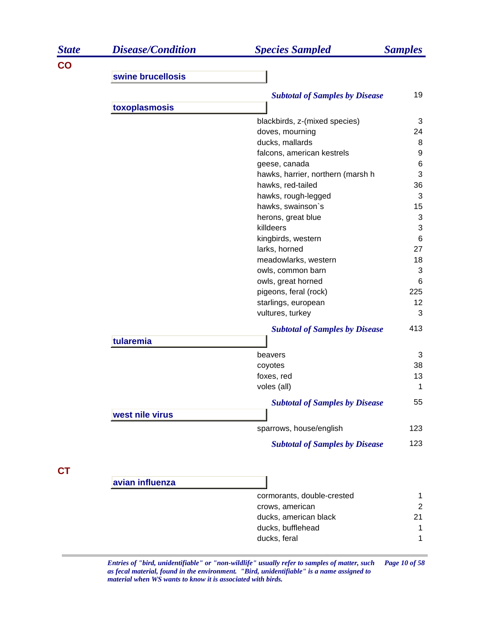| <b>State</b> | <b>Disease/Condition</b> | <b>Species Sampled</b>                   | <b>Samples</b>      |
|--------------|--------------------------|------------------------------------------|---------------------|
| CO           |                          |                                          |                     |
|              | swine brucellosis        |                                          |                     |
|              |                          | <b>Subtotal of Samples by Disease</b>    | 19                  |
|              | toxoplasmosis            |                                          |                     |
|              |                          | blackbirds, z-(mixed species)            | 3                   |
|              |                          | doves, mourning                          | 24                  |
|              |                          | ducks, mallards                          | 8                   |
|              |                          | falcons, american kestrels               | 9                   |
|              |                          | geese, canada                            | 6                   |
|              |                          | hawks, harrier, northern (marsh h        | 3                   |
|              |                          | hawks, red-tailed                        | 36                  |
|              |                          | hawks, rough-legged                      | 3                   |
|              |                          | hawks, swainson's                        | 15                  |
|              |                          | herons, great blue                       | 3                   |
|              |                          | killdeers<br>kingbirds, western          | 3<br>6              |
|              |                          | larks, horned                            | 27                  |
|              |                          | meadowlarks, western                     | 18                  |
|              |                          | owls, common barn                        | 3                   |
|              |                          | owls, great horned                       | 6                   |
|              |                          | pigeons, feral (rock)                    | 225                 |
|              |                          | starlings, european                      | 12                  |
|              |                          | vultures, turkey                         | 3                   |
|              |                          | <b>Subtotal of Samples by Disease</b>    | 413                 |
|              | tularemia                |                                          |                     |
|              |                          | beavers                                  | 3                   |
|              |                          | coyotes                                  | 38                  |
|              |                          | foxes, red                               | 13                  |
|              |                          | voles (all)                              | 1                   |
|              |                          | <b>Subtotal of Samples by Disease</b>    | 55                  |
|              | west nile virus          |                                          |                     |
|              |                          | sparrows, house/english                  | 123                 |
|              |                          | <b>Subtotal of Samples by Disease</b>    | 123                 |
|              |                          |                                          |                     |
| СT           | avian influenza          |                                          |                     |
|              |                          |                                          |                     |
|              |                          | cormorants, double-crested               | 1<br>$\overline{2}$ |
|              |                          | crows, american<br>ducks, american black | 21                  |
|              |                          | ducks, bufflehead                        | 1                   |
|              |                          | ducks, feral                             | 1                   |
|              |                          |                                          |                     |

*Entries of "bird, unidentifiable" or "non-wildlife" usually refer to samples of matter, such Page 10 of 58 as fecal material, found in the environment. "Bird, unidentifiable" is a name assigned to material when WS wants to know it is associated with birds.*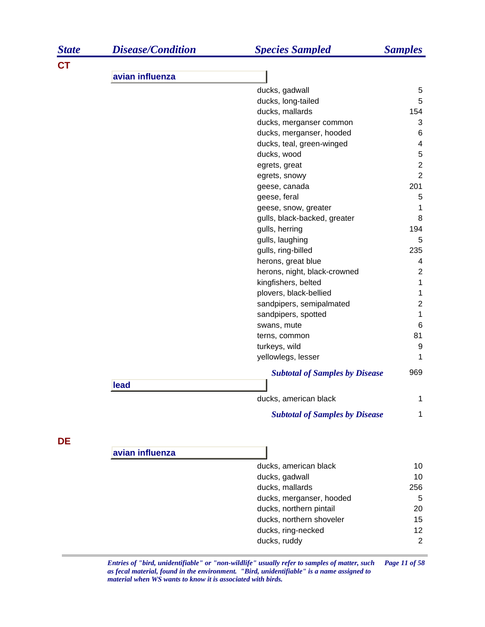| <b>State</b> | <b>Disease/Condition</b> | <b>Species Sampled</b>                | <b>Samples</b>          |
|--------------|--------------------------|---------------------------------------|-------------------------|
| <b>CT</b>    |                          |                                       |                         |
|              | avian influenza          |                                       |                         |
|              |                          | ducks, gadwall                        | 5                       |
|              |                          | ducks, long-tailed                    | 5                       |
|              |                          | ducks, mallards                       | 154                     |
|              |                          | ducks, merganser common               | 3                       |
|              |                          | ducks, merganser, hooded              | 6                       |
|              |                          | ducks, teal, green-winged             | 4                       |
|              |                          | ducks, wood                           | $\mathbf 5$             |
|              |                          | egrets, great                         | $\overline{c}$          |
|              |                          | egrets, snowy                         | $\overline{2}$          |
|              |                          | geese, canada                         | 201                     |
|              |                          | geese, feral                          | 5                       |
|              |                          | geese, snow, greater                  | 1                       |
|              |                          | gulls, black-backed, greater          | 8                       |
|              |                          | gulls, herring                        | 194                     |
|              |                          | gulls, laughing                       | 5                       |
|              |                          | gulls, ring-billed                    | 235                     |
|              |                          | herons, great blue                    | $\overline{\mathbf{4}}$ |
|              |                          | herons, night, black-crowned          | $\overline{2}$          |
|              |                          | kingfishers, belted                   | 1                       |
|              |                          | plovers, black-bellied                | 1                       |
|              |                          | sandpipers, semipalmated              | $\overline{\mathbf{c}}$ |
|              |                          | sandpipers, spotted                   | 1                       |
|              |                          | swans, mute                           | 6                       |
|              |                          | terns, common                         | 81                      |
|              |                          | turkeys, wild                         | 9                       |
|              |                          | yellowlegs, lesser                    | 1                       |
|              |                          | <b>Subtotal of Samples by Disease</b> | 969                     |
|              | lead                     |                                       |                         |
|              |                          | ducks, american black                 | 1                       |
|              |                          | <b>Subtotal of Samples by Disease</b> | 1                       |
| DE           |                          |                                       |                         |
|              | avian influenza          |                                       |                         |
|              |                          | ducks, american black                 | 10                      |
|              |                          | ducks, gadwall                        | 10                      |
|              |                          | ducks, mallards                       | 256                     |
|              |                          | ducks, merganser, hooded              | 5                       |
|              |                          | ducks, northern pintail               | 20                      |
|              |                          | ducks, northern shoveler              | 15                      |
|              |                          | ducks, ring-necked                    | 12                      |
|              |                          | ducks, ruddy                          | 2                       |
|              |                          |                                       |                         |

*Entries of "bird, unidentifiable" or "non-wildlife" usually refer to samples of matter, such Page 11 of 58 as fecal material, found in the environment. "Bird, unidentifiable" is a name assigned to material when WS wants to know it is associated with birds.*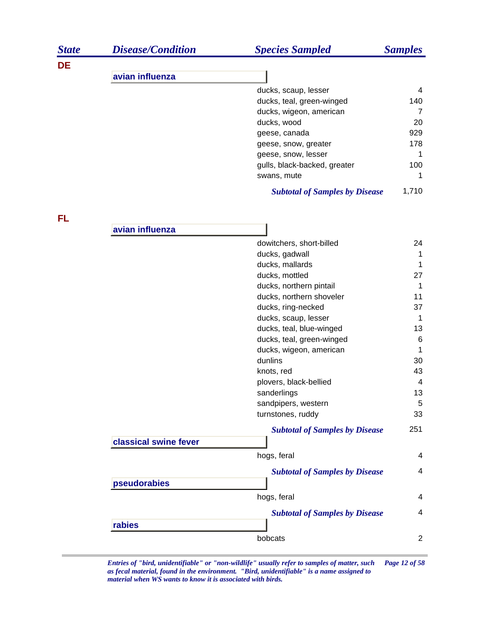| <b>State</b> | <b>Disease/Condition</b> | <b>Species Sampled</b>                | <b>Samples</b> |
|--------------|--------------------------|---------------------------------------|----------------|
| DE           |                          |                                       |                |
|              | avian influenza          |                                       |                |
|              |                          | ducks, scaup, lesser                  | 4              |
|              |                          | ducks, teal, green-winged             | 140            |
|              |                          | ducks, wigeon, american               | $\overline{7}$ |
|              |                          | ducks, wood                           | 20             |
|              |                          | geese, canada                         | 929            |
|              |                          | geese, snow, greater                  | 178            |
|              |                          | geese, snow, lesser                   | 1              |
|              |                          | gulls, black-backed, greater          | 100            |
|              |                          | swans, mute                           | 1              |
|              |                          | <b>Subtotal of Samples by Disease</b> | 1,710          |
| FL           | avian influenza          |                                       |                |
|              |                          |                                       |                |
|              |                          | dowitchers, short-billed              | 24             |
|              |                          | ducks, gadwall                        | 1              |
|              |                          | ducks, mallards                       | 1              |
|              |                          | ducks, mottled                        | 27             |
|              |                          | ducks, northern pintail               | 1              |
|              |                          | ducks, northern shoveler              | 11             |
|              |                          | ducks, ring-necked                    | 37             |
|              |                          | ducks, scaup, lesser                  | $\mathbf 1$    |
|              |                          | ducks, teal, blue-winged              | 13             |
|              |                          | ducks, teal, green-winged             | $\,6$          |
|              |                          | ducks, wigeon, american               | 1              |
|              |                          | dunlins                               | 30             |
|              |                          | knots, red                            | 43             |
|              |                          | plovers, black-bellied                | 4              |
|              |                          | sanderlings                           | 13             |
|              |                          | sandpipers, western                   | 5              |
|              |                          | turnstones, ruddy                     | 33             |
|              |                          | <b>Subtotal of Samples by Disease</b> | 251            |
|              | classical swine fever    |                                       |                |
|              |                          | hogs, feral                           | 4              |
|              |                          | <b>Subtotal of Samples by Disease</b> | 4              |
|              | pseudorabies             |                                       |                |
|              |                          | hogs, feral                           | 4              |
|              |                          | <b>Subtotal of Samples by Disease</b> | 4              |
|              | rabies                   |                                       |                |
|              |                          | bobcats                               | $\overline{2}$ |

*Entries of "bird, unidentifiable" or "non-wildlife" usually refer to samples of matter, such Page 12 of 58 as fecal material, found in the environment. "Bird, unidentifiable" is a name assigned to material when WS wants to know it is associated with birds.*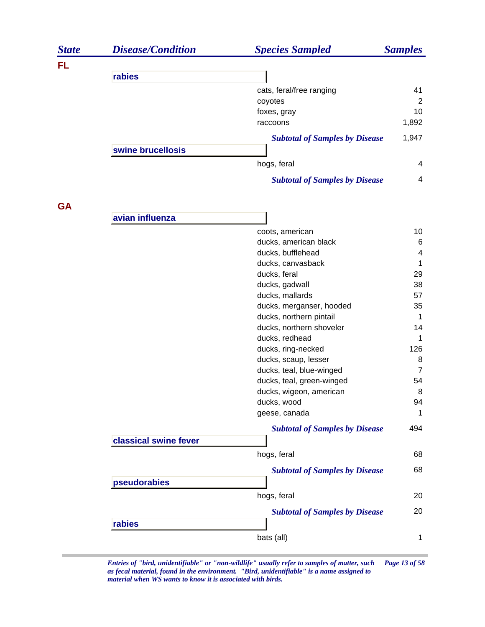| <b>State</b> | <b>Disease/Condition</b> | <b>Species Sampled</b>                | <b>Samples</b> |
|--------------|--------------------------|---------------------------------------|----------------|
| FL           |                          |                                       |                |
|              | rabies                   |                                       |                |
|              |                          | cats, feral/free ranging              | 41             |
|              |                          | coyotes                               | 2              |
|              |                          | foxes, gray                           | 10             |
|              |                          | raccoons                              | 1,892          |
|              |                          | <b>Subtotal of Samples by Disease</b> | 1,947          |
|              | swine brucellosis        |                                       |                |
|              |                          | hogs, feral                           | 4              |
|              |                          | <b>Subtotal of Samples by Disease</b> | 4              |
| <b>GA</b>    |                          |                                       |                |
|              | avian influenza          |                                       |                |
|              |                          | coots, american                       | 10             |
|              |                          | ducks, american black                 | 6              |
|              |                          | ducks, bufflehead                     | 4              |
|              |                          | ducks, canvasback                     | 1              |
|              |                          | ducks, feral                          | 29             |
|              |                          | ducks, gadwall                        | 38             |
|              |                          | ducks, mallards                       | 57             |
|              |                          | ducks, merganser, hooded              | 35             |
|              |                          | ducks, northern pintail               | 1              |
|              |                          | ducks, northern shoveler              | 14             |
|              |                          | ducks, redhead                        | 1              |
|              |                          | ducks, ring-necked                    | 126            |
|              |                          | ducks, scaup, lesser                  | 8              |
|              |                          | ducks, teal, blue-winged              | $\overline{7}$ |
|              |                          | ducks, teal, green-winged             | 54             |
|              |                          | ducks, wigeon, american               | 8              |
|              |                          | ducks, wood                           | 94             |
|              |                          | geese, canada                         | 1              |
|              | classical swine fever    | <b>Subtotal of Samples by Disease</b> | 494            |
|              |                          | hogs, feral                           | 68             |
|              |                          |                                       | 68             |
|              | pseudorabies             | <b>Subtotal of Samples by Disease</b> |                |
|              |                          | hogs, feral                           | 20             |
|              |                          | <b>Subtotal of Samples by Disease</b> | 20             |
|              | rabies                   |                                       |                |
|              |                          | bats (all)                            | 1              |

*Entries of "bird, unidentifiable" or "non-wildlife" usually refer to samples of matter, such Page 13 of 58 as fecal material, found in the environment. "Bird, unidentifiable" is a name assigned to material when WS wants to know it is associated with birds.*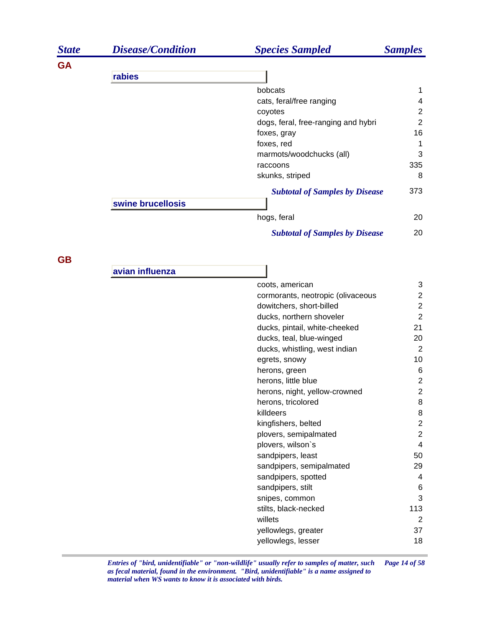| <b>State</b> | <b>Disease/Condition</b> | <b>Species Sampled</b>                | <b>Samples</b> |
|--------------|--------------------------|---------------------------------------|----------------|
| <b>GA</b>    |                          |                                       |                |
|              | rabies                   |                                       |                |
|              |                          | bobcats                               | 1              |
|              |                          | cats, feral/free ranging              | 4              |
|              |                          | coyotes                               | 2              |
|              |                          | dogs, feral, free-ranging and hybri   | 2              |
|              |                          | foxes, gray                           | 16             |
|              |                          | foxes, red                            |                |
|              |                          | marmots/woodchucks (all)              | 3              |
|              |                          | raccoons                              | 335            |
|              |                          | skunks, striped                       | 8              |
|              |                          | <b>Subtotal of Samples by Disease</b> | 373            |
|              | swine brucellosis        |                                       |                |
|              |                          | hogs, feral                           | 20             |
|              |                          | <b>Subtotal of Samples by Disease</b> | 20             |

**GB**

**avian influenza**

| coots, american                   | 3              |
|-----------------------------------|----------------|
| cormorants, neotropic (olivaceous | 2              |
| dowitchers, short-billed          | 2              |
| ducks, northern shoveler          | $\overline{2}$ |
| ducks, pintail, white-cheeked     | 21             |
| ducks, teal, blue-winged          | 20             |
| ducks, whistling, west indian     | 2              |
| egrets, snowy                     | 10             |
| herons, green                     | 6              |
| herons, little blue               | 2              |
| herons, night, yellow-crowned     | $\overline{2}$ |
| herons, tricolored                | 8              |
| killdeers                         | 8              |
| kingfishers, belted               | $\overline{2}$ |
| plovers, semipalmated             | $\overline{2}$ |
| plovers, wilson`s                 | 4              |
| sandpipers, least                 | 50             |
| sandpipers, semipalmated          | 29             |
| sandpipers, spotted               | 4              |
| sandpipers, stilt                 | 6              |
| snipes, common                    | 3              |
| stilts, black-necked              | 113            |
| willets                           | 2              |
| yellowlegs, greater               | 37             |
| yellowlegs, lesser                | 18             |
|                                   |                |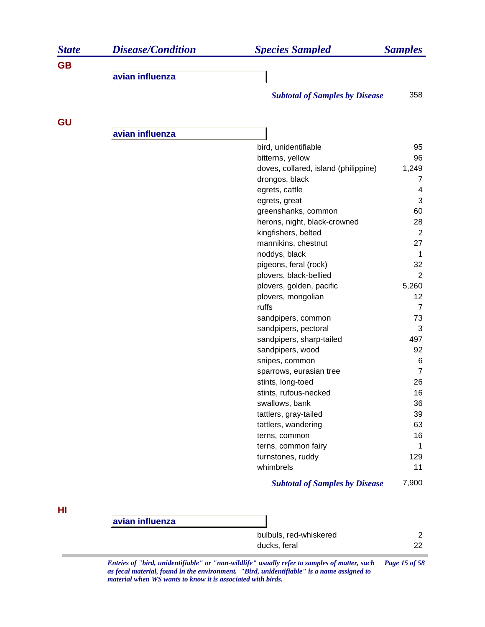| <b>State</b> | <b>Disease/Condition</b> | <b>Species Sampled</b>                | <b>Samples</b> |
|--------------|--------------------------|---------------------------------------|----------------|
| <b>GB</b>    |                          |                                       |                |
|              | avian influenza          |                                       |                |
|              |                          | <b>Subtotal of Samples by Disease</b> | 358            |
| <b>GU</b>    |                          |                                       |                |
|              | avian influenza          |                                       |                |
|              |                          | bird, unidentifiable                  | 95             |
|              |                          | bitterns, yellow                      | 96             |
|              |                          | doves, collared, island (philippine)  | 1,249          |
|              |                          | drongos, black                        | 7              |
|              |                          |                                       |                |

| ururiyus, biach                       | ,              |
|---------------------------------------|----------------|
| egrets, cattle                        | 4              |
| egrets, great                         | 3              |
| greenshanks, common                   | 60             |
| herons, night, black-crowned          | 28             |
| kingfishers, belted                   | 2              |
| mannikins, chestnut                   | 27             |
| noddys, black                         | 1              |
| pigeons, feral (rock)                 | 32             |
| plovers, black-bellied                | $\overline{c}$ |
| plovers, golden, pacific              | 5,260          |
| plovers, mongolian                    | 12             |
| ruffs                                 | 7              |
| sandpipers, common                    | 73             |
| sandpipers, pectoral                  | 3              |
| sandpipers, sharp-tailed              | 497            |
| sandpipers, wood                      | 92             |
| snipes, common                        | 6              |
| sparrows, eurasian tree               | $\overline{7}$ |
| stints, long-toed                     | 26             |
| stints, rufous-necked                 | 16             |
| swallows, bank                        | 36             |
| tattlers, gray-tailed                 | 39             |
| tattlers, wandering                   | 63             |
| terns, common                         | 16             |
| terns, common fairy                   | 1              |
| turnstones, ruddy                     | 129            |
| whimbrels                             | 11             |
| <b>Subtotal of Samples by Disease</b> | 7,900          |

**HI**

**avian influenza** bulbuls, red-whiskered 2 ducks, feral 22

*Entries of "bird, unidentifiable" or "non-wildlife" usually refer to samples of matter, such Page 15 of 58 as fecal material, found in the environment. "Bird, unidentifiable" is a name assigned to material when WS wants to know it is associated with birds.*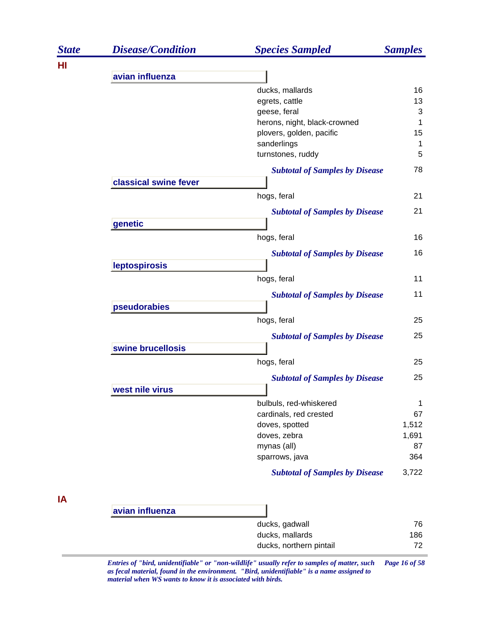| <b>State</b> | <b>Disease/Condition</b> | <b>Species Sampled</b>                | <b>Samples</b> |
|--------------|--------------------------|---------------------------------------|----------------|
| HI           |                          |                                       |                |
|              | avian influenza          |                                       |                |
|              |                          | ducks, mallards                       | 16             |
|              |                          | egrets, cattle                        | 13             |
|              |                          | geese, feral                          | 3              |
|              |                          | herons, night, black-crowned          | 1              |
|              |                          | plovers, golden, pacific              | 15             |
|              |                          | sanderlings                           | 1              |
|              |                          | turnstones, ruddy                     | 5              |
|              |                          | <b>Subtotal of Samples by Disease</b> | 78             |
|              | classical swine fever    |                                       |                |
|              |                          | hogs, feral                           | 21             |
|              |                          | <b>Subtotal of Samples by Disease</b> | 21             |
|              | genetic                  |                                       |                |
|              |                          | hogs, feral                           | 16             |
|              |                          | <b>Subtotal of Samples by Disease</b> | 16             |
|              | leptospirosis            |                                       |                |
|              |                          | hogs, feral                           | 11             |
|              |                          | <b>Subtotal of Samples by Disease</b> | 11             |
|              | pseudorabies             |                                       |                |
|              |                          | hogs, feral                           | 25             |
|              |                          | <b>Subtotal of Samples by Disease</b> | 25             |
|              | swine brucellosis        |                                       |                |
|              |                          | hogs, feral                           | 25             |
|              |                          | <b>Subtotal of Samples by Disease</b> | 25             |
|              | west nile virus          |                                       |                |
|              |                          | bulbuls, red-whiskered                | 1              |
|              |                          | cardinals, red crested                | 67             |
|              |                          | doves, spotted                        | 1,512          |
|              |                          | doves, zebra                          | 1,691          |
|              |                          | mynas (all)                           | 87             |
|              |                          | sparrows, java                        | 364            |
|              |                          | <b>Subtotal of Samples by Disease</b> | 3,722          |
| ΙA           |                          |                                       |                |
|              | avian influenza          |                                       |                |
|              |                          | ducks, gadwall                        | 76             |
|              |                          | ducks, mallards                       | 186            |
|              |                          | ducks, northern pintail               | 72             |

*Entries of "bird, unidentifiable" or "non-wildlife" usually refer to samples of matter, such Page 16 of 58 as fecal material, found in the environment. "Bird, unidentifiable" is a name assigned to material when WS wants to know it is associated with birds.*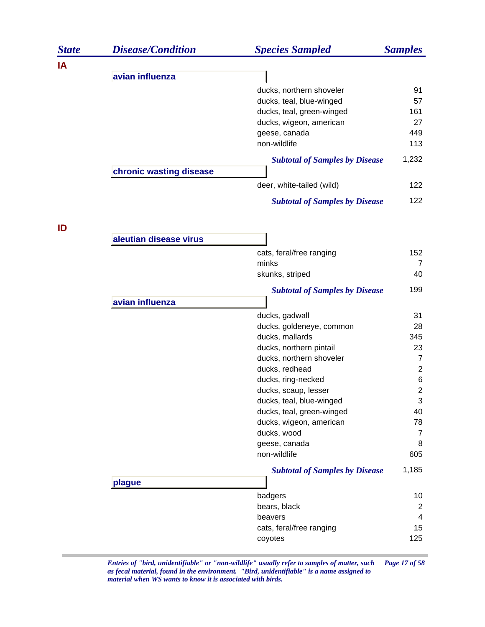| <b>State</b> | <b>Disease/Condition</b> | <b>Species Sampled</b>                     | <b>Samples</b>                   |
|--------------|--------------------------|--------------------------------------------|----------------------------------|
| IA           |                          |                                            |                                  |
|              | avian influenza          |                                            |                                  |
|              |                          | ducks, northern shoveler                   | 91                               |
|              |                          | ducks, teal, blue-winged                   | 57                               |
|              |                          | ducks, teal, green-winged                  | 161                              |
|              |                          | ducks, wigeon, american                    | 27                               |
|              |                          | geese, canada                              | 449                              |
|              |                          | non-wildlife                               | 113                              |
|              |                          | <b>Subtotal of Samples by Disease</b>      | 1,232                            |
|              | chronic wasting disease  |                                            |                                  |
|              |                          | deer, white-tailed (wild)                  | 122                              |
|              |                          | <b>Subtotal of Samples by Disease</b>      | 122                              |
| ID           |                          |                                            |                                  |
|              | aleutian disease virus   |                                            |                                  |
|              |                          | cats, feral/free ranging                   | 152                              |
|              |                          | minks                                      | $\overline{7}$                   |
|              |                          | skunks, striped                            | 40                               |
|              |                          | <b>Subtotal of Samples by Disease</b>      | 199                              |
|              | avian influenza          |                                            |                                  |
|              |                          | ducks, gadwall                             | 31                               |
|              |                          | ducks, goldeneye, common                   | 28                               |
|              |                          | ducks, mallards                            | 345                              |
|              |                          | ducks, northern pintail                    | 23                               |
|              |                          | ducks, northern shoveler<br>ducks, redhead | $\overline{7}$<br>$\overline{c}$ |
|              |                          | ducks, ring-necked                         | 6                                |
|              |                          | ducks, scaup, lesser                       | $\mathbf 2$                      |
|              |                          | ducks, teal, blue-winged                   | 3                                |
|              |                          | ducks, teal, green-winged                  | 40                               |
|              |                          | ducks, wigeon, american                    | 78                               |
|              |                          | ducks, wood                                | 7                                |
|              |                          | geese, canada                              | 8                                |
|              |                          | non-wildlife                               | 605                              |
|              |                          | <b>Subtotal of Samples by Disease</b>      | 1,185                            |
|              | plague                   |                                            |                                  |
|              |                          | badgers                                    | 10                               |
|              |                          | bears, black                               | $\overline{2}$                   |
|              |                          | beavers                                    | 4                                |
|              |                          | cats, feral/free ranging                   | 15                               |
|              |                          | coyotes                                    | 125                              |
|              |                          |                                            |                                  |

*Entries of "bird, unidentifiable" or "non-wildlife" usually refer to samples of matter, such Page 17 of 58 as fecal material, found in the environment. "Bird, unidentifiable" is a name assigned to material when WS wants to know it is associated with birds.*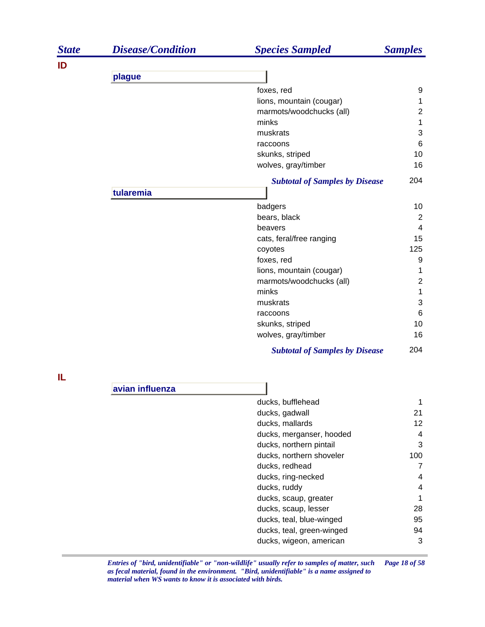| <b>State</b> | <b>Disease/Condition</b> | <b>Species Sampled</b>                | <b>Samples</b>          |
|--------------|--------------------------|---------------------------------------|-------------------------|
| ID           |                          |                                       |                         |
|              | plague                   |                                       |                         |
|              |                          | foxes, red                            | 9                       |
|              |                          | lions, mountain (cougar)              | 1                       |
|              |                          | marmots/woodchucks (all)              | $\mathbf 2$             |
|              |                          | minks                                 | 1                       |
|              |                          | muskrats                              | 3                       |
|              |                          | raccoons                              | $\,6$                   |
|              |                          | skunks, striped                       | 10                      |
|              |                          | wolves, gray/timber                   | 16                      |
|              |                          | <b>Subtotal of Samples by Disease</b> | 204                     |
|              | tularemia                |                                       |                         |
|              |                          | badgers                               | 10                      |
|              |                          | bears, black                          | 2                       |
|              |                          | beavers                               | $\overline{4}$          |
|              |                          | cats, feral/free ranging              | 15                      |
|              |                          | coyotes                               | 125                     |
|              |                          | foxes, red                            | 9                       |
|              |                          | lions, mountain (cougar)              | 1                       |
|              |                          | marmots/woodchucks (all)              | $\overline{2}$          |
|              |                          | minks                                 | 1                       |
|              |                          | muskrats                              | 3                       |
|              |                          | raccoons                              | 6                       |
|              |                          | skunks, striped                       | 10                      |
|              |                          | wolves, gray/timber                   | 16                      |
|              |                          | <b>Subtotal of Samples by Disease</b> | 204                     |
| IL           |                          |                                       |                         |
|              | avian influenza          |                                       |                         |
|              |                          | ducks, bufflehead                     | 1                       |
|              |                          | ducks, gadwall                        | 21                      |
|              |                          | ducks, mallards                       | 12                      |
|              |                          | ducks, merganser, hooded              | 4                       |
|              |                          | ducks, northern pintail               | 3                       |
|              |                          | ducks, northern shoveler              | 100                     |
|              |                          | ducks, redhead                        | $\overline{7}$          |
|              |                          | ducks, ring-necked                    | $\overline{\mathbf{4}}$ |
|              |                          | ducks, ruddy                          | 4                       |
|              |                          | ducks, scaup, greater                 | 1                       |
|              |                          | ducks, scaup, lesser                  | 28                      |
|              |                          | ducks, teal, blue-winged              | 95                      |
|              |                          | ducks, teal, green-winged             | 94                      |
|              |                          | ducks, wigeon, american               | 3                       |

*Entries of "bird, unidentifiable" or "non-wildlife" usually refer to samples of matter, such Page 18 of 58 as fecal material, found in the environment. "Bird, unidentifiable" is a name assigned to material when WS wants to know it is associated with birds.*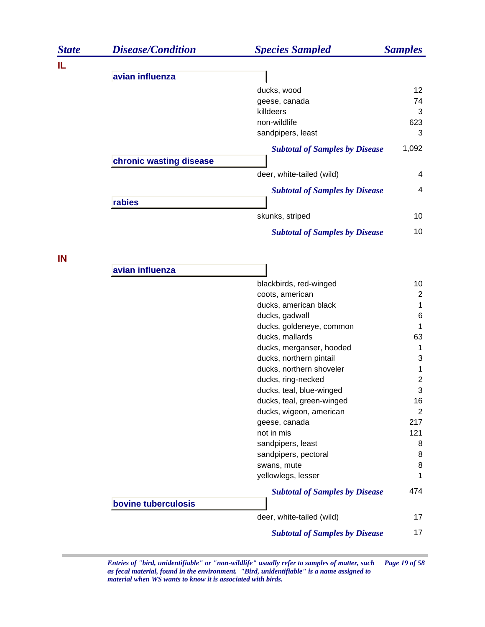| <b>State</b> | <b>Disease/Condition</b> | <b>Species Sampled</b>                              | <b>Samples</b>   |
|--------------|--------------------------|-----------------------------------------------------|------------------|
| IL.          |                          |                                                     |                  |
|              | avian influenza          |                                                     |                  |
|              |                          | ducks, wood                                         | 12               |
|              |                          | geese, canada                                       | 74               |
|              |                          | killdeers<br>non-wildlife                           | 3<br>623         |
|              |                          | sandpipers, least                                   | 3                |
|              |                          | <b>Subtotal of Samples by Disease</b>               | 1,092            |
|              | chronic wasting disease  |                                                     |                  |
|              |                          | deer, white-tailed (wild)                           | 4                |
|              |                          | <b>Subtotal of Samples by Disease</b>               | 4                |
|              | rabies                   |                                                     |                  |
|              |                          | skunks, striped                                     | 10               |
|              |                          | <b>Subtotal of Samples by Disease</b>               | 10               |
| IN           |                          |                                                     |                  |
|              | avian influenza          |                                                     |                  |
|              |                          | blackbirds, red-winged                              | 10               |
|              |                          | coots, american                                     | $\overline{2}$   |
|              |                          | ducks, american black                               | 1                |
|              |                          | ducks, gadwall                                      | $\,6$            |
|              |                          | ducks, goldeneye, common                            | 1                |
|              |                          | ducks, mallards                                     | 63               |
|              |                          | ducks, merganser, hooded                            | 1                |
|              |                          | ducks, northern pintail<br>ducks, northern shoveler | 3<br>1           |
|              |                          | ducks, ring-necked                                  | $\boldsymbol{2}$ |
|              |                          | ducks, teal, blue-winged                            | 3                |
|              |                          | ducks, teal, green-winged                           | 16               |
|              |                          | ducks, wigeon, american                             | 2                |
|              |                          | geese, canada                                       | 217              |
|              |                          | not in mis                                          | 121              |
|              |                          | sandpipers, least                                   | 8                |
|              |                          | sandpipers, pectoral                                | 8                |
|              |                          | swans, mute                                         | 8                |
|              |                          | yellowlegs, lesser                                  | 1                |
|              | bovine tuberculosis      | <b>Subtotal of Samples by Disease</b>               | 474              |
|              |                          | deer, white-tailed (wild)                           | 17               |
|              |                          | <b>Subtotal of Samples by Disease</b>               | 17               |

*Entries of "bird, unidentifiable" or "non-wildlife" usually refer to samples of matter, such Page 19 of 58 as fecal material, found in the environment. "Bird, unidentifiable" is a name assigned to material when WS wants to know it is associated with birds.*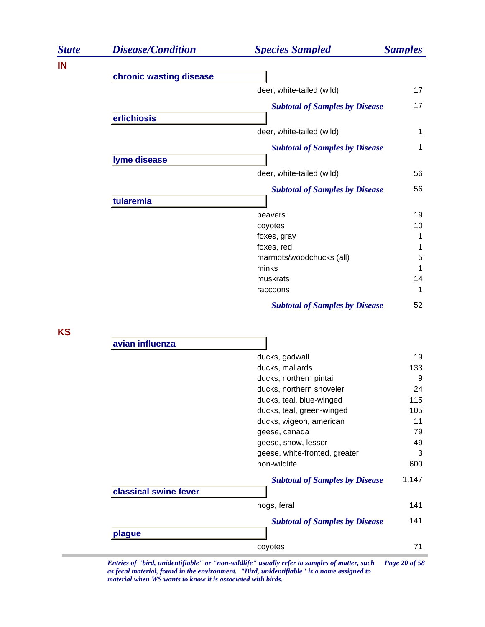| <b>State</b> | <b>Disease/Condition</b> | <b>Species Sampled</b>                   | <b>Samples</b> |
|--------------|--------------------------|------------------------------------------|----------------|
| IN           |                          |                                          |                |
|              | chronic wasting disease  | deer, white-tailed (wild)                | 17             |
|              |                          |                                          | 17             |
|              | erlichiosis              | <b>Subtotal of Samples by Disease</b>    |                |
|              |                          | deer, white-tailed (wild)                | 1              |
|              |                          | <b>Subtotal of Samples by Disease</b>    | 1              |
|              | lyme disease             |                                          |                |
|              |                          | deer, white-tailed (wild)                | 56             |
|              |                          | <b>Subtotal of Samples by Disease</b>    | 56             |
|              | tularemia                |                                          |                |
|              |                          | beavers                                  | 19             |
|              |                          | coyotes                                  | 10             |
|              |                          | foxes, gray                              | 1              |
|              |                          | foxes, red                               | 1              |
|              |                          | marmots/woodchucks (all)<br>minks        | 5<br>1         |
|              |                          | muskrats                                 | 14             |
|              |                          | raccoons                                 | 1              |
|              |                          | <b>Subtotal of Samples by Disease</b>    | 52             |
| <b>KS</b>    |                          |                                          |                |
|              | avian influenza          |                                          |                |
|              |                          | ducks, gadwall                           | 19             |
|              |                          | ducks, mallards                          | 133            |
|              |                          | ducks, northern pintail                  | 9              |
|              |                          | ducks, northern shoveler                 | 24             |
|              |                          | ducks, teal, blue-winged                 | 115            |
|              |                          | ducks, teal, green-winged                | 105<br>11      |
|              |                          | ducks, wigeon, american<br>geese, canada | 79             |
|              |                          | geese, snow, lesser                      | 49             |
|              |                          | geese, white-fronted, greater            | 3              |
|              |                          | non-wildlife                             | 600            |
|              |                          | <b>Subtotal of Samples by Disease</b>    | 1,147          |
|              | classical swine fever    |                                          |                |
|              |                          | hogs, feral                              | 141            |
|              |                          | <b>Subtotal of Samples by Disease</b>    | 141            |
|              | plague                   |                                          |                |
|              |                          | coyotes                                  | 71             |

*Entries of "bird, unidentifiable" or "non-wildlife" usually refer to samples of matter, such Page 20 of 58 as fecal material, found in the environment. "Bird, unidentifiable" is a name assigned to material when WS wants to know it is associated with birds.*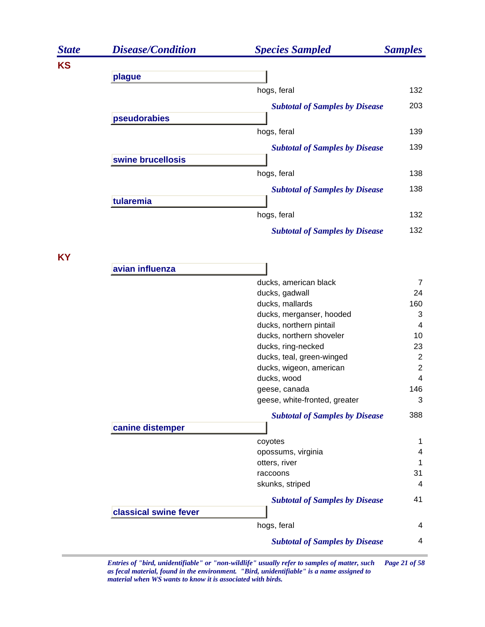| <b>State</b> | <b>Disease/Condition</b> | <b>Species Sampled</b>                | <b>Samples</b> |
|--------------|--------------------------|---------------------------------------|----------------|
| <b>KS</b>    |                          |                                       |                |
|              | plague                   |                                       |                |
|              |                          | hogs, feral                           | 132            |
|              |                          | <b>Subtotal of Samples by Disease</b> | 203            |
|              | pseudorabies             |                                       |                |
|              |                          | hogs, feral                           | 139            |
|              |                          | <b>Subtotal of Samples by Disease</b> | 139            |
|              | swine brucellosis        |                                       |                |
|              |                          | hogs, feral                           | 138            |
|              |                          |                                       | 138            |
|              | tularemia                | <b>Subtotal of Samples by Disease</b> |                |
|              |                          | hogs, feral                           | 132            |
|              |                          |                                       |                |
|              |                          | <b>Subtotal of Samples by Disease</b> | 132            |
|              |                          |                                       |                |
| <b>KY</b>    | avian influenza          |                                       |                |
|              |                          | ducks, american black                 | 7              |
|              |                          | ducks, gadwall                        | 24             |
|              |                          | ducks, mallards                       | 160            |
|              |                          | ducks, merganser, hooded              | 3              |
|              |                          | ducks, northern pintail               | $\overline{4}$ |
|              |                          | ducks, northern shoveler              | 10             |
|              |                          | ducks, ring-necked                    | 23             |
|              |                          | ducks, teal, green-winged             | 2              |
|              |                          | ducks, wigeon, american               | $\overline{2}$ |
|              |                          | ducks, wood                           | $\overline{4}$ |
|              |                          | geese, canada                         | 146            |
|              |                          | geese, white-fronted, greater         | 3              |
|              |                          | <b>Subtotal of Samples by Disease</b> | 388            |
|              | canine distemper         |                                       |                |
|              |                          | coyotes                               | 1              |
|              |                          | opossums, virginia                    | 4              |
|              |                          | otters, river                         | 1              |
|              |                          | raccoons                              | 31             |
|              |                          | skunks, striped                       | 4              |
|              |                          | <b>Subtotal of Samples by Disease</b> | 41             |
|              | classical swine fever    |                                       |                |
|              |                          | hogs, feral                           | 4              |
|              |                          | <b>Subtotal of Samples by Disease</b> | $\overline{4}$ |

*Entries of "bird, unidentifiable" or "non-wildlife" usually refer to samples of matter, such Page 21 of 58 as fecal material, found in the environment. "Bird, unidentifiable" is a name assigned to material when WS wants to know it is associated with birds.*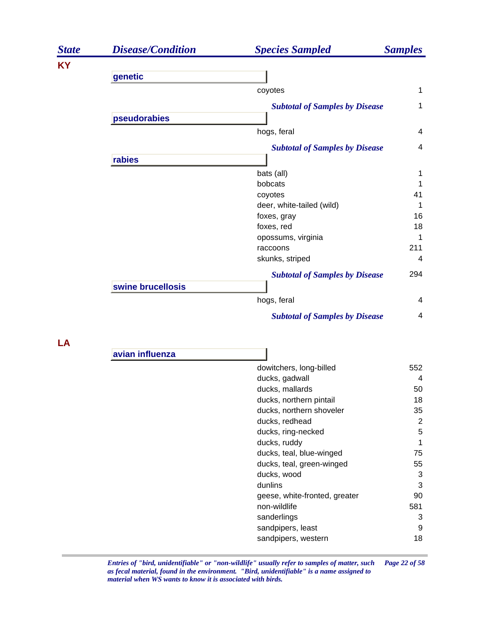| <b>State</b> | <b>Disease/Condition</b> | <b>Species Sampled</b>                | <b>Samples</b> |
|--------------|--------------------------|---------------------------------------|----------------|
| <b>KY</b>    |                          |                                       |                |
|              | genetic                  |                                       |                |
|              |                          | coyotes                               | $\mathbf 1$    |
|              |                          | <b>Subtotal of Samples by Disease</b> | 1              |
|              | pseudorabies             |                                       |                |
|              |                          | hogs, feral                           | 4              |
|              |                          | <b>Subtotal of Samples by Disease</b> | $\overline{4}$ |
|              | rabies                   |                                       |                |
|              |                          | bats (all)                            | 1              |
|              |                          | bobcats                               |                |
|              |                          | coyotes                               | 41             |
|              |                          | deer, white-tailed (wild)             | 1              |
|              |                          | foxes, gray                           | 16             |
|              |                          | foxes, red                            | 18             |
|              |                          | opossums, virginia                    | 1              |
|              |                          | raccoons                              | 211            |
|              |                          | skunks, striped                       | 4              |
|              |                          | <b>Subtotal of Samples by Disease</b> | 294            |
|              | swine brucellosis        |                                       |                |
|              |                          | hogs, feral                           | $\overline{4}$ |
|              |                          | <b>Subtotal of Samples by Disease</b> | 4              |

**LA**

| avian influenza |                                     |
|-----------------|-------------------------------------|
|                 | dowitchers, long-billed<br>552      |
|                 | ducks, gadwall<br>4                 |
|                 | ducks, mallards<br>50               |
|                 | ducks, northern pintail<br>18       |
|                 | ducks, northern shoveler<br>35      |
|                 | 2<br>ducks, redhead                 |
|                 | 5<br>ducks, ring-necked             |
|                 | ducks, ruddy<br>1                   |
|                 | ducks, teal, blue-winged<br>75      |
|                 | ducks, teal, green-winged<br>55     |
|                 | 3<br>ducks, wood                    |
|                 | 3<br>dunlins                        |
|                 | geese, white-fronted, greater<br>90 |
|                 | non-wildlife<br>581                 |
|                 | sanderlings<br>3                    |
|                 | 9<br>sandpipers, least              |
|                 | 18<br>sandpipers, western           |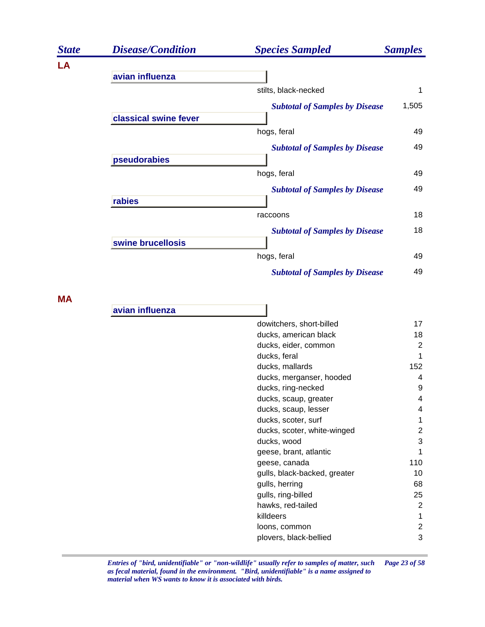| <b>State</b> | <b>Disease/Condition</b> | <b>Species Sampled</b>                | <b>Samples</b> |
|--------------|--------------------------|---------------------------------------|----------------|
| LA           | avian influenza          |                                       |                |
|              |                          | stilts, black-necked                  | 1              |
|              | classical swine fever    | <b>Subtotal of Samples by Disease</b> | 1,505          |
|              |                          | hogs, feral                           | 49             |
|              | pseudorabies             | <b>Subtotal of Samples by Disease</b> | 49             |
|              |                          | hogs, feral                           | 49             |
|              | rabies                   | <b>Subtotal of Samples by Disease</b> | 49             |
|              |                          | raccoons                              | 18             |
|              | swine brucellosis        | <b>Subtotal of Samples by Disease</b> | 18             |
|              |                          | hogs, feral                           | 49             |
|              |                          | <b>Subtotal of Samples by Disease</b> | 49             |

**MA**

| avian influenza |                              |                |
|-----------------|------------------------------|----------------|
|                 | dowitchers, short-billed     | 17             |
|                 | ducks, american black        | 18             |
|                 | ducks, eider, common         | $\overline{2}$ |
|                 | ducks, feral                 | 1              |
|                 | ducks, mallards              | 152            |
|                 | ducks, merganser, hooded     | 4              |
|                 | ducks, ring-necked           | 9              |
|                 | ducks, scaup, greater        | 4              |
|                 | ducks, scaup, lesser         | 4              |
|                 | ducks, scoter, surf          |                |
|                 | ducks, scoter, white-winged  | 2              |
|                 | ducks, wood                  | 3              |
|                 | geese, brant, atlantic       | 1              |
|                 | geese, canada                | 110            |
|                 | gulls, black-backed, greater | 10             |
|                 | gulls, herring               | 68             |
|                 | gulls, ring-billed           | 25             |
|                 | hawks, red-tailed            | 2              |
|                 | killdeers                    | 1              |
|                 | loons, common                | 2              |
|                 | plovers, black-bellied       | 3              |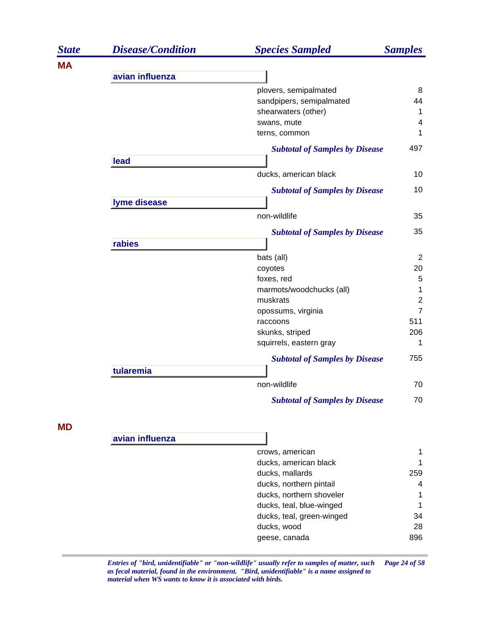| <b>State</b> | <b>Disease/Condition</b> | <b>Species Sampled</b>                | <b>Samples</b> |
|--------------|--------------------------|---------------------------------------|----------------|
| MA           |                          |                                       |                |
|              | avian influenza          |                                       |                |
|              |                          | plovers, semipalmated                 | 8              |
|              |                          | sandpipers, semipalmated              | 44             |
|              |                          | shearwaters (other)                   | $\mathbf{1}$   |
|              |                          | swans, mute                           | 4              |
|              |                          | terns, common                         | $\mathbf 1$    |
|              |                          | <b>Subtotal of Samples by Disease</b> | 497            |
|              | lead                     |                                       |                |
|              |                          | ducks, american black                 | 10             |
|              |                          | <b>Subtotal of Samples by Disease</b> | 10             |
|              | lyme disease             |                                       |                |
|              |                          | non-wildlife                          | 35             |
|              |                          | <b>Subtotal of Samples by Disease</b> | 35             |
|              | rabies                   |                                       |                |
|              |                          | bats (all)                            | $\overline{2}$ |
|              |                          | coyotes                               | 20             |
|              |                          | foxes, red                            | 5              |
|              |                          | marmots/woodchucks (all)              | $\mathbf 1$    |
|              |                          | muskrats                              | $\overline{2}$ |
|              |                          | opossums, virginia                    | $\overline{7}$ |
|              |                          | raccoons                              | 511            |
|              |                          | skunks, striped                       | 206            |
|              |                          | squirrels, eastern gray               | 1              |
|              |                          | <b>Subtotal of Samples by Disease</b> | 755            |
|              | tularemia                |                                       |                |
|              |                          | non-wildlife                          | 70             |
|              |                          | <b>Subtotal of Samples by Disease</b> | 70             |
| <b>MD</b>    |                          |                                       |                |
|              | avian influenza          |                                       |                |
|              |                          | crows, american                       | 1              |
|              |                          | ducks, american black                 | 1              |
|              |                          | ducks, mallards                       | 259            |
|              |                          | ducks, northern pintail               | 4              |
|              |                          | ducks, northern shoveler              | 1              |
|              |                          | ducks, teal, blue-winged              | 1              |
|              |                          | ducks, teal, green-winged             | 34             |
|              |                          | ducks, wood                           | 28             |
|              |                          | geese, canada                         | 896            |

*Entries of "bird, unidentifiable" or "non-wildlife" usually refer to samples of matter, such Page 24 of 58 as fecal material, found in the environment. "Bird, unidentifiable" is a name assigned to material when WS wants to know it is associated with birds.*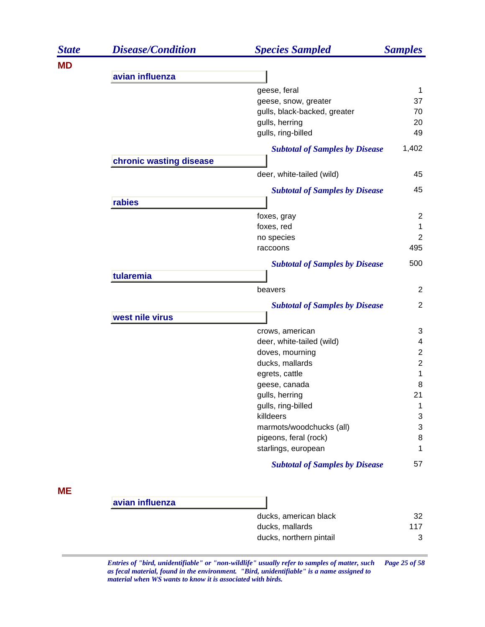| <b>State</b> | <b>Disease/Condition</b> | <b>Species Sampled</b>                | <b>Samples</b> |
|--------------|--------------------------|---------------------------------------|----------------|
| <b>MD</b>    |                          |                                       |                |
|              | avian influenza          |                                       |                |
|              |                          | geese, feral                          | 1              |
|              |                          | geese, snow, greater                  | 37             |
|              |                          | gulls, black-backed, greater          | 70             |
|              |                          | gulls, herring                        | 20             |
|              |                          | gulls, ring-billed                    | 49             |
|              |                          | <b>Subtotal of Samples by Disease</b> | 1,402          |
|              | chronic wasting disease  |                                       |                |
|              |                          | deer, white-tailed (wild)             | 45             |
|              |                          | <b>Subtotal of Samples by Disease</b> | 45             |
|              | rabies                   |                                       |                |
|              |                          | foxes, gray                           | $\overline{c}$ |
|              |                          | foxes, red                            | 1              |
|              |                          | no species                            | $\overline{2}$ |
|              |                          | raccoons                              | 495            |
|              |                          | <b>Subtotal of Samples by Disease</b> | 500            |
|              | tularemia                |                                       |                |
|              |                          | beavers                               | $\overline{2}$ |
|              |                          | <b>Subtotal of Samples by Disease</b> | $\overline{2}$ |
|              | west nile virus          |                                       |                |
|              |                          | crows, american                       | 3              |
|              |                          | deer, white-tailed (wild)             | 4              |
|              |                          | doves, mourning                       | $\overline{2}$ |
|              |                          | ducks, mallards                       | $\overline{c}$ |
|              |                          | egrets, cattle                        | 1              |
|              |                          | geese, canada                         | 8              |
|              |                          | gulls, herring                        | 21             |
|              |                          | gulls, ring-billed                    | 1              |
|              |                          | killdeers                             | 3              |
|              |                          | marmots/woodchucks (all)              | 3              |
|              |                          | pigeons, feral (rock)                 | 8              |
|              |                          | starlings, european                   | 1              |
|              |                          | <b>Subtotal of Samples by Disease</b> | 57             |
| ME           |                          |                                       |                |
|              | avian influenza          |                                       |                |
|              |                          | ducks, american black                 | 32             |
|              |                          | ducks, mallards                       | 117            |
|              |                          | ducks, northern pintail               | 3              |
|              |                          |                                       |                |

*Entries of "bird, unidentifiable" or "non-wildlife" usually refer to samples of matter, such Page 25 of 58 as fecal material, found in the environment. "Bird, unidentifiable" is a name assigned to material when WS wants to know it is associated with birds.*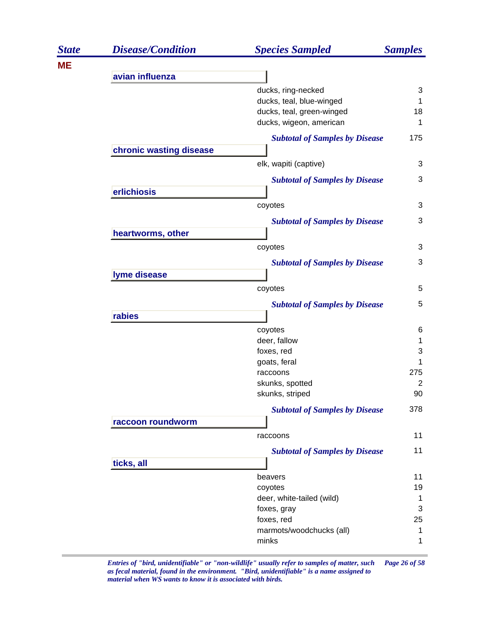| <b>State</b> | <b>Disease/Condition</b> | <b>Species Sampled</b>                | <b>Samples</b> |
|--------------|--------------------------|---------------------------------------|----------------|
| ME           |                          |                                       |                |
|              | avian influenza          |                                       |                |
|              |                          | ducks, ring-necked                    | 3              |
|              |                          | ducks, teal, blue-winged              | 1              |
|              |                          | ducks, teal, green-winged             | 18             |
|              |                          | ducks, wigeon, american               | 1              |
|              |                          | <b>Subtotal of Samples by Disease</b> | 175            |
|              | chronic wasting disease  |                                       |                |
|              |                          | elk, wapiti (captive)                 | 3              |
|              |                          | <b>Subtotal of Samples by Disease</b> | 3              |
|              | erlichiosis              |                                       |                |
|              |                          | coyotes                               | 3              |
|              |                          |                                       |                |
|              |                          | <b>Subtotal of Samples by Disease</b> | 3              |
|              | heartworms, other        |                                       |                |
|              |                          | coyotes                               | 3              |
|              |                          | <b>Subtotal of Samples by Disease</b> | 3              |
|              | lyme disease             |                                       |                |
|              |                          | coyotes                               | 5              |
|              |                          |                                       | 5              |
|              | rabies                   | <b>Subtotal of Samples by Disease</b> |                |
|              |                          |                                       |                |
|              |                          | coyotes<br>deer, fallow               | 6<br>1         |
|              |                          | foxes, red                            | 3              |
|              |                          | goats, feral                          | 1              |
|              |                          | raccoons                              | 275            |
|              |                          | skunks, spotted                       | $\overline{2}$ |
|              |                          | skunks, striped                       | 90             |
|              |                          | <b>Subtotal of Samples by Disease</b> | 378            |
|              | raccoon roundworm        |                                       |                |
|              |                          | raccoons                              | 11             |
|              |                          |                                       | 11             |
|              |                          | <b>Subtotal of Samples by Disease</b> |                |
|              | ticks, all               |                                       |                |
|              |                          | beavers                               | 11             |
|              |                          | coyotes<br>deer, white-tailed (wild)  | 19<br>1        |
|              |                          | foxes, gray                           | 3              |
|              |                          | foxes, red                            | 25             |
|              |                          | marmots/woodchucks (all)              | 1              |
|              |                          | minks                                 | 1              |
|              |                          |                                       |                |

*Entries of "bird, unidentifiable" or "non-wildlife" usually refer to samples of matter, such Page 26 of 58 as fecal material, found in the environment. "Bird, unidentifiable" is a name assigned to material when WS wants to know it is associated with birds.*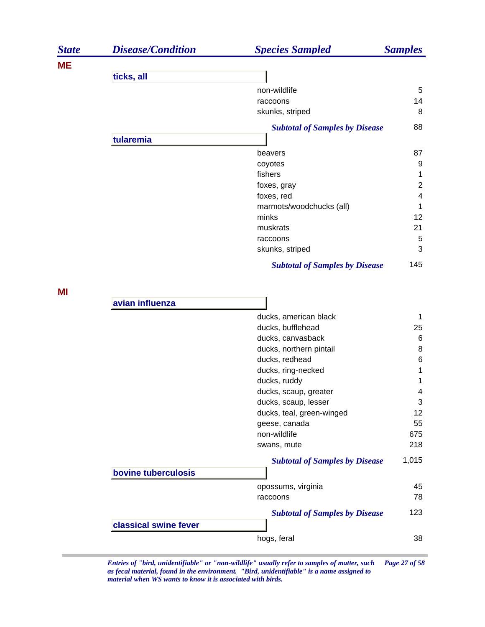| <b>State</b> | <b>Disease/Condition</b> | <b>Species Sampled</b>                | <b>Samples</b>          |
|--------------|--------------------------|---------------------------------------|-------------------------|
| <b>ME</b>    |                          |                                       |                         |
|              | ticks, all               |                                       |                         |
|              |                          | non-wildlife                          | 5                       |
|              |                          | raccoons                              | 14                      |
|              |                          | skunks, striped                       | 8                       |
|              |                          | <b>Subtotal of Samples by Disease</b> | 88                      |
|              | tularemia                |                                       |                         |
|              |                          | beavers                               | 87                      |
|              |                          | coyotes                               | 9                       |
|              |                          | fishers                               | 1                       |
|              |                          | foxes, gray                           | $\overline{2}$          |
|              |                          | foxes, red                            | $\overline{\mathbf{4}}$ |
|              |                          | marmots/woodchucks (all)              | 1                       |
|              |                          | minks                                 | 12                      |
|              |                          | muskrats                              | 21                      |
|              |                          | raccoons                              | 5                       |
|              |                          | skunks, striped                       | 3                       |
|              |                          | <b>Subtotal of Samples by Disease</b> | 145                     |
| ΜI           |                          |                                       |                         |
|              | avian influenza          |                                       |                         |
|              |                          | ducks, american black                 | 1                       |
|              |                          | ducks, bufflehead                     | 25                      |
|              |                          | ducks, canvasback                     | 6                       |
|              |                          | ducks, northern pintail               | 8                       |
|              |                          | ducks, redhead                        | 6                       |
|              |                          | ducks, ring-necked                    | 1                       |
|              |                          | ducks, ruddy                          | 1                       |
|              |                          | ducks, scaup, greater                 | 4                       |
|              |                          | ducks, scaup, lesser                  | 3                       |
|              |                          | ducks, teal, green-winged             | 12                      |
|              |                          | geese, canada                         | 55                      |
|              |                          | non-wildlife                          | 675                     |
|              |                          | swans, mute                           | 218                     |
|              |                          | <b>Subtotal of Samples by Disease</b> | 1,015                   |
|              | bovine tuberculosis      |                                       |                         |
|              |                          | opossums, virginia                    | 45                      |
|              |                          | raccoons                              | 78                      |
|              |                          | <b>Subtotal of Samples by Disease</b> | 123                     |
|              | classical swine fever    |                                       |                         |
|              |                          | hogs, feral                           | 38                      |
|              |                          |                                       |                         |

*Entries of "bird, unidentifiable" or "non-wildlife" usually refer to samples of matter, such Page 27 of 58 as fecal material, found in the environment. "Bird, unidentifiable" is a name assigned to material when WS wants to know it is associated with birds.*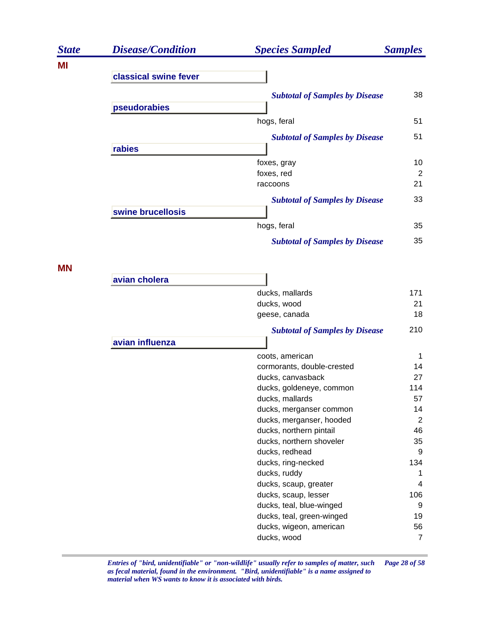| <b>State</b> | <b>Disease/Condition</b> | <b>Species Sampled</b>                                | <b>Samples</b> |
|--------------|--------------------------|-------------------------------------------------------|----------------|
| ΜI           |                          |                                                       |                |
|              | classical swine fever    |                                                       |                |
|              |                          | <b>Subtotal of Samples by Disease</b>                 | 38             |
|              | pseudorabies             |                                                       |                |
|              |                          | hogs, feral                                           | 51             |
|              |                          | <b>Subtotal of Samples by Disease</b>                 | 51             |
|              | rabies                   |                                                       |                |
|              |                          | foxes, gray                                           | 10             |
|              |                          | foxes, red                                            | 2              |
|              |                          | raccoons                                              | 21             |
|              |                          | <b>Subtotal of Samples by Disease</b>                 | 33             |
|              | swine brucellosis        |                                                       |                |
|              |                          | hogs, feral                                           | 35             |
|              |                          | <b>Subtotal of Samples by Disease</b>                 | 35             |
| <b>MN</b>    |                          |                                                       |                |
|              | avian cholera            |                                                       |                |
|              |                          | ducks, mallards                                       | 171            |
|              |                          | ducks, wood                                           | 21             |
|              |                          | geese, canada                                         | 18             |
|              |                          | <b>Subtotal of Samples by Disease</b>                 | 210            |
|              | avian influenza          |                                                       |                |
|              |                          | coots, american                                       | 1              |
|              |                          | cormorants, double-crested<br>ducks, canvasback       | 14<br>27       |
|              |                          | ducks, goldeneye, common                              | 114            |
|              |                          | ducks, mallards                                       | 57             |
|              |                          | ducks, merganser common                               | 14             |
|              |                          | ducks, merganser, hooded                              | $\overline{2}$ |
|              |                          | ducks, northern pintail                               | 46             |
|              |                          | ducks, northern shoveler                              | 35             |
|              |                          | ducks, redhead                                        | 9              |
|              |                          | ducks, ring-necked                                    | 134            |
|              |                          | ducks, ruddy                                          | 1              |
|              |                          | ducks, scaup, greater                                 | 4              |
|              |                          | ducks, scaup, lesser                                  | 106<br>9       |
|              |                          | ducks, teal, blue-winged<br>ducks, teal, green-winged | 19             |
|              |                          | ducks, wigeon, american                               | 56             |
|              |                          | ducks, wood                                           | $\overline{7}$ |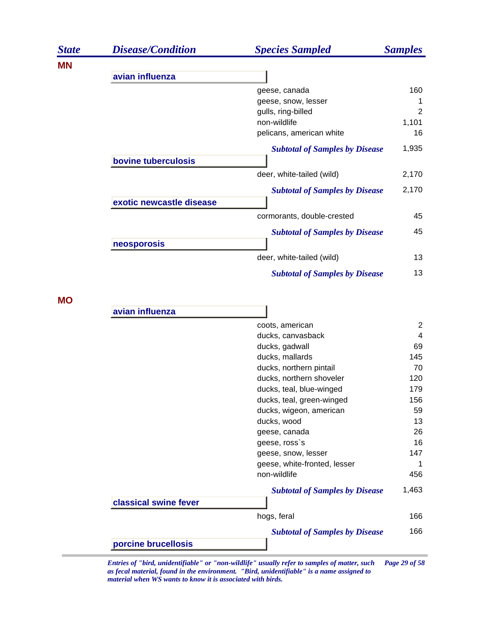| <b>State</b> | <b>Disease/Condition</b> | <b>Species Sampled</b>                     | <b>Samples</b> |
|--------------|--------------------------|--------------------------------------------|----------------|
| <b>MN</b>    |                          |                                            |                |
|              | avian influenza          |                                            |                |
|              |                          | geese, canada                              | 160            |
|              |                          | geese, snow, lesser                        | 1              |
|              |                          | gulls, ring-billed                         | 2              |
|              |                          | non-wildlife                               | 1,101          |
|              |                          | pelicans, american white                   | 16             |
|              |                          | <b>Subtotal of Samples by Disease</b>      | 1,935          |
|              | bovine tuberculosis      |                                            |                |
|              |                          | deer, white-tailed (wild)                  | 2,170          |
|              |                          | <b>Subtotal of Samples by Disease</b>      | 2,170          |
|              | exotic newcastle disease |                                            |                |
|              |                          | cormorants, double-crested                 | 45             |
|              |                          | <b>Subtotal of Samples by Disease</b>      | 45             |
|              | neosporosis              | deer, white-tailed (wild)                  | 13             |
|              |                          | <b>Subtotal of Samples by Disease</b>      | 13             |
| <b>MO</b>    |                          |                                            |                |
|              | avian influenza          |                                            |                |
|              |                          | coots, american                            | $\overline{2}$ |
|              |                          | ducks, canvasback                          | 4              |
|              |                          | ducks, gadwall                             | 69             |
|              |                          | ducks, mallards<br>ducks, northern pintail | 145<br>70      |
|              |                          | ducks, northern shoveler                   | 120            |
|              |                          | ducks, teal, blue-winged                   | 179            |
|              |                          | ducks, teal, green-winged                  | 156            |
|              |                          | ducks, wigeon, american                    | 59             |
|              |                          | ducks, wood                                | 13             |
|              |                          | geese, canada                              | 26             |
|              |                          | geese, ross's                              | 16             |
|              |                          | geese, snow, lesser                        | 147            |
|              |                          | geese, white-fronted, lesser               | 1              |
|              |                          | non-wildlife                               | 456            |
|              |                          | <b>Subtotal of Samples by Disease</b>      | 1,463          |
|              | classical swine fever    |                                            |                |
|              |                          | hogs, feral                                | 166            |

*Subtotal of Samples by Disease* 166

**porcine brucellosis**

*Entries of "bird, unidentifiable" or "non-wildlife" usually refer to samples of matter, such Page 29 of 58 as fecal material, found in the environment. "Bird, unidentifiable" is a name assigned to material when WS wants to know it is associated with birds.*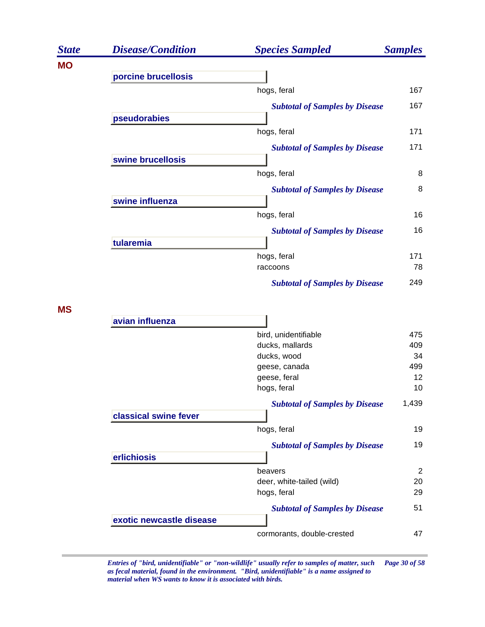| <b>State</b> | <b>Disease/Condition</b> | <b>Species Sampled</b>                | <b>Samples</b> |
|--------------|--------------------------|---------------------------------------|----------------|
| <b>MO</b>    |                          |                                       |                |
|              | porcine brucellosis      |                                       |                |
|              |                          | hogs, feral                           | 167            |
|              | pseudorabies             | <b>Subtotal of Samples by Disease</b> | 167            |
|              |                          | hogs, feral                           | 171            |
|              |                          | <b>Subtotal of Samples by Disease</b> | 171            |
|              | swine brucellosis        |                                       |                |
|              |                          | hogs, feral                           | 8              |
|              |                          | <b>Subtotal of Samples by Disease</b> | 8              |
|              | swine influenza          |                                       |                |
|              |                          | hogs, feral                           | 16             |
|              |                          | <b>Subtotal of Samples by Disease</b> | 16             |
|              | tularemia                |                                       |                |
|              |                          | hogs, feral                           | 171            |
|              |                          | raccoons                              | 78             |
|              |                          | <b>Subtotal of Samples by Disease</b> | 249            |
| <b>MS</b>    |                          |                                       |                |
|              | avian influenza          |                                       |                |
|              |                          | bird, unidentifiable                  | 475            |
|              |                          | ducks, mallards                       | 409            |
|              |                          | ducks, wood                           | 34             |
|              |                          | geese, canada                         | 499            |
|              |                          | geese, feral                          | 12             |
|              |                          | hogs, feral                           | 10             |
|              |                          | <b>Subtotal of Samples by Disease</b> | 1,439          |
|              | classical swine fever    |                                       |                |
|              |                          | hogs, feral                           | 19             |
|              |                          | <b>Subtotal of Samples by Disease</b> | 19             |
|              | erlichiosis              |                                       |                |
|              |                          | beavers                               | $\overline{2}$ |
|              |                          | deer, white-tailed (wild)             | 20             |
|              |                          | hogs, feral                           | 29             |
|              |                          | <b>Subtotal of Samples by Disease</b> | 51             |
|              | exotic newcastle disease |                                       |                |
|              |                          | cormorants, double-crested            | 47             |

*Entries of "bird, unidentifiable" or "non-wildlife" usually refer to samples of matter, such Page 30 of 58 as fecal material, found in the environment. "Bird, unidentifiable" is a name assigned to material when WS wants to know it is associated with birds.*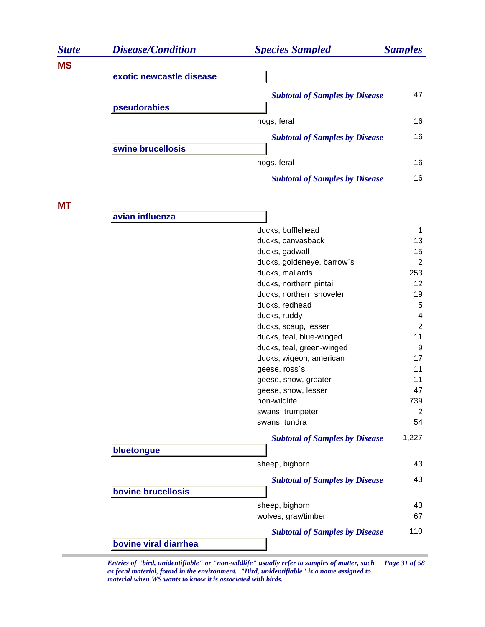| <b>State</b> | <b>Disease/Condition</b> | <b>Species Sampled</b>                              | <b>Samples</b>        |
|--------------|--------------------------|-----------------------------------------------------|-----------------------|
| <b>MS</b>    |                          |                                                     |                       |
|              | exotic newcastle disease |                                                     |                       |
|              |                          | <b>Subtotal of Samples by Disease</b>               | 47                    |
|              | pseudorabies             |                                                     |                       |
|              |                          | hogs, feral                                         | 16                    |
|              |                          | <b>Subtotal of Samples by Disease</b>               | 16                    |
|              | swine brucellosis        |                                                     |                       |
|              |                          | hogs, feral                                         | 16                    |
|              |                          | <b>Subtotal of Samples by Disease</b>               | 16                    |
| <b>MT</b>    |                          |                                                     |                       |
|              | avian influenza          |                                                     |                       |
|              |                          | ducks, bufflehead                                   | 1                     |
|              |                          | ducks, canvasback                                   | 13                    |
|              |                          | ducks, gadwall                                      | 15                    |
|              |                          | ducks, goldeneye, barrow's                          | $\overline{2}$        |
|              |                          | ducks, mallards                                     | 253<br>12             |
|              |                          | ducks, northern pintail<br>ducks, northern shoveler | 19                    |
|              |                          | ducks, redhead                                      | $\overline{5}$        |
|              |                          | ducks, ruddy                                        | 4                     |
|              |                          | ducks, scaup, lesser                                | $\overline{2}$        |
|              |                          | ducks, teal, blue-winged                            | 11                    |
|              |                          | ducks, teal, green-winged                           | 9                     |
|              |                          | ducks, wigeon, american                             | 17                    |
|              |                          | geese, ross's                                       | 11                    |
|              |                          | geese, snow, greater                                | 11                    |
|              |                          | geese, snow, lesser                                 | 47                    |
|              |                          | non-wildlife<br>swans, trumpeter                    | 739<br>$\overline{2}$ |
|              |                          | swans, tundra                                       | 54                    |
|              |                          | <b>Subtotal of Samples by Disease</b>               | 1,227                 |
|              | bluetongue               |                                                     |                       |
|              |                          | sheep, bighorn                                      | 43                    |
|              | bovine brucellosis       | <b>Subtotal of Samples by Disease</b>               | 43                    |
|              |                          |                                                     |                       |
|              |                          | sheep, bighorn<br>wolves, gray/timber               | 43<br>67              |
|              |                          | <b>Subtotal of Samples by Disease</b>               | 110                   |
|              | bovine viral diarrhea    |                                                     |                       |

*Entries of "bird, unidentifiable" or "non-wildlife" usually refer to samples of matter, such Page 31 of 58 as fecal material, found in the environment. "Bird, unidentifiable" is a name assigned to material when WS wants to know it is associated with birds.*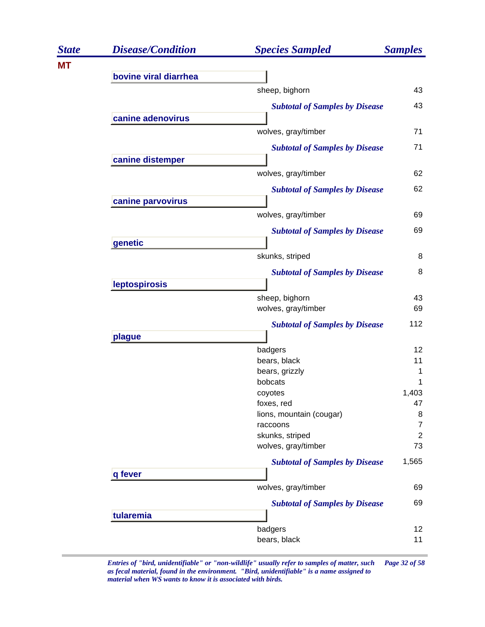| <b>Disease/Condition</b> | <b>Species Sampled</b>                                                                                                    | <b>Samples</b>                                                                                                                                                                                                                                                                                                                                                                                                                                                                                                                                                                 |
|--------------------------|---------------------------------------------------------------------------------------------------------------------------|--------------------------------------------------------------------------------------------------------------------------------------------------------------------------------------------------------------------------------------------------------------------------------------------------------------------------------------------------------------------------------------------------------------------------------------------------------------------------------------------------------------------------------------------------------------------------------|
|                          |                                                                                                                           |                                                                                                                                                                                                                                                                                                                                                                                                                                                                                                                                                                                |
|                          |                                                                                                                           |                                                                                                                                                                                                                                                                                                                                                                                                                                                                                                                                                                                |
|                          |                                                                                                                           | 43                                                                                                                                                                                                                                                                                                                                                                                                                                                                                                                                                                             |
|                          |                                                                                                                           | 43                                                                                                                                                                                                                                                                                                                                                                                                                                                                                                                                                                             |
|                          |                                                                                                                           |                                                                                                                                                                                                                                                                                                                                                                                                                                                                                                                                                                                |
|                          |                                                                                                                           | 71                                                                                                                                                                                                                                                                                                                                                                                                                                                                                                                                                                             |
|                          |                                                                                                                           | 71                                                                                                                                                                                                                                                                                                                                                                                                                                                                                                                                                                             |
|                          |                                                                                                                           |                                                                                                                                                                                                                                                                                                                                                                                                                                                                                                                                                                                |
|                          |                                                                                                                           | 62                                                                                                                                                                                                                                                                                                                                                                                                                                                                                                                                                                             |
|                          |                                                                                                                           | 62                                                                                                                                                                                                                                                                                                                                                                                                                                                                                                                                                                             |
|                          |                                                                                                                           |                                                                                                                                                                                                                                                                                                                                                                                                                                                                                                                                                                                |
|                          |                                                                                                                           | 69                                                                                                                                                                                                                                                                                                                                                                                                                                                                                                                                                                             |
|                          |                                                                                                                           | 69                                                                                                                                                                                                                                                                                                                                                                                                                                                                                                                                                                             |
|                          |                                                                                                                           |                                                                                                                                                                                                                                                                                                                                                                                                                                                                                                                                                                                |
|                          |                                                                                                                           | 8                                                                                                                                                                                                                                                                                                                                                                                                                                                                                                                                                                              |
|                          |                                                                                                                           | 8                                                                                                                                                                                                                                                                                                                                                                                                                                                                                                                                                                              |
|                          |                                                                                                                           |                                                                                                                                                                                                                                                                                                                                                                                                                                                                                                                                                                                |
|                          |                                                                                                                           | 43<br>69                                                                                                                                                                                                                                                                                                                                                                                                                                                                                                                                                                       |
|                          |                                                                                                                           | 112                                                                                                                                                                                                                                                                                                                                                                                                                                                                                                                                                                            |
|                          |                                                                                                                           |                                                                                                                                                                                                                                                                                                                                                                                                                                                                                                                                                                                |
|                          |                                                                                                                           | 12                                                                                                                                                                                                                                                                                                                                                                                                                                                                                                                                                                             |
|                          | bears, black                                                                                                              | 11                                                                                                                                                                                                                                                                                                                                                                                                                                                                                                                                                                             |
|                          | bears, grizzly                                                                                                            | 1                                                                                                                                                                                                                                                                                                                                                                                                                                                                                                                                                                              |
|                          |                                                                                                                           |                                                                                                                                                                                                                                                                                                                                                                                                                                                                                                                                                                                |
|                          |                                                                                                                           | 1,403<br>47                                                                                                                                                                                                                                                                                                                                                                                                                                                                                                                                                                    |
|                          |                                                                                                                           | 8                                                                                                                                                                                                                                                                                                                                                                                                                                                                                                                                                                              |
|                          |                                                                                                                           | $\overline{7}$                                                                                                                                                                                                                                                                                                                                                                                                                                                                                                                                                                 |
|                          | skunks, striped                                                                                                           | $\overline{2}$                                                                                                                                                                                                                                                                                                                                                                                                                                                                                                                                                                 |
|                          | wolves, gray/timber                                                                                                       | 73                                                                                                                                                                                                                                                                                                                                                                                                                                                                                                                                                                             |
|                          |                                                                                                                           | 1,565                                                                                                                                                                                                                                                                                                                                                                                                                                                                                                                                                                          |
| q fever                  |                                                                                                                           |                                                                                                                                                                                                                                                                                                                                                                                                                                                                                                                                                                                |
|                          | wolves, gray/timber                                                                                                       | 69                                                                                                                                                                                                                                                                                                                                                                                                                                                                                                                                                                             |
|                          |                                                                                                                           | 69                                                                                                                                                                                                                                                                                                                                                                                                                                                                                                                                                                             |
| tularemia                |                                                                                                                           |                                                                                                                                                                                                                                                                                                                                                                                                                                                                                                                                                                                |
|                          | badgers                                                                                                                   | $12 \overline{ }$                                                                                                                                                                                                                                                                                                                                                                                                                                                                                                                                                              |
|                          | bears, black                                                                                                              | 11                                                                                                                                                                                                                                                                                                                                                                                                                                                                                                                                                                             |
|                          | bovine viral diarrhea<br>canine adenovirus<br>canine distemper<br>canine parvovirus<br>genetic<br>leptospirosis<br>plague | sheep, bighorn<br><b>Subtotal of Samples by Disease</b><br>wolves, gray/timber<br><b>Subtotal of Samples by Disease</b><br>wolves, gray/timber<br><b>Subtotal of Samples by Disease</b><br>wolves, gray/timber<br><b>Subtotal of Samples by Disease</b><br>skunks, striped<br><b>Subtotal of Samples by Disease</b><br>sheep, bighorn<br>wolves, gray/timber<br><b>Subtotal of Samples by Disease</b><br>badgers<br>bobcats<br>coyotes<br>foxes, red<br>lions, mountain (cougar)<br>raccoons<br><b>Subtotal of Samples by Disease</b><br><b>Subtotal of Samples by Disease</b> |

*Entries of "bird, unidentifiable" or "non-wildlife" usually refer to samples of matter, such Page 32 of 58 as fecal material, found in the environment. "Bird, unidentifiable" is a name assigned to material when WS wants to know it is associated with birds.*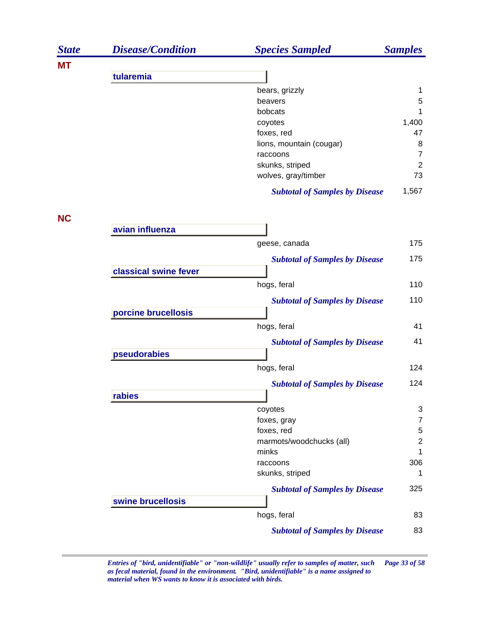| 1<br>$\mathbf 5$<br>1<br>1,400<br>47<br>8<br>$\overline{7}$ |
|-------------------------------------------------------------|
|                                                             |
|                                                             |
|                                                             |
|                                                             |
|                                                             |
|                                                             |
|                                                             |
|                                                             |
| $\overline{2}$                                              |
| 73                                                          |
|                                                             |
| 1,567                                                       |
|                                                             |
|                                                             |
| 175                                                         |
| 175                                                         |
|                                                             |
| 110                                                         |
| 110                                                         |
|                                                             |
| 41                                                          |
| 41                                                          |
|                                                             |
| 124                                                         |
|                                                             |
| 124                                                         |
| 3                                                           |
| $\overline{7}$                                              |
| 5                                                           |
| $\overline{c}$                                              |
| 1                                                           |
| 306                                                         |
| 1                                                           |
| 325                                                         |
|                                                             |
| 83                                                          |
| 83                                                          |
|                                                             |

*Entries of "bird, unidentifiable" or "non-wildlife" usually refer to samples of matter, such Page 33 of 58 as fecal material, found in the environment. "Bird, unidentifiable" is a name assigned to material when WS wants to know it is associated with birds.*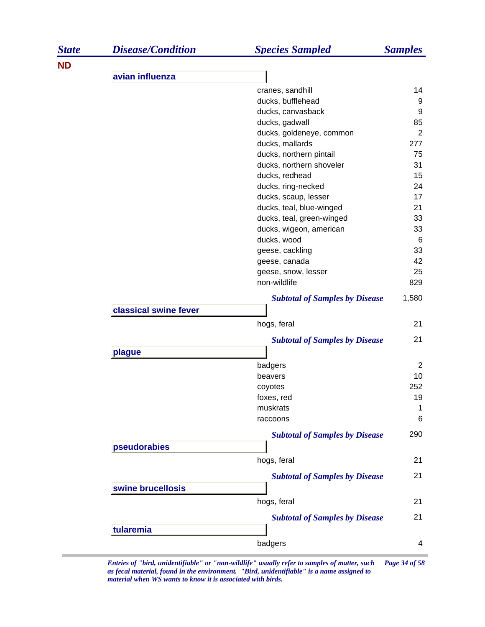| <b>ND</b><br>avian influenza<br>cranes, sandhill<br>14<br>ducks, bufflehead<br>9<br>ducks, canvasback<br>9<br>85<br>ducks, gadwall<br>$\overline{2}$<br>ducks, goldeneye, common<br>ducks, mallards<br>277<br>ducks, northern pintail<br>75<br>ducks, northern shoveler<br>31<br>ducks, redhead<br>15<br>24<br>ducks, ring-necked<br>ducks, scaup, lesser<br>17<br>ducks, teal, blue-winged<br>21<br>33<br>ducks, teal, green-winged<br>33<br>ducks, wigeon, american<br>ducks, wood<br>6<br>33<br>geese, cackling<br>42<br>geese, canada<br>25<br>geese, snow, lesser<br>non-wildlife<br>829<br>1,580<br><b>Subtotal of Samples by Disease</b><br>classical swine fever<br>hogs, feral<br>21<br>21<br><b>Subtotal of Samples by Disease</b><br>plague<br>badgers<br>2<br>10<br>beavers<br>252<br>coyotes<br>19<br>foxes, red<br>muskrats<br>1<br>$\,6$<br>raccoons<br>290<br><b>Subtotal of Samples by Disease</b><br>pseudorabies<br>hogs, feral<br>21<br>21<br><b>Subtotal of Samples by Disease</b><br>swine brucellosis<br>hogs, feral<br>21<br>21<br><b>Subtotal of Samples by Disease</b><br>tularemia<br>badgers<br>4 | <b>State</b> | <b>Disease/Condition</b> | <b>Species Sampled</b> | <b>Samples</b> |
|-------------------------------------------------------------------------------------------------------------------------------------------------------------------------------------------------------------------------------------------------------------------------------------------------------------------------------------------------------------------------------------------------------------------------------------------------------------------------------------------------------------------------------------------------------------------------------------------------------------------------------------------------------------------------------------------------------------------------------------------------------------------------------------------------------------------------------------------------------------------------------------------------------------------------------------------------------------------------------------------------------------------------------------------------------------------------------------------------------------------------------|--------------|--------------------------|------------------------|----------------|
|                                                                                                                                                                                                                                                                                                                                                                                                                                                                                                                                                                                                                                                                                                                                                                                                                                                                                                                                                                                                                                                                                                                               |              |                          |                        |                |
|                                                                                                                                                                                                                                                                                                                                                                                                                                                                                                                                                                                                                                                                                                                                                                                                                                                                                                                                                                                                                                                                                                                               |              |                          |                        |                |
|                                                                                                                                                                                                                                                                                                                                                                                                                                                                                                                                                                                                                                                                                                                                                                                                                                                                                                                                                                                                                                                                                                                               |              |                          |                        |                |
|                                                                                                                                                                                                                                                                                                                                                                                                                                                                                                                                                                                                                                                                                                                                                                                                                                                                                                                                                                                                                                                                                                                               |              |                          |                        |                |
|                                                                                                                                                                                                                                                                                                                                                                                                                                                                                                                                                                                                                                                                                                                                                                                                                                                                                                                                                                                                                                                                                                                               |              |                          |                        |                |
|                                                                                                                                                                                                                                                                                                                                                                                                                                                                                                                                                                                                                                                                                                                                                                                                                                                                                                                                                                                                                                                                                                                               |              |                          |                        |                |
|                                                                                                                                                                                                                                                                                                                                                                                                                                                                                                                                                                                                                                                                                                                                                                                                                                                                                                                                                                                                                                                                                                                               |              |                          |                        |                |
|                                                                                                                                                                                                                                                                                                                                                                                                                                                                                                                                                                                                                                                                                                                                                                                                                                                                                                                                                                                                                                                                                                                               |              |                          |                        |                |
|                                                                                                                                                                                                                                                                                                                                                                                                                                                                                                                                                                                                                                                                                                                                                                                                                                                                                                                                                                                                                                                                                                                               |              |                          |                        |                |
|                                                                                                                                                                                                                                                                                                                                                                                                                                                                                                                                                                                                                                                                                                                                                                                                                                                                                                                                                                                                                                                                                                                               |              |                          |                        |                |
|                                                                                                                                                                                                                                                                                                                                                                                                                                                                                                                                                                                                                                                                                                                                                                                                                                                                                                                                                                                                                                                                                                                               |              |                          |                        |                |
|                                                                                                                                                                                                                                                                                                                                                                                                                                                                                                                                                                                                                                                                                                                                                                                                                                                                                                                                                                                                                                                                                                                               |              |                          |                        |                |
|                                                                                                                                                                                                                                                                                                                                                                                                                                                                                                                                                                                                                                                                                                                                                                                                                                                                                                                                                                                                                                                                                                                               |              |                          |                        |                |
|                                                                                                                                                                                                                                                                                                                                                                                                                                                                                                                                                                                                                                                                                                                                                                                                                                                                                                                                                                                                                                                                                                                               |              |                          |                        |                |
|                                                                                                                                                                                                                                                                                                                                                                                                                                                                                                                                                                                                                                                                                                                                                                                                                                                                                                                                                                                                                                                                                                                               |              |                          |                        |                |
|                                                                                                                                                                                                                                                                                                                                                                                                                                                                                                                                                                                                                                                                                                                                                                                                                                                                                                                                                                                                                                                                                                                               |              |                          |                        |                |
|                                                                                                                                                                                                                                                                                                                                                                                                                                                                                                                                                                                                                                                                                                                                                                                                                                                                                                                                                                                                                                                                                                                               |              |                          |                        |                |
|                                                                                                                                                                                                                                                                                                                                                                                                                                                                                                                                                                                                                                                                                                                                                                                                                                                                                                                                                                                                                                                                                                                               |              |                          |                        |                |
|                                                                                                                                                                                                                                                                                                                                                                                                                                                                                                                                                                                                                                                                                                                                                                                                                                                                                                                                                                                                                                                                                                                               |              |                          |                        |                |
|                                                                                                                                                                                                                                                                                                                                                                                                                                                                                                                                                                                                                                                                                                                                                                                                                                                                                                                                                                                                                                                                                                                               |              |                          |                        |                |
|                                                                                                                                                                                                                                                                                                                                                                                                                                                                                                                                                                                                                                                                                                                                                                                                                                                                                                                                                                                                                                                                                                                               |              |                          |                        |                |
|                                                                                                                                                                                                                                                                                                                                                                                                                                                                                                                                                                                                                                                                                                                                                                                                                                                                                                                                                                                                                                                                                                                               |              |                          |                        |                |
|                                                                                                                                                                                                                                                                                                                                                                                                                                                                                                                                                                                                                                                                                                                                                                                                                                                                                                                                                                                                                                                                                                                               |              |                          |                        |                |
|                                                                                                                                                                                                                                                                                                                                                                                                                                                                                                                                                                                                                                                                                                                                                                                                                                                                                                                                                                                                                                                                                                                               |              |                          |                        |                |
|                                                                                                                                                                                                                                                                                                                                                                                                                                                                                                                                                                                                                                                                                                                                                                                                                                                                                                                                                                                                                                                                                                                               |              |                          |                        |                |
|                                                                                                                                                                                                                                                                                                                                                                                                                                                                                                                                                                                                                                                                                                                                                                                                                                                                                                                                                                                                                                                                                                                               |              |                          |                        |                |
|                                                                                                                                                                                                                                                                                                                                                                                                                                                                                                                                                                                                                                                                                                                                                                                                                                                                                                                                                                                                                                                                                                                               |              |                          |                        |                |
|                                                                                                                                                                                                                                                                                                                                                                                                                                                                                                                                                                                                                                                                                                                                                                                                                                                                                                                                                                                                                                                                                                                               |              |                          |                        |                |
|                                                                                                                                                                                                                                                                                                                                                                                                                                                                                                                                                                                                                                                                                                                                                                                                                                                                                                                                                                                                                                                                                                                               |              |                          |                        |                |
|                                                                                                                                                                                                                                                                                                                                                                                                                                                                                                                                                                                                                                                                                                                                                                                                                                                                                                                                                                                                                                                                                                                               |              |                          |                        |                |
|                                                                                                                                                                                                                                                                                                                                                                                                                                                                                                                                                                                                                                                                                                                                                                                                                                                                                                                                                                                                                                                                                                                               |              |                          |                        |                |
|                                                                                                                                                                                                                                                                                                                                                                                                                                                                                                                                                                                                                                                                                                                                                                                                                                                                                                                                                                                                                                                                                                                               |              |                          |                        |                |
|                                                                                                                                                                                                                                                                                                                                                                                                                                                                                                                                                                                                                                                                                                                                                                                                                                                                                                                                                                                                                                                                                                                               |              |                          |                        |                |
|                                                                                                                                                                                                                                                                                                                                                                                                                                                                                                                                                                                                                                                                                                                                                                                                                                                                                                                                                                                                                                                                                                                               |              |                          |                        |                |
|                                                                                                                                                                                                                                                                                                                                                                                                                                                                                                                                                                                                                                                                                                                                                                                                                                                                                                                                                                                                                                                                                                                               |              |                          |                        |                |
|                                                                                                                                                                                                                                                                                                                                                                                                                                                                                                                                                                                                                                                                                                                                                                                                                                                                                                                                                                                                                                                                                                                               |              |                          |                        |                |
|                                                                                                                                                                                                                                                                                                                                                                                                                                                                                                                                                                                                                                                                                                                                                                                                                                                                                                                                                                                                                                                                                                                               |              |                          |                        |                |
|                                                                                                                                                                                                                                                                                                                                                                                                                                                                                                                                                                                                                                                                                                                                                                                                                                                                                                                                                                                                                                                                                                                               |              |                          |                        |                |
|                                                                                                                                                                                                                                                                                                                                                                                                                                                                                                                                                                                                                                                                                                                                                                                                                                                                                                                                                                                                                                                                                                                               |              |                          |                        |                |
|                                                                                                                                                                                                                                                                                                                                                                                                                                                                                                                                                                                                                                                                                                                                                                                                                                                                                                                                                                                                                                                                                                                               |              |                          |                        |                |
|                                                                                                                                                                                                                                                                                                                                                                                                                                                                                                                                                                                                                                                                                                                                                                                                                                                                                                                                                                                                                                                                                                                               |              |                          |                        |                |
|                                                                                                                                                                                                                                                                                                                                                                                                                                                                                                                                                                                                                                                                                                                                                                                                                                                                                                                                                                                                                                                                                                                               |              |                          |                        |                |

*Entries of "bird, unidentifiable" or "non-wildlife" usually refer to samples of matter, such Page 34 of 58 as fecal material, found in the environment. "Bird, unidentifiable" is a name assigned to material when WS wants to know it is associated with birds.*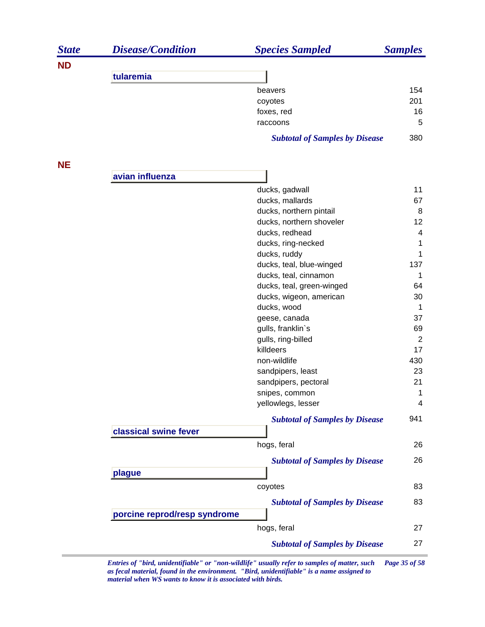| <b>State</b> | <b>Disease/Condition</b>     | <b>Species Sampled</b>                | <b>Samples</b> |
|--------------|------------------------------|---------------------------------------|----------------|
| <b>ND</b>    |                              |                                       |                |
|              | tularemia                    |                                       |                |
|              |                              | beavers                               | 154            |
|              |                              | coyotes                               | 201            |
|              |                              | foxes, red                            | 16             |
|              |                              | raccoons                              | 5              |
|              |                              | <b>Subtotal of Samples by Disease</b> | 380            |
| <b>NE</b>    |                              |                                       |                |
|              | avian influenza              |                                       |                |
|              |                              | ducks, gadwall                        | 11             |
|              |                              | ducks, mallards                       | 67             |
|              |                              | ducks, northern pintail               | 8              |
|              |                              | ducks, northern shoveler              | 12             |
|              |                              | ducks, redhead                        | 4              |
|              |                              | ducks, ring-necked                    | 1              |
|              |                              | ducks, ruddy                          | 1              |
|              |                              | ducks, teal, blue-winged              | 137            |
|              |                              | ducks, teal, cinnamon                 | 1              |
|              |                              | ducks, teal, green-winged             | 64             |
|              |                              | ducks, wigeon, american               | 30             |
|              |                              | ducks, wood                           | $\mathbf 1$    |
|              |                              | geese, canada                         | 37             |
|              |                              | gulls, franklin's                     | 69             |
|              |                              | gulls, ring-billed                    | $\overline{2}$ |
|              |                              | killdeers                             | 17             |
|              |                              | non-wildlife                          | 430            |
|              |                              | sandpipers, least                     | 23             |
|              |                              | sandpipers, pectoral                  | 21             |
|              |                              | snipes, common                        | 1              |
|              |                              | yellowlegs, lesser                    | 4              |
|              | classical swine fever        | <b>Subtotal of Samples by Disease</b> | 941            |
|              |                              | hogs, feral                           | 26             |
|              |                              |                                       |                |
|              | plague                       | <b>Subtotal of Samples by Disease</b> | 26             |
|              |                              | coyotes                               | 83             |
|              |                              | <b>Subtotal of Samples by Disease</b> | 83             |
|              | porcine reprod/resp syndrome |                                       |                |
|              |                              | hogs, feral                           | 27             |
|              |                              | <b>Subtotal of Samples by Disease</b> | 27             |

*Entries of "bird, unidentifiable" or "non-wildlife" usually refer to samples of matter, such Page 35 of 58 as fecal material, found in the environment. "Bird, unidentifiable" is a name assigned to material when WS wants to know it is associated with birds.*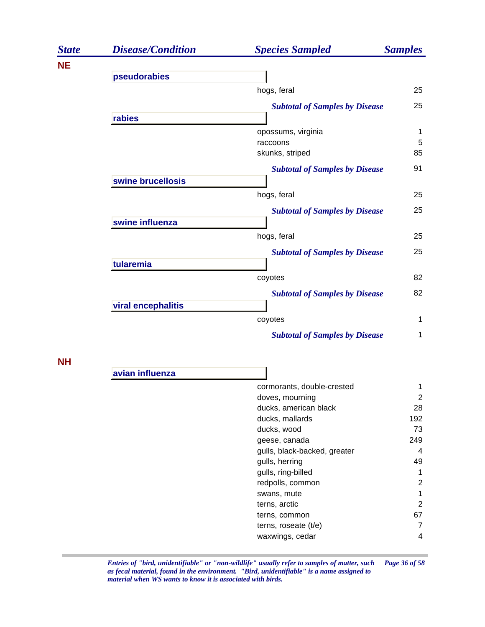| <b>State</b> | <b>Disease/Condition</b> | <b>Species Sampled</b>                | <b>Samples</b> |
|--------------|--------------------------|---------------------------------------|----------------|
| <b>NE</b>    |                          |                                       |                |
|              | pseudorabies             |                                       |                |
|              |                          | hogs, feral                           | 25             |
|              |                          | <b>Subtotal of Samples by Disease</b> | 25             |
|              | rabies                   |                                       |                |
|              |                          | opossums, virginia                    | $\mathbf{1}$   |
|              |                          | raccoons                              | 5              |
|              |                          | skunks, striped                       | 85             |
|              |                          | <b>Subtotal of Samples by Disease</b> | 91             |
|              | swine brucellosis        |                                       |                |
|              |                          | hogs, feral                           | 25             |
|              |                          | <b>Subtotal of Samples by Disease</b> | 25             |
|              | swine influenza          |                                       |                |
|              |                          | hogs, feral                           | 25             |
|              |                          | <b>Subtotal of Samples by Disease</b> | 25             |
|              | tularemia                |                                       |                |
|              |                          | coyotes                               | 82             |
|              |                          | <b>Subtotal of Samples by Disease</b> | 82             |
|              | viral encephalitis       |                                       |                |
|              |                          | coyotes                               | $\mathbf 1$    |
|              |                          | <b>Subtotal of Samples by Disease</b> | 1              |

**NH**

| avian influenza |                              |     |
|-----------------|------------------------------|-----|
|                 | cormorants, double-crested   |     |
|                 | doves, mourning              | 2   |
|                 | ducks, american black        | 28  |
|                 | ducks, mallards              | 192 |
|                 | ducks, wood                  | 73  |
|                 | geese, canada                | 249 |
|                 | gulls, black-backed, greater | 4   |
|                 | gulls, herring               | 49  |
|                 | gulls, ring-billed           |     |
|                 | redpolls, common             | 2   |
|                 | swans, mute                  |     |
|                 | terns, arctic                | 2   |
|                 | terns, common                | 67  |
|                 | terns, roseate $(t/e)$       | 7   |
|                 | waxwings, cedar              | 4   |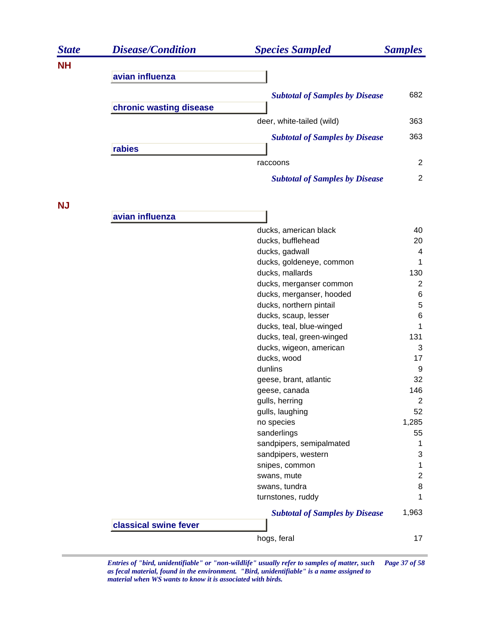| <b>State</b> | <b>Disease/Condition</b> | <b>Species Sampled</b>                | <b>Samples</b> |
|--------------|--------------------------|---------------------------------------|----------------|
| <b>NH</b>    |                          |                                       |                |
|              | avian influenza          |                                       |                |
|              |                          | <b>Subtotal of Samples by Disease</b> | 682            |
|              | chronic wasting disease  |                                       |                |
|              |                          |                                       |                |
|              |                          | deer, white-tailed (wild)             | 363            |
|              |                          | <b>Subtotal of Samples by Disease</b> | 363            |
|              | rabies                   |                                       |                |
|              |                          | raccoons                              | $\overline{2}$ |
|              |                          | <b>Subtotal of Samples by Disease</b> | $\overline{2}$ |
|              |                          |                                       |                |
| <b>NJ</b>    |                          |                                       |                |
|              | avian influenza          |                                       |                |
|              |                          | ducks, american black                 | 40             |
|              |                          | ducks, bufflehead                     | 20             |
|              |                          | ducks, gadwall                        | 4              |
|              |                          | ducks, goldeneye, common              | 1              |
|              |                          | ducks, mallards                       | 130            |
|              |                          | ducks, merganser common               | $\overline{2}$ |
|              |                          | ducks, merganser, hooded              | 6              |
|              |                          | ducks, northern pintail               | 5              |
|              |                          | ducks, scaup, lesser                  | 6              |
|              |                          | ducks, teal, blue-winged              | 1              |
|              |                          | ducks, teal, green-winged             | 131            |
|              |                          | ducks, wigeon, american               | 3              |
|              |                          | ducks, wood                           | 17             |
|              |                          | dunlins                               | 9              |
|              |                          | geese, brant, atlantic                | 32             |
|              |                          | geese, canada                         | 146            |
|              |                          | gulls, herring                        | $\overline{c}$ |
|              |                          | gulls, laughing                       | 52             |
|              |                          | no species                            | 1,285          |
|              |                          | sanderlings                           | 55             |
|              |                          | sandpipers, semipalmated              | 1              |
|              |                          | sandpipers, western                   | 3              |
|              |                          | snipes, common                        | 1              |
|              |                          | swans, mute                           | $\overline{c}$ |
|              |                          | swans, tundra                         | $\,8\,$        |
|              |                          | turnstones, ruddy                     | 1              |
|              |                          | <b>Subtotal of Samples by Disease</b> | 1,963          |
|              | classical swine fever    |                                       |                |
|              |                          | hogs, feral                           | 17             |

*Entries of "bird, unidentifiable" or "non-wildlife" usually refer to samples of matter, such Page 37 of 58 as fecal material, found in the environment. "Bird, unidentifiable" is a name assigned to material when WS wants to know it is associated with birds.*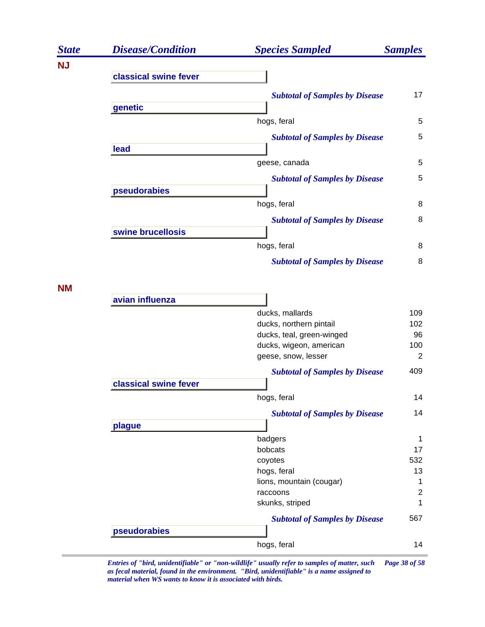| <b>State</b> | <b>Disease/Condition</b> | <b>Species Sampled</b>                         | <b>Samples</b> |
|--------------|--------------------------|------------------------------------------------|----------------|
| <b>NJ</b>    |                          |                                                |                |
|              | classical swine fever    |                                                |                |
|              |                          | <b>Subtotal of Samples by Disease</b>          | 17             |
|              | genetic                  |                                                |                |
|              |                          | hogs, feral                                    | 5              |
|              |                          | <b>Subtotal of Samples by Disease</b>          | 5              |
|              | lead                     |                                                |                |
|              |                          | geese, canada                                  | 5              |
|              |                          | <b>Subtotal of Samples by Disease</b>          | 5              |
|              | pseudorabies             |                                                |                |
|              |                          | hogs, feral                                    | 8              |
|              |                          | <b>Subtotal of Samples by Disease</b>          | 8              |
|              | swine brucellosis        |                                                |                |
|              |                          | hogs, feral                                    | 8              |
|              |                          | <b>Subtotal of Samples by Disease</b>          | 8              |
| <b>NM</b>    |                          |                                                |                |
|              | avian influenza          |                                                |                |
|              |                          | ducks, mallards                                | 109            |
|              |                          | ducks, northern pintail                        | 102            |
|              |                          | ducks, teal, green-winged                      | 96             |
|              |                          | ducks, wigeon, american<br>geese, snow, lesser | 100<br>2       |
|              |                          |                                                | 409            |
|              | classical swine fever    | <b>Subtotal of Samples by Disease</b>          |                |
|              |                          | hogs, feral                                    | 14             |
|              |                          |                                                | 14             |
|              | plague                   | <b>Subtotal of Samples by Disease</b>          |                |
|              |                          | badgers                                        | 1              |
|              |                          | bobcats                                        | 17             |
|              |                          | coyotes                                        | 532            |
|              |                          | hogs, feral                                    | 13             |
|              |                          | lions, mountain (cougar)                       | 1              |
|              |                          | raccoons                                       | $\overline{2}$ |
|              |                          | skunks, striped                                | 1              |
|              |                          | <b>Subtotal of Samples by Disease</b>          | 567            |
|              | pseudorabies             |                                                |                |
|              |                          | hogs, feral                                    | 14             |
|              |                          |                                                |                |

*Entries of "bird, unidentifiable" or "non-wildlife" usually refer to samples of matter, such Page 38 of 58 as fecal material, found in the environment. "Bird, unidentifiable" is a name assigned to material when WS wants to know it is associated with birds.*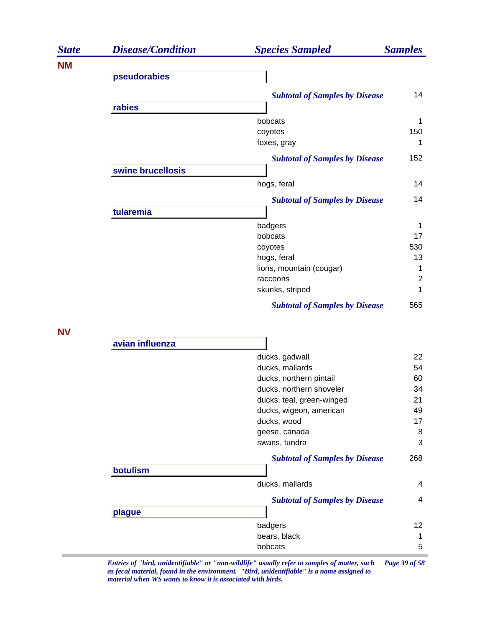| <b>State</b> | <b>Disease/Condition</b> | <b>Species Sampled</b>                | <b>Samples</b> |
|--------------|--------------------------|---------------------------------------|----------------|
| <b>NM</b>    |                          |                                       |                |
|              | pseudorabies             |                                       |                |
|              |                          | <b>Subtotal of Samples by Disease</b> | 14             |
|              | rabies                   |                                       |                |
|              |                          | bobcats                               | 1              |
|              |                          | coyotes                               | 150            |
|              |                          | foxes, gray                           | 1              |
|              |                          | <b>Subtotal of Samples by Disease</b> | 152            |
|              | swine brucellosis        |                                       |                |
|              |                          | hogs, feral                           | 14             |
|              |                          | <b>Subtotal of Samples by Disease</b> | 14             |
|              | tularemia                |                                       |                |
|              |                          | badgers                               | 1              |
|              |                          | bobcats                               | 17             |
|              |                          | coyotes                               | 530            |
|              |                          | hogs, feral                           | 13             |
|              |                          | lions, mountain (cougar)              | 1              |
|              |                          | raccoons                              | $\overline{2}$ |
|              |                          | skunks, striped                       | 1              |
|              |                          | <b>Subtotal of Samples by Disease</b> | 565            |
| <b>NV</b>    |                          |                                       |                |
|              | avian influenza          |                                       |                |
|              |                          | ducks, gadwall                        | 22             |
|              |                          | ducks, mallards                       | 54             |
|              |                          | ducks, northern pintail               | 60             |
|              |                          | ducks, northern shoveler              | 34             |
|              |                          | ducks, teal, green-winged             | 21             |
|              |                          | ducks, wigeon, american               | 49             |
|              |                          | ducks, wood                           | 17             |
|              |                          | geese, canada                         | 8              |
|              |                          | swans, tundra                         | 3              |
|              |                          | <b>Subtotal of Samples by Disease</b> | 268            |
|              | botulism                 |                                       |                |
|              |                          | ducks, mallards                       | 4              |
|              |                          | <b>Subtotal of Samples by Disease</b> | 4              |
|              | plague                   |                                       |                |
|              |                          | badgers                               | 12             |
|              |                          | bears, black                          | 1              |
|              |                          | bobcats                               | 5              |

*Entries of "bird, unidentifiable" or "non-wildlife" usually refer to samples of matter, such Page 39 of 58 as fecal material, found in the environment. "Bird, unidentifiable" is a name assigned to material when WS wants to know it is associated with birds.*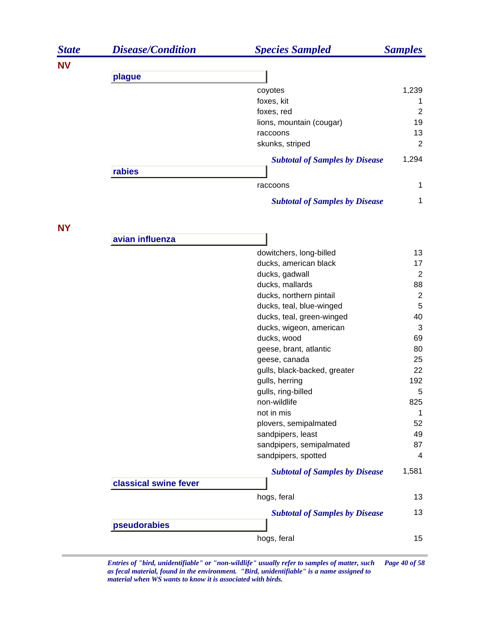| <b>State</b> | <b>Disease/Condition</b> | <b>Species Sampled</b>                | <b>Samples</b> |
|--------------|--------------------------|---------------------------------------|----------------|
| <b>NV</b>    |                          |                                       |                |
|              | plague                   |                                       |                |
|              |                          | coyotes                               | 1,239          |
|              |                          | foxes, kit                            | 1              |
|              |                          | foxes, red                            | $\overline{2}$ |
|              |                          | lions, mountain (cougar)              | 19             |
|              |                          | raccoons                              | 13             |
|              |                          | skunks, striped                       | $\overline{2}$ |
|              | rabies                   | <b>Subtotal of Samples by Disease</b> | 1,294          |
|              |                          | raccoons                              | 1              |
|              |                          | <b>Subtotal of Samples by Disease</b> | $\mathbf 1$    |
| <b>NY</b>    |                          |                                       |                |
|              | avian influenza          |                                       |                |
|              |                          | dowitchers, long-billed               | 13             |
|              |                          | ducks, american black                 | 17             |
|              |                          | ducks, gadwall                        | 2              |
|              |                          | ducks, mallards                       | 88             |
|              |                          | ducks, northern pintail               | $\overline{2}$ |
|              |                          | ducks, teal, blue-winged              | $\sqrt{5}$     |
|              |                          | ducks, teal, green-winged             | 40             |
|              |                          | ducks, wigeon, american               | $\mathbf{3}$   |
|              |                          | ducks, wood                           | 69             |
|              |                          | geese, brant, atlantic                | 80             |
|              |                          | geese, canada                         | 25             |
|              |                          | gulls, black-backed, greater          | 22             |
|              |                          | gulls, herring                        | 192            |
|              |                          | gulls, ring-billed                    | 5              |
|              |                          | non-wildlife                          | 825            |
|              |                          | not in mis                            | 1              |
|              |                          | plovers, semipalmated                 | 52             |
|              |                          | sandpipers, least                     | 49             |
|              |                          | sandpipers, semipalmated              | 87             |
|              |                          | sandpipers, spotted                   | 4              |
|              | classical swine fever    | <b>Subtotal of Samples by Disease</b> | 1,581          |
|              |                          |                                       |                |
|              |                          | hogs, feral                           | 13             |
|              | pseudorabies             | <b>Subtotal of Samples by Disease</b> | 13             |
|              |                          |                                       |                |
|              |                          | hogs, feral                           | 15             |

*Entries of "bird, unidentifiable" or "non-wildlife" usually refer to samples of matter, such Page 40 of 58 as fecal material, found in the environment. "Bird, unidentifiable" is a name assigned to material when WS wants to know it is associated with birds.*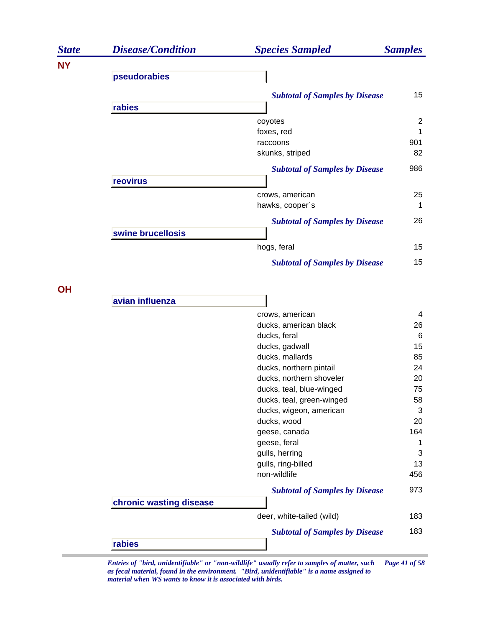| <b>State</b> | <b>Disease/Condition</b> | <b>Species Sampled</b>                               | <b>Samples</b> |
|--------------|--------------------------|------------------------------------------------------|----------------|
| <b>NY</b>    |                          |                                                      |                |
|              | pseudorabies             |                                                      |                |
|              |                          | <b>Subtotal of Samples by Disease</b>                | 15             |
|              | rabies                   |                                                      |                |
|              |                          | coyotes                                              | $\overline{c}$ |
|              |                          | foxes, red                                           | 1              |
|              |                          | raccoons                                             | 901            |
|              |                          | skunks, striped                                      | 82             |
|              |                          | <b>Subtotal of Samples by Disease</b>                | 986            |
|              | reovirus                 |                                                      |                |
|              |                          | crows, american                                      | 25             |
|              |                          | hawks, cooper's                                      | 1              |
|              |                          | <b>Subtotal of Samples by Disease</b>                | 26             |
|              | swine brucellosis        |                                                      |                |
|              |                          | hogs, feral                                          | 15             |
|              |                          | <b>Subtotal of Samples by Disease</b>                | 15             |
| <b>OH</b>    |                          |                                                      |                |
|              | avian influenza          |                                                      |                |
|              |                          | crows, american                                      | 4              |
|              |                          | ducks, american black                                | 26             |
|              |                          | ducks, feral                                         | 6              |
|              |                          | ducks, gadwall                                       | 15             |
|              |                          | ducks, mallards                                      | 85             |
|              |                          | ducks, northern pintail                              | 24             |
|              |                          | ducks, northern shoveler<br>ducks, teal, blue-winged | 20<br>75       |
|              |                          | ducks, teal, green-winged                            | 58             |
|              |                          | ducks, wigeon, american                              | 3              |
|              |                          | ducks, wood                                          | 20             |
|              |                          | geese, canada                                        | 164            |
|              |                          | geese, feral                                         | 1              |
|              |                          | gulls, herring                                       | 3              |
|              |                          | gulls, ring-billed                                   | 13             |
|              |                          | non-wildlife                                         | 456            |
|              |                          | <b>Subtotal of Samples by Disease</b>                | 973            |
|              | chronic wasting disease  |                                                      |                |
|              |                          | deer, white-tailed (wild)                            | 183            |
|              |                          | <b>Subtotal of Samples by Disease</b>                | 183            |
|              | rabies                   |                                                      |                |

*Entries of "bird, unidentifiable" or "non-wildlife" usually refer to samples of matter, such Page 41 of 58 as fecal material, found in the environment. "Bird, unidentifiable" is a name assigned to material when WS wants to know it is associated with birds.*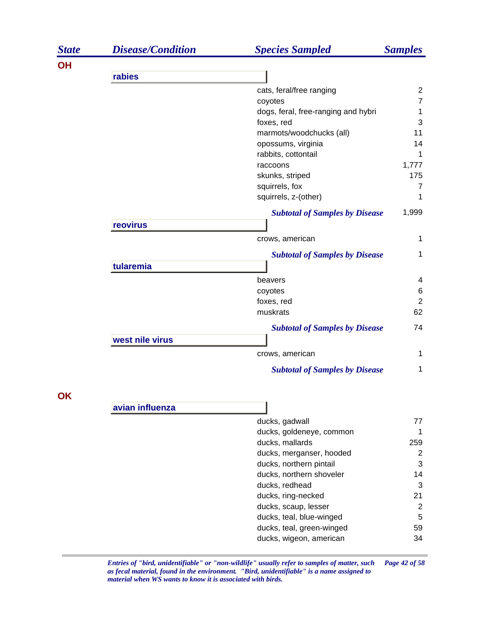| <b>State</b> | <b>Disease/Condition</b> | <b>Species Sampled</b>                | <b>Samples</b> |
|--------------|--------------------------|---------------------------------------|----------------|
| <b>OH</b>    |                          |                                       |                |
|              | rabies                   |                                       |                |
|              |                          | cats, feral/free ranging              | $\overline{c}$ |
|              |                          | coyotes                               | $\overline{7}$ |
|              |                          | dogs, feral, free-ranging and hybri   | 1              |
|              |                          | foxes, red                            | 3              |
|              |                          | marmots/woodchucks (all)              | 11             |
|              |                          | opossums, virginia                    | 14             |
|              |                          | rabbits, cottontail                   | 1              |
|              |                          | raccoons                              | 1,777          |
|              |                          | skunks, striped                       | 175            |
|              |                          | squirrels, fox                        | 7              |
|              |                          | squirrels, z-(other)                  | 1              |
|              |                          | <b>Subtotal of Samples by Disease</b> | 1,999          |
|              | reovirus                 |                                       |                |
|              |                          | crows, american                       | 1              |
|              |                          | <b>Subtotal of Samples by Disease</b> | 1              |
|              | tularemia                |                                       |                |
|              |                          | beavers                               | 4              |
|              |                          | coyotes                               | 6              |
|              |                          | foxes, red                            | $\overline{2}$ |
|              |                          | muskrats                              | 62             |
|              |                          | <b>Subtotal of Samples by Disease</b> | 74             |
|              | west nile virus          |                                       |                |
|              |                          | crows, american                       | 1              |
|              |                          | <b>Subtotal of Samples by Disease</b> | 1              |
| OK           |                          |                                       |                |
|              | avian influenza          |                                       |                |
|              |                          | ducks, gadwall                        | 77             |
|              |                          | ducks, goldeneye, common              | 1              |
|              |                          | ducks, mallards                       | 259            |
|              |                          | ducks, merganser, hooded              | $\overline{c}$ |
|              |                          | ducks, northern pintail               | 3              |
|              |                          | ducks, northern shoveler              | 14             |
|              |                          | ducks, redhead                        | 3              |
|              |                          | ducks, ring-necked                    | 21             |
|              |                          | ducks, scaup, lesser                  | $\overline{2}$ |

*Entries of "bird, unidentifiable" or "non-wildlife" usually refer to samples of matter, such Page 42 of 58 as fecal material, found in the environment. "Bird, unidentifiable" is a name assigned to material when WS wants to know it is associated with birds.* 

ducks, teal, blue-winged 5 ducks, teal, green-winged 59 ducks, wigeon, american and the state 34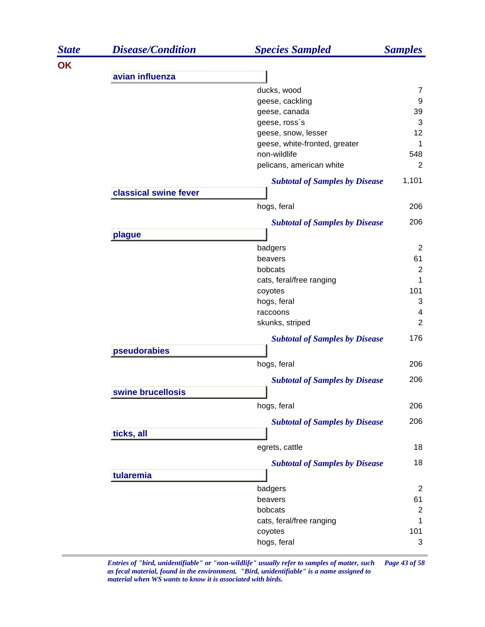| <b>State</b> | <b>Disease/Condition</b> | <b>Species Sampled</b>                | <b>Samples</b> |
|--------------|--------------------------|---------------------------------------|----------------|
| OK           |                          |                                       |                |
|              | avian influenza          |                                       |                |
|              |                          | ducks, wood                           | 7              |
|              |                          | geese, cackling                       | 9              |
|              |                          | geese, canada                         | 39             |
|              |                          | geese, ross's                         | 3              |
|              |                          | geese, snow, lesser                   | 12             |
|              |                          | geese, white-fronted, greater         | 1              |
|              |                          | non-wildlife                          | 548            |
|              |                          | pelicans, american white              | $\overline{2}$ |
|              |                          | <b>Subtotal of Samples by Disease</b> | 1,101          |
|              | classical swine fever    |                                       |                |
|              |                          | hogs, feral                           | 206            |
|              |                          | <b>Subtotal of Samples by Disease</b> | 206            |
|              | plague                   |                                       |                |
|              |                          | badgers                               | $\overline{2}$ |
|              |                          | beavers                               | 61             |
|              |                          | bobcats                               | $\overline{2}$ |
|              |                          | cats, feral/free ranging              | 1              |
|              |                          | coyotes                               | 101            |
|              |                          | hogs, feral                           | 3              |
|              |                          | raccoons                              | 4              |
|              |                          | skunks, striped                       | $\overline{2}$ |
|              |                          | <b>Subtotal of Samples by Disease</b> | 176            |
|              | pseudorabies             |                                       |                |
|              |                          | hogs, feral                           | 206            |
|              |                          | <b>Subtotal of Samples by Disease</b> | 206            |
|              | swine brucellosis        |                                       |                |
|              |                          | hogs, feral                           | 206            |
|              |                          | <b>Subtotal of Samples by Disease</b> | 206            |
|              | ticks, all               |                                       |                |
|              |                          | egrets, cattle                        | 18             |
|              |                          | <b>Subtotal of Samples by Disease</b> | 18             |
|              | tularemia                |                                       |                |
|              |                          | badgers                               | 2              |
|              |                          | beavers                               | 61             |
|              |                          | bobcats                               | 2              |
|              |                          | cats, feral/free ranging              | 1              |
|              |                          | coyotes                               | 101            |
|              |                          | hogs, feral                           | 3              |
|              |                          |                                       |                |

*Entries of "bird, unidentifiable" or "non-wildlife" usually refer to samples of matter, such Page 43 of 58 as fecal material, found in the environment. "Bird, unidentifiable" is a name assigned to material when WS wants to know it is associated with birds.*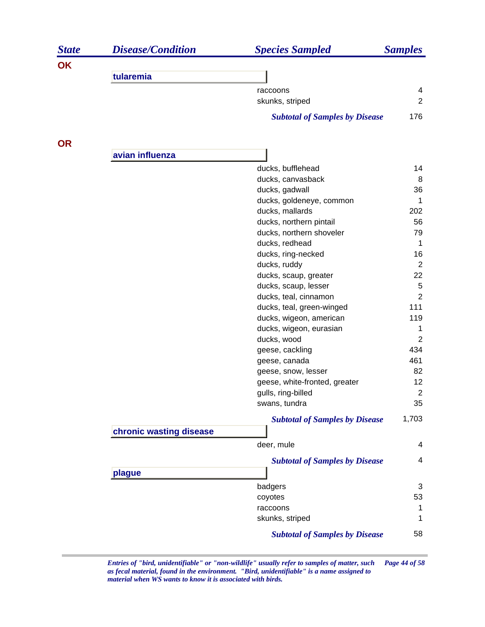| <b>State</b> | <b>Disease/Condition</b> | <b>Species Sampled</b>                | <b>Samples</b>       |
|--------------|--------------------------|---------------------------------------|----------------------|
| OK           |                          |                                       |                      |
|              | tularemia                |                                       |                      |
|              |                          | raccoons                              | 4                    |
|              |                          | skunks, striped                       | $\overline{2}$       |
|              |                          | <b>Subtotal of Samples by Disease</b> | 176                  |
| <b>OR</b>    |                          |                                       |                      |
|              | avian influenza          |                                       |                      |
|              |                          | ducks, bufflehead                     | 14                   |
|              |                          | ducks, canvasback                     | 8                    |
|              |                          | ducks, gadwall                        | 36                   |
|              |                          | ducks, goldeneye, common              | 1                    |
|              |                          | ducks, mallards                       | 202                  |
|              |                          | ducks, northern pintail               | 56                   |
|              |                          | ducks, northern shoveler              | 79                   |
|              |                          | ducks, redhead                        | $\mathbf 1$          |
|              |                          | ducks, ring-necked                    | 16<br>$\overline{2}$ |
|              |                          | ducks, ruddy<br>ducks, scaup, greater | 22                   |
|              |                          | ducks, scaup, lesser                  | 5                    |
|              |                          | ducks, teal, cinnamon                 | $\overline{2}$       |
|              |                          | ducks, teal, green-winged             | 111                  |
|              |                          | ducks, wigeon, american               | 119                  |
|              |                          | ducks, wigeon, eurasian               | 1                    |
|              |                          | ducks, wood                           | $\overline{2}$       |
|              |                          | geese, cackling                       | 434                  |
|              |                          | geese, canada                         | 461                  |
|              |                          | geese, snow, lesser                   | 82                   |
|              |                          | geese, white-fronted, greater         | 12                   |
|              |                          | gulls, ring-billed                    | $\boldsymbol{2}$     |
|              |                          | swans, tundra                         | 35                   |
|              |                          | <b>Subtotal of Samples by Disease</b> | 1,703                |
|              | chronic wasting disease  |                                       |                      |
|              |                          | deer, mule                            | 4                    |
|              |                          | <b>Subtotal of Samples by Disease</b> | 4                    |
|              | plague                   |                                       |                      |
|              |                          | badgers                               | 3                    |
|              |                          | coyotes                               | 53                   |
|              |                          | raccoons                              | 1                    |
|              |                          | skunks, striped                       | 1                    |
|              |                          | <b>Subtotal of Samples by Disease</b> | 58                   |

*Entries of "bird, unidentifiable" or "non-wildlife" usually refer to samples of matter, such Page 44 of 58 as fecal material, found in the environment. "Bird, unidentifiable" is a name assigned to material when WS wants to know it is associated with birds.*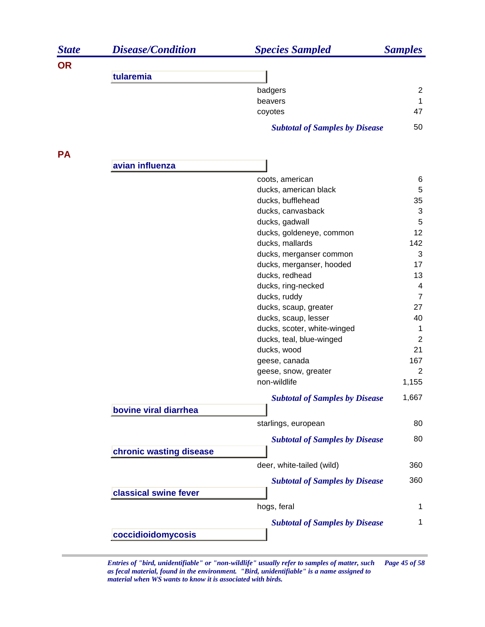| <b>State</b> | <b>Disease/Condition</b> | <b>Species Sampled</b>                     | <b>Samples</b> |
|--------------|--------------------------|--------------------------------------------|----------------|
| <b>OR</b>    |                          |                                            |                |
|              | tularemia                |                                            |                |
|              |                          | badgers                                    | $\overline{2}$ |
|              |                          | beavers                                    | 1              |
|              |                          | coyotes                                    | 47             |
|              |                          | <b>Subtotal of Samples by Disease</b>      | 50             |
| <b>PA</b>    |                          |                                            |                |
|              | avian influenza          |                                            |                |
|              |                          | coots, american                            | 6              |
|              |                          | ducks, american black                      | 5              |
|              |                          | ducks, bufflehead                          | 35             |
|              |                          | ducks, canvasback                          | 3              |
|              |                          | ducks, gadwall                             | 5              |
|              |                          | ducks, goldeneye, common                   | 12             |
|              |                          | ducks, mallards                            | 142            |
|              |                          | ducks, merganser common                    | 3<br>17        |
|              |                          | ducks, merganser, hooded<br>ducks, redhead | 13             |
|              |                          | ducks, ring-necked                         | 4              |
|              |                          | ducks, ruddy                               | $\overline{7}$ |
|              |                          | ducks, scaup, greater                      | 27             |
|              |                          | ducks, scaup, lesser                       | 40             |
|              |                          | ducks, scoter, white-winged                | 1              |
|              |                          | ducks, teal, blue-winged                   | 2              |
|              |                          | ducks, wood                                | 21             |
|              |                          | geese, canada                              | 167            |
|              |                          | geese, snow, greater                       | 2              |
|              |                          | non-wildlife                               | 1,155          |
|              |                          | <b>Subtotal of Samples by Disease</b>      | 1,667          |
|              | bovine viral diarrhea    |                                            |                |
|              |                          | starlings, european                        | 80             |
|              |                          | <b>Subtotal of Samples by Disease</b>      | 80             |
|              | chronic wasting disease  |                                            |                |
|              |                          | deer, white-tailed (wild)                  | 360            |
|              |                          | <b>Subtotal of Samples by Disease</b>      | 360            |
|              | classical swine fever    |                                            |                |
|              |                          | hogs, feral                                | 1              |
|              |                          | <b>Subtotal of Samples by Disease</b>      | 1              |
|              | coccidioidomycosis       |                                            |                |

*Entries of "bird, unidentifiable" or "non-wildlife" usually refer to samples of matter, such Page 45 of 58 as fecal material, found in the environment. "Bird, unidentifiable" is a name assigned to material when WS wants to know it is associated with birds.*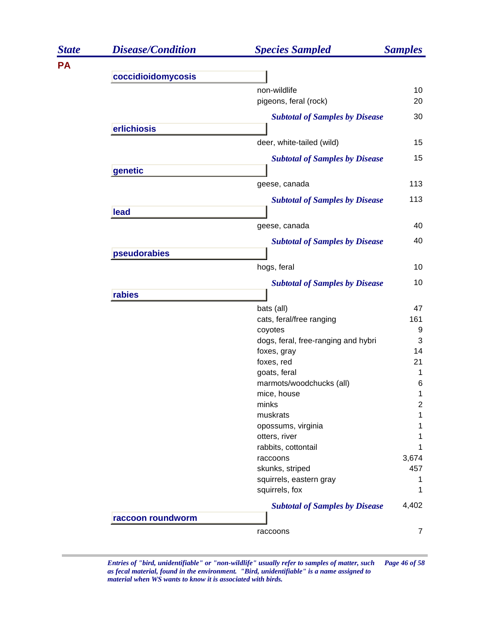| <b>State</b> | <b>Disease/Condition</b> | <b>Species Sampled</b>                | <b>Samples</b> |
|--------------|--------------------------|---------------------------------------|----------------|
| <b>PA</b>    |                          |                                       |                |
|              | coccidioidomycosis       |                                       |                |
|              |                          | non-wildlife                          | 10             |
|              |                          | pigeons, feral (rock)                 | 20             |
|              |                          | <b>Subtotal of Samples by Disease</b> | 30             |
|              | erlichiosis              |                                       |                |
|              |                          | deer, white-tailed (wild)             | 15             |
|              |                          | <b>Subtotal of Samples by Disease</b> | 15             |
|              | genetic                  |                                       |                |
|              |                          | geese, canada                         | 113            |
|              |                          | <b>Subtotal of Samples by Disease</b> | 113            |
|              | lead                     |                                       |                |
|              |                          | geese, canada                         | 40             |
|              |                          | <b>Subtotal of Samples by Disease</b> | 40             |
|              | pseudorabies             |                                       |                |
|              |                          | hogs, feral                           | 10             |
|              |                          | <b>Subtotal of Samples by Disease</b> | 10             |
|              | rabies                   |                                       |                |
|              |                          | bats (all)                            | 47             |
|              |                          | cats, feral/free ranging              | 161            |
|              |                          | coyotes                               | 9              |
|              |                          | dogs, feral, free-ranging and hybri   | 3              |
|              |                          | foxes, gray                           | 14             |
|              |                          | foxes, red                            | 21             |
|              |                          | goats, feral                          | 1              |
|              |                          | marmots/woodchucks (all)              | 6              |
|              |                          | mice, house                           | 1              |
|              |                          | minks<br>muskrats                     | $\mathbf{2}$   |
|              |                          |                                       | 1              |
|              |                          | opossums, virginia<br>otters, river   |                |
|              |                          | rabbits, cottontail                   |                |
|              |                          | raccoons                              | 3,674          |
|              |                          | skunks, striped                       | 457            |
|              |                          | squirrels, eastern gray               | 1              |
|              |                          | squirrels, fox                        |                |
|              |                          | <b>Subtotal of Samples by Disease</b> | 4,402          |
|              | raccoon roundworm        |                                       |                |
|              |                          | raccoons                              | $\overline{7}$ |
|              |                          |                                       |                |

*Entries of "bird, unidentifiable" or "non-wildlife" usually refer to samples of matter, such Page 46 of 58 as fecal material, found in the environment. "Bird, unidentifiable" is a name assigned to material when WS wants to know it is associated with birds.*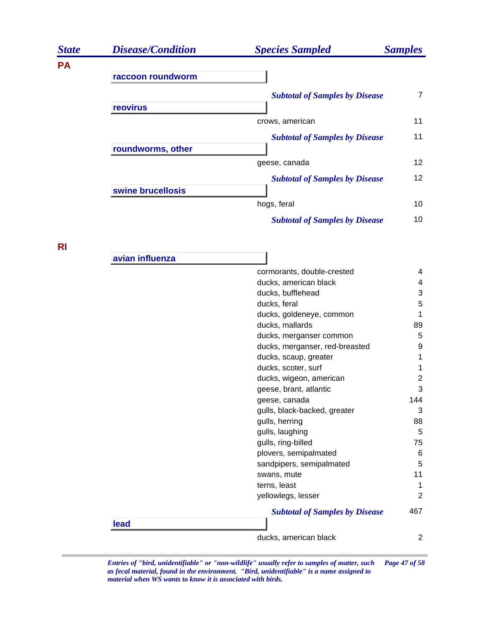| <b>State</b> | <b>Disease/Condition</b> | <b>Species Sampled</b>                | <b>Samples</b>  |
|--------------|--------------------------|---------------------------------------|-----------------|
| <b>PA</b>    |                          |                                       |                 |
|              | raccoon roundworm        |                                       |                 |
|              | reovirus                 | <b>Subtotal of Samples by Disease</b> | 7               |
|              |                          | crows, american                       | 11              |
|              | roundworms, other        | <b>Subtotal of Samples by Disease</b> | 11              |
|              |                          | geese, canada                         | 12 <sup>2</sup> |
|              | swine brucellosis        | <b>Subtotal of Samples by Disease</b> | 12 <sup>2</sup> |
|              |                          | hogs, feral                           | 10              |
|              |                          | <b>Subtotal of Samples by Disease</b> | 10              |

**RI**

|      | ducks, american black                 | $\overline{2}$ |
|------|---------------------------------------|----------------|
| lead | <b>Subtotal of Samples by Disease</b> | 467            |
|      | yellowlegs, lesser                    | $\overline{2}$ |
|      | terns, least                          | 1              |
|      | swans, mute                           | 11             |
|      | sandpipers, semipalmated              | 5              |
|      | plovers, semipalmated                 | 6              |
|      | gulls, ring-billed                    | 75             |
|      | gulls, laughing                       | 5              |
|      | gulls, herring                        | 88             |
|      | gulls, black-backed, greater          | 3              |
|      | geese, canada                         | 144            |
|      | geese, brant, atlantic                | 3              |
|      | ducks, wigeon, american               | 2              |
|      | ducks, scoter, surf                   | 1              |
|      | ducks, scaup, greater                 | 1              |
|      | ducks, merganser, red-breasted        | 9              |
|      | ducks, merganser common               | 5              |
|      | ducks, mallards                       | 89             |
|      | ducks, goldeneye, common              | 1              |
|      | ducks, feral                          | 5              |
|      | ducks, bufflehead                     | 3              |
|      | ducks, american black                 | 4              |
|      | cormorants, double-crested            | 4              |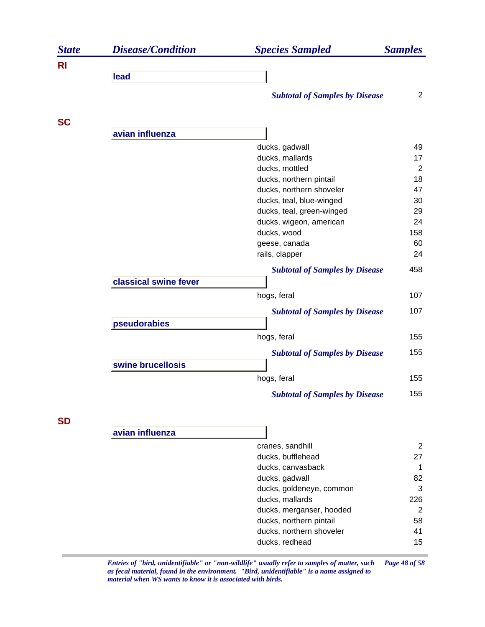| <b>State</b> | <b>Disease/Condition</b> | <b>Species Sampled</b>                | <b>Samples</b> |
|--------------|--------------------------|---------------------------------------|----------------|
| <b>RI</b>    |                          |                                       |                |
|              | lead                     |                                       |                |
|              |                          | <b>Subtotal of Samples by Disease</b> | 2              |
| <b>SC</b>    |                          |                                       |                |
|              | avian influenza          |                                       |                |
|              |                          | ducks, gadwall                        | 49             |
|              |                          | ducks, mallards                       | 17             |
|              |                          | ducks, mottled                        | 2              |
|              |                          | ducks, northern pintail               | 18             |
|              |                          | ducks, northern shoveler              | 47             |
|              |                          | ducks, teal, blue-winged              | 30             |
|              |                          | ducks, teal, green-winged             | 29             |
|              |                          | ducks, wigeon, american               | 24             |
|              |                          | ducks, wood                           | 158<br>60      |
|              |                          | geese, canada<br>rails, clapper       | 24             |
|              |                          |                                       |                |
|              |                          | <b>Subtotal of Samples by Disease</b> | 458            |
|              | classical swine fever    |                                       |                |
|              |                          | hogs, feral                           | 107            |
|              |                          | <b>Subtotal of Samples by Disease</b> | 107            |
|              | pseudorabies             |                                       |                |
|              |                          |                                       | 155            |
|              |                          | hogs, feral                           |                |
|              |                          | <b>Subtotal of Samples by Disease</b> | 155            |
|              | swine brucellosis        |                                       |                |
|              |                          | hogs, feral                           | 155            |
|              |                          | <b>Subtotal of Samples by Disease</b> | 155            |
|              |                          |                                       |                |

**SD**

| avian influenza |  |
|-----------------|--|
|                 |  |

| cranes, sandhill         |     |
|--------------------------|-----|
| ducks, bufflehead        | 27  |
| ducks, canvasback        | 1   |
| ducks, gadwall           | 82  |
| ducks, goldeneye, common | 3   |
| ducks, mallards          | 226 |
| ducks, merganser, hooded | 2   |
| ducks, northern pintail  | 58  |
| ducks, northern shoveler | 41  |
| ducks, redhead           | 15  |

*Entries of "bird, unidentifiable" or "non-wildlife" usually refer to samples of matter, such Page 48 of 58 as fecal material, found in the environment. "Bird, unidentifiable" is a name assigned to material when WS wants to know it is associated with birds.* 

1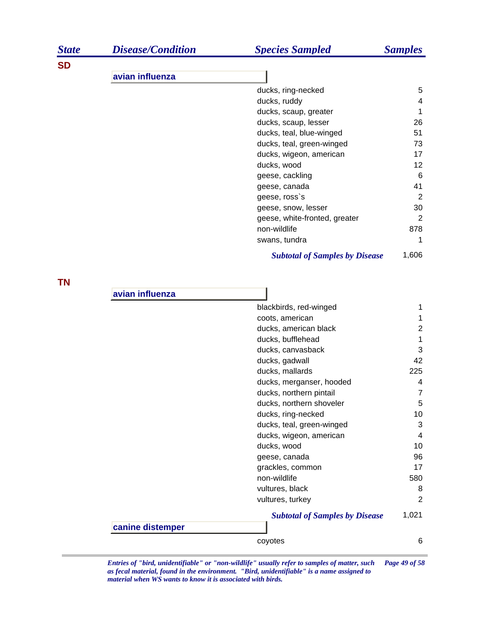| <b>State</b> | <b>Disease/Condition</b> | <b>Species Sampled</b>                | <b>Samples</b> |
|--------------|--------------------------|---------------------------------------|----------------|
| <b>SD</b>    |                          |                                       |                |
|              | avian influenza          |                                       |                |
|              |                          | ducks, ring-necked                    | 5              |
|              |                          | ducks, ruddy                          | 4              |
|              |                          | ducks, scaup, greater                 | 1              |
|              |                          | ducks, scaup, lesser                  | 26             |
|              |                          | ducks, teal, blue-winged              | 51             |
|              |                          | ducks, teal, green-winged             | 73             |
|              |                          | ducks, wigeon, american               | 17             |
|              |                          | ducks, wood                           | 12             |
|              |                          | geese, cackling                       | 6              |
|              |                          | geese, canada                         | 41             |
|              |                          | geese, ross's                         | $\overline{2}$ |
|              |                          | geese, snow, lesser                   | 30             |
|              |                          | geese, white-fronted, greater         | $\overline{2}$ |
|              |                          | non-wildlife                          | 878            |
|              |                          | swans, tundra                         | 1              |
|              |                          | <b>Subtotal of Samples by Disease</b> | 1,606          |
|              |                          |                                       |                |
| <b>TN</b>    | avian influenza          |                                       |                |
|              |                          | blackbirds, red-winged                | 1              |
|              |                          | coots, american                       | 1              |
|              |                          | ducks, american black                 | $\overline{2}$ |
|              |                          | ducks, bufflehead                     | 1              |
|              |                          | ducks, canvasback                     | 3              |
|              |                          | ducks, gadwall                        | 42             |
|              |                          | ducks, mallards                       | 225            |
|              |                          | ducks, merganser, hooded              | 4              |
|              |                          | ducks, northern pintail               | $\overline{7}$ |
|              |                          | ducks, northern shoveler              | 5              |
|              |                          | ducks, ring-necked                    | 10             |
|              |                          | ducks, teal, green-winged             | 3              |
|              |                          | ducks, wigeon, american               | 4              |
|              |                          | ducks, wood                           | 10             |
|              |                          | geese, canada                         | 96             |
|              |                          | grackles, common                      | 17             |
|              |                          | non-wildlife                          | 580            |
|              |                          | vultures, black                       | 8              |
|              |                          | vultures, turkey                      | $\overline{2}$ |
|              |                          | <b>Subtotal of Samples by Disease</b> | 1,021          |
|              | canine distemper         |                                       |                |
|              |                          | coyotes                               | 6              |
|              |                          |                                       |                |

*Entries of "bird, unidentifiable" or "non-wildlife" usually refer to samples of matter, such Page 49 of 58 as fecal material, found in the environment. "Bird, unidentifiable" is a name assigned to material when WS wants to know it is associated with birds.*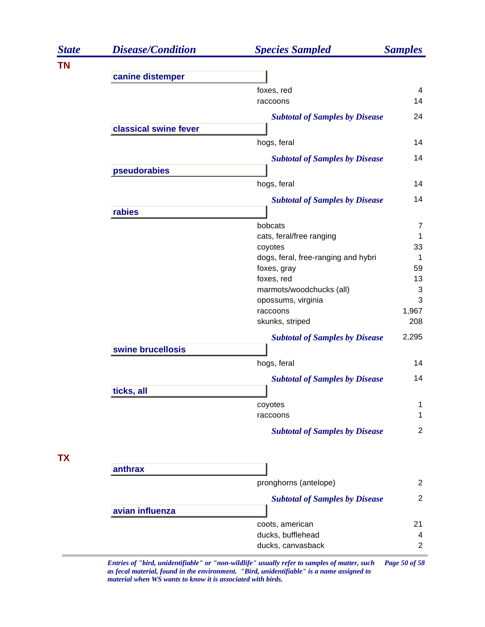| <b>State</b> | <b>Disease/Condition</b> | <b>Species Sampled</b>                                                                       | <b>Samples</b>      |
|--------------|--------------------------|----------------------------------------------------------------------------------------------|---------------------|
| <b>TN</b>    |                          |                                                                                              |                     |
|              | canine distemper         |                                                                                              |                     |
|              |                          | foxes, red                                                                                   | 4                   |
|              |                          | raccoons                                                                                     | 14                  |
|              |                          | <b>Subtotal of Samples by Disease</b>                                                        | 24                  |
|              | classical swine fever    |                                                                                              |                     |
|              |                          | hogs, feral                                                                                  | 14                  |
|              |                          | <b>Subtotal of Samples by Disease</b>                                                        | 14                  |
|              | pseudorabies             |                                                                                              |                     |
|              |                          | hogs, feral                                                                                  | 14                  |
|              |                          | <b>Subtotal of Samples by Disease</b>                                                        | 14                  |
|              | rabies                   |                                                                                              |                     |
|              |                          | bobcats                                                                                      | $\overline{7}$      |
|              |                          | cats, feral/free ranging                                                                     | 1                   |
|              |                          | coyotes                                                                                      | 33                  |
|              |                          | dogs, feral, free-ranging and hybri                                                          | -1                  |
|              |                          | foxes, gray                                                                                  | 59                  |
|              |                          | foxes, red                                                                                   | 13                  |
|              |                          | marmots/woodchucks (all)                                                                     | 3                   |
|              |                          | opossums, virginia                                                                           | 3                   |
|              |                          | raccoons                                                                                     | 1,967               |
|              |                          | skunks, striped                                                                              | 208                 |
|              |                          | <b>Subtotal of Samples by Disease</b>                                                        | 2,295               |
|              | swine brucellosis        |                                                                                              |                     |
|              |                          | hogs, feral                                                                                  | 14                  |
|              |                          | <b>Subtotal of Samples by Disease</b>                                                        | 14                  |
|              | ticks, all               |                                                                                              |                     |
|              |                          | coyotes                                                                                      | 1                   |
|              |                          | raccoons                                                                                     | 1                   |
|              |                          | <b>Subtotal of Samples by Disease</b>                                                        | $\overline{2}$      |
|              |                          |                                                                                              |                     |
| <b>TX</b>    | anthrax                  |                                                                                              |                     |
|              |                          | pronghorns (antelope)                                                                        | $\overline{2}$      |
|              |                          | <b>Subtotal of Samples by Disease</b>                                                        | $\overline{2}$      |
|              | avian influenza          |                                                                                              |                     |
|              |                          |                                                                                              | 21                  |
|              |                          | coots, american                                                                              |                     |
|              |                          | ducks, bufflehead<br>ducks, canvasback                                                       | 4<br>$\overline{2}$ |
|              |                          |                                                                                              |                     |
|              |                          | Entries of "bird, unidentifiable" or "non-wildlife" usually refer to samples of matter, such | Page 50 of 58       |

*as fecal material, found in the environment. "Bird, unidentifiable" is a name assigned to material when WS wants to know it is associated with birds.*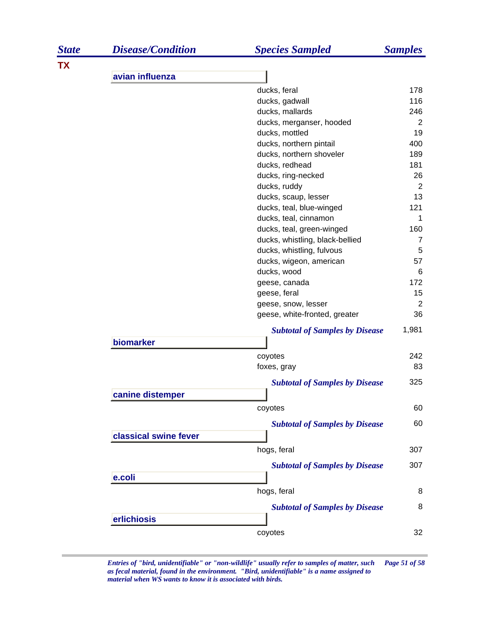| <b>State</b> | <b>Disease/Condition</b> | <b>Species Sampled</b>                                       | <b>Samples</b>        |
|--------------|--------------------------|--------------------------------------------------------------|-----------------------|
| <b>TX</b>    |                          |                                                              |                       |
|              | avian influenza          |                                                              |                       |
|              |                          | ducks, feral                                                 | 178                   |
|              |                          | ducks, gadwall                                               | 116                   |
|              |                          | ducks, mallards                                              | 246                   |
|              |                          | ducks, merganser, hooded                                     | 2                     |
|              |                          | ducks, mottled                                               | 19                    |
|              |                          | ducks, northern pintail                                      | 400                   |
|              |                          | ducks, northern shoveler                                     | 189                   |
|              |                          | ducks, redhead                                               | 181                   |
|              |                          | ducks, ring-necked                                           | 26                    |
|              |                          | ducks, ruddy                                                 | 2                     |
|              |                          | ducks, scaup, lesser                                         | 13                    |
|              |                          | ducks, teal, blue-winged                                     | 121                   |
|              |                          | ducks, teal, cinnamon                                        | 1                     |
|              |                          | ducks, teal, green-winged<br>ducks, whistling, black-bellied | 160<br>$\overline{7}$ |
|              |                          | ducks, whistling, fulvous                                    | 5                     |
|              |                          | ducks, wigeon, american                                      | 57                    |
|              |                          | ducks, wood                                                  | 6                     |
|              |                          | geese, canada                                                | 172                   |
|              |                          | geese, feral                                                 | 15                    |
|              |                          | geese, snow, lesser                                          | $\overline{2}$        |
|              |                          | geese, white-fronted, greater                                | 36                    |
|              |                          | <b>Subtotal of Samples by Disease</b>                        | 1,981                 |
|              | biomarker                |                                                              |                       |
|              |                          | coyotes                                                      | 242                   |
|              |                          | foxes, gray                                                  | 83                    |
|              |                          | <b>Subtotal of Samples by Disease</b>                        | 325                   |
|              | canine distemper         |                                                              |                       |
|              |                          | coyotes                                                      | 60                    |
|              |                          | <b>Subtotal of Samples by Disease</b>                        | 60                    |
|              | classical swine fever    |                                                              |                       |
|              |                          | hogs, feral                                                  | 307                   |
|              |                          |                                                              |                       |
|              |                          | <b>Subtotal of Samples by Disease</b>                        | 307                   |
|              | e.coli                   |                                                              |                       |
|              |                          | hogs, feral                                                  | 8                     |
|              |                          | <b>Subtotal of Samples by Disease</b>                        | 8                     |
|              | erlichiosis              |                                                              |                       |
|              |                          | coyotes                                                      | 32                    |

*Entries of "bird, unidentifiable" or "non-wildlife" usually refer to samples of matter, such Page 51 of 58 as fecal material, found in the environment. "Bird, unidentifiable" is a name assigned to material when WS wants to know it is associated with birds.*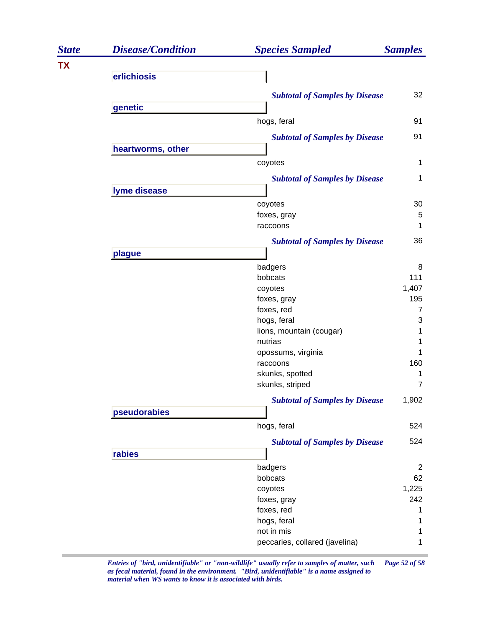| <b>State</b> | <b>Disease/Condition</b> | <b>Species Sampled</b>                | <b>Samples</b> |
|--------------|--------------------------|---------------------------------------|----------------|
| <b>TX</b>    |                          |                                       |                |
|              | erlichiosis              |                                       |                |
|              |                          | <b>Subtotal of Samples by Disease</b> | 32             |
|              | genetic                  |                                       |                |
|              |                          | hogs, feral                           | 91             |
|              |                          | <b>Subtotal of Samples by Disease</b> | 91             |
|              | heartworms, other        |                                       |                |
|              |                          | coyotes                               | $\mathbf 1$    |
|              |                          | <b>Subtotal of Samples by Disease</b> | 1              |
|              | lyme disease             |                                       |                |
|              |                          | coyotes                               | 30             |
|              |                          | foxes, gray                           | 5              |
|              |                          | raccoons                              | 1              |
|              |                          | <b>Subtotal of Samples by Disease</b> | 36             |
|              | plague                   |                                       |                |
|              |                          | badgers                               | 8              |
|              |                          | bobcats                               | 111            |
|              |                          | coyotes                               | 1,407          |
|              |                          | foxes, gray                           | 195            |
|              |                          | foxes, red                            | 7              |
|              |                          | hogs, feral                           | 3              |
|              |                          | lions, mountain (cougar)              | 1              |
|              |                          | nutrias                               | 1              |
|              |                          | opossums, virginia                    | 1              |
|              |                          | raccoons                              | 160            |
|              |                          | skunks, spotted                       | 1              |
|              |                          | skunks, striped                       | $\overline{7}$ |
|              |                          | <b>Subtotal of Samples by Disease</b> | 1,902          |
|              | pseudorabies             |                                       |                |
|              |                          | hogs, feral                           | 524            |
|              |                          | <b>Subtotal of Samples by Disease</b> | 524            |
|              | rabies                   |                                       |                |
|              |                          | badgers                               | $\overline{2}$ |
|              |                          | bobcats                               | 62             |
|              |                          | coyotes                               | 1,225          |
|              |                          | foxes, gray                           | 242            |
|              |                          | foxes, red                            | 1              |
|              |                          | hogs, feral                           | 1              |
|              |                          | not in mis                            | 1              |
|              |                          | peccaries, collared (javelina)        | 1              |
|              |                          |                                       |                |

*Entries of "bird, unidentifiable" or "non-wildlife" usually refer to samples of matter, such Page 52 of 58 as fecal material, found in the environment. "Bird, unidentifiable" is a name assigned to material when WS wants to know it is associated with birds.*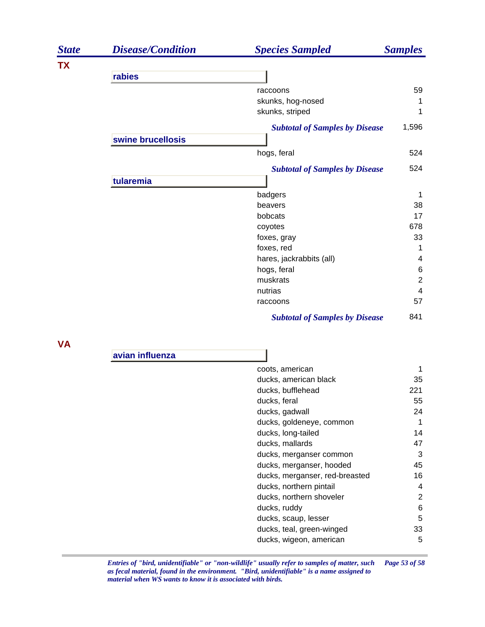| <b>State</b> | <b>Disease/Condition</b> | <b>Species Sampled</b>                     | <b>Samples</b>      |
|--------------|--------------------------|--------------------------------------------|---------------------|
| <b>TX</b>    |                          |                                            |                     |
|              | rabies                   |                                            |                     |
|              |                          | raccoons                                   | 59                  |
|              |                          | skunks, hog-nosed                          | 1                   |
|              |                          | skunks, striped                            | 1                   |
|              |                          | <b>Subtotal of Samples by Disease</b>      | 1,596               |
|              | swine brucellosis        |                                            |                     |
|              |                          | hogs, feral                                | 524                 |
|              |                          | <b>Subtotal of Samples by Disease</b>      | 524                 |
|              | tularemia                |                                            |                     |
|              |                          | badgers                                    | 1                   |
|              |                          | beavers                                    | 38                  |
|              |                          | bobcats                                    | 17                  |
|              |                          | coyotes                                    | 678                 |
|              |                          | foxes, gray                                | 33                  |
|              |                          | foxes, red                                 | 1                   |
|              |                          | hares, jackrabbits (all)                   | 4                   |
|              |                          | hogs, feral<br>muskrats                    | 6<br>$\overline{2}$ |
|              |                          | nutrias                                    | 4                   |
|              |                          | raccoons                                   | 57                  |
|              |                          | <b>Subtotal of Samples by Disease</b>      | 841                 |
|              |                          |                                            |                     |
| <b>VA</b>    |                          |                                            |                     |
|              | avian influenza          |                                            |                     |
|              |                          | coots, american                            | 1                   |
|              |                          | ducks, american black                      | 35                  |
|              |                          | ducks, bufflehead                          | 221                 |
|              |                          | ducks, feral                               | 55                  |
|              |                          | ducks, gadwall                             | 24                  |
|              |                          | ducks, goldeneye, common                   | $\mathbf{1}$        |
|              |                          | ducks, long-tailed                         | 14                  |
|              |                          | ducks, mallards<br>ducks, merganser common | 47<br>3             |
|              |                          | ducks, merganser, hooded                   | 45                  |
|              |                          | ducks, merganser, red-breasted             | 16                  |
|              |                          | ducks, northern pintail                    | 4                   |
|              |                          | ducks, northern shoveler                   | $\overline{c}$      |
|              |                          | ducks, ruddy                               | 6                   |
|              |                          | ducks, scaup, lesser                       | 5                   |
|              |                          | ducks, teal, green-winged                  | 33                  |
|              |                          | ducks, wigeon, american                    | 5                   |
|              |                          |                                            |                     |

*Entries of "bird, unidentifiable" or "non-wildlife" usually refer to samples of matter, such Page 53 of 58 as fecal material, found in the environment. "Bird, unidentifiable" is a name assigned to material when WS wants to know it is associated with birds.*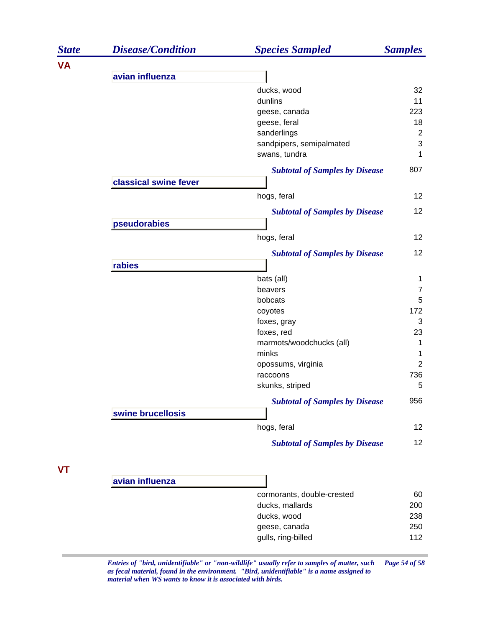| <b>State</b> | <b>Disease/Condition</b> | <b>Species Sampled</b>                        | <b>Samples</b>  |
|--------------|--------------------------|-----------------------------------------------|-----------------|
| <b>VA</b>    |                          |                                               |                 |
|              | avian influenza          |                                               |                 |
|              |                          | ducks, wood                                   | 32              |
|              |                          | dunlins                                       | 11              |
|              |                          | geese, canada                                 | 223             |
|              |                          | geese, feral                                  | 18              |
|              |                          | sanderlings                                   | $\overline{c}$  |
|              |                          | sandpipers, semipalmated                      | 3               |
|              |                          | swans, tundra                                 | 1               |
|              |                          | <b>Subtotal of Samples by Disease</b>         | 807             |
|              | classical swine fever    |                                               |                 |
|              |                          | hogs, feral                                   | 12              |
|              |                          | <b>Subtotal of Samples by Disease</b>         | 12              |
|              | pseudorabies             |                                               |                 |
|              |                          | hogs, feral                                   | 12              |
|              |                          | <b>Subtotal of Samples by Disease</b>         | 12              |
|              | rabies                   |                                               |                 |
|              |                          | bats (all)                                    | 1               |
|              |                          | beavers                                       | $\overline{7}$  |
|              |                          | bobcats                                       | 5               |
|              |                          | coyotes                                       | 172             |
|              |                          | foxes, gray                                   | 3               |
|              |                          | foxes, red                                    | 23              |
|              |                          | marmots/woodchucks (all)                      | 1               |
|              |                          | minks                                         | 1               |
|              |                          | opossums, virginia                            | $\overline{2}$  |
|              |                          | raccoons                                      | 736             |
|              |                          | skunks, striped                               | 5               |
|              |                          | <b>Subtotal of Samples by Disease</b>         | 956             |
|              | swine brucellosis        |                                               |                 |
|              |                          | hogs, feral                                   | 12              |
|              |                          | <b>Subtotal of Samples by Disease</b>         | 12 <sup>2</sup> |
|              |                          |                                               |                 |
| VT           | avian influenza          |                                               |                 |
|              |                          |                                               | 60              |
|              |                          | cormorants, double-crested<br>ducks, mallards | 200             |
|              |                          | ducks, wood                                   | 238             |
|              |                          | geese, canada                                 | 250             |
|              |                          | gulls, ring-billed                            | 112             |
|              |                          |                                               |                 |

*Entries of "bird, unidentifiable" or "non-wildlife" usually refer to samples of matter, such Page 54 of 58 as fecal material, found in the environment. "Bird, unidentifiable" is a name assigned to material when WS wants to know it is associated with birds.*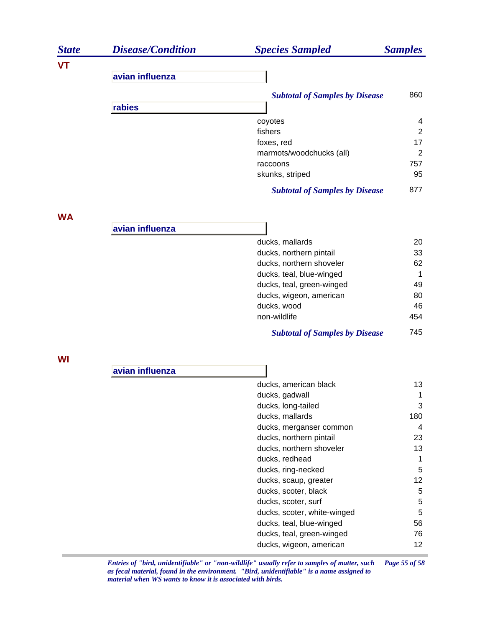| <b>State</b> | <b>Disease/Condition</b> | <b>Species Sampled</b>                                | <b>Samples</b>  |
|--------------|--------------------------|-------------------------------------------------------|-----------------|
| VT           |                          |                                                       |                 |
|              | avian influenza          |                                                       |                 |
|              |                          | <b>Subtotal of Samples by Disease</b>                 | 860             |
|              | rabies                   |                                                       |                 |
|              |                          | coyotes                                               | 4               |
|              |                          | fishers                                               | $\overline{2}$  |
|              |                          | foxes, red                                            | 17              |
|              |                          | marmots/woodchucks (all)                              | 2               |
|              |                          | raccoons                                              | 757             |
|              |                          | skunks, striped                                       | 95              |
|              |                          | <b>Subtotal of Samples by Disease</b>                 | 877             |
| <b>WA</b>    |                          |                                                       |                 |
|              | avian influenza          |                                                       |                 |
|              |                          | ducks, mallards                                       | 20              |
|              |                          | ducks, northern pintail                               | 33              |
|              |                          | ducks, northern shoveler                              | 62              |
|              |                          | ducks, teal, blue-winged<br>ducks, teal, green-winged | 1<br>49         |
|              |                          | ducks, wigeon, american                               | 80              |
|              |                          | ducks, wood                                           | 46              |
|              |                          | non-wildlife                                          | 454             |
|              |                          | <b>Subtotal of Samples by Disease</b>                 | 745             |
| WI           |                          |                                                       |                 |
|              | avian influenza          |                                                       |                 |
|              |                          | ducks, american black                                 | 13              |
|              |                          | ducks, gadwall                                        | 1               |
|              |                          | ducks, long-tailed                                    | 3               |
|              |                          | ducks, mallards                                       | 180             |
|              |                          | ducks, merganser common                               | 4               |
|              |                          | ducks, northern pintail                               | 23              |
|              |                          | ducks, northern shoveler                              | 13              |
|              |                          | ducks, redhead                                        | 1<br>5          |
|              |                          | ducks, ring-necked<br>ducks, scaup, greater           | 12              |
|              |                          | ducks, scoter, black                                  | $\mathbf 5$     |
|              |                          | ducks, scoter, surf                                   | $\mathbf 5$     |
|              |                          | ducks, scoter, white-winged                           | $\mathbf 5$     |
|              |                          | ducks, teal, blue-winged                              | 56              |
|              |                          | ducks, teal, green-winged                             | 76              |
|              |                          | ducks, wigeon, american                               | 12 <sub>2</sub> |

*Entries of "bird, unidentifiable" or "non-wildlife" usually refer to samples of matter, such Page 55 of 58 as fecal material, found in the environment. "Bird, unidentifiable" is a name assigned to material when WS wants to know it is associated with birds.*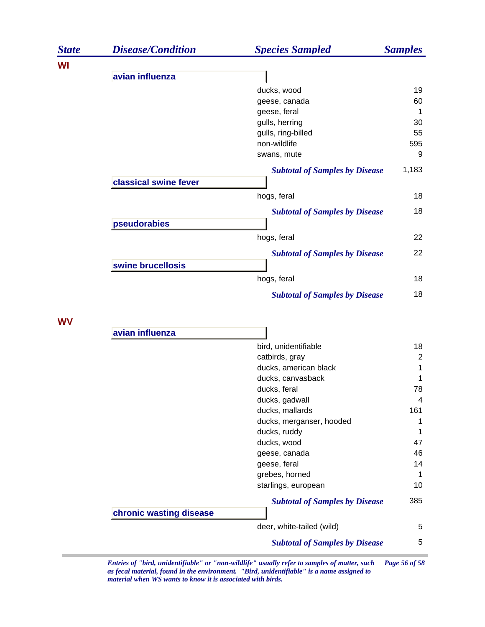| <b>State</b> | <b>Disease/Condition</b> | <b>Species Sampled</b>                | <b>Samples</b> |
|--------------|--------------------------|---------------------------------------|----------------|
| WI           |                          |                                       |                |
|              | avian influenza          |                                       |                |
|              |                          | ducks, wood                           | 19             |
|              |                          | geese, canada                         | 60             |
|              |                          | geese, feral                          | 1              |
|              |                          | gulls, herring                        | 30             |
|              |                          | gulls, ring-billed                    | 55             |
|              |                          | non-wildlife                          | 595            |
|              |                          | swans, mute                           | 9              |
|              |                          | <b>Subtotal of Samples by Disease</b> | 1,183          |
|              | classical swine fever    |                                       |                |
|              |                          | hogs, feral                           | 18             |
|              |                          | <b>Subtotal of Samples by Disease</b> | 18             |
|              | pseudorabies             |                                       |                |
|              |                          | hogs, feral                           | 22             |
|              |                          | <b>Subtotal of Samples by Disease</b> | 22             |
|              | swine brucellosis        |                                       |                |
|              |                          | hogs, feral                           | 18             |
|              |                          | <b>Subtotal of Samples by Disease</b> | 18             |
| <b>WV</b>    |                          |                                       |                |
|              | avian influenza          |                                       |                |
|              |                          | bird, unidentifiable                  | 18             |
|              |                          | catbirds, gray                        | $\overline{2}$ |
|              |                          | ducks, american black                 | 1              |
|              |                          | ducks, canvasback                     | 1              |
|              |                          | ducks, feral                          | 78             |
|              |                          | ducks, gadwall                        | 4              |
|              |                          | ducks, mallards                       | 161            |
|              |                          | ducks, merganser, hooded              | 1              |
|              |                          | ducks, ruddy                          | 1              |
|              |                          | ducks, wood                           | 47             |
|              |                          | geese, canada                         | 46             |
|              |                          | geese, feral                          | 14             |
|              |                          | grebes, horned                        | 1              |
|              |                          | starlings, european                   | 10             |
|              |                          | <b>Subtotal of Samples by Disease</b> | 385            |
|              | chronic wasting disease  |                                       |                |

deer, white-tailed (wild) 5 *Subtotal of Samples by Disease* 5

*Entries of "bird, unidentifiable" or "non-wildlife" usually refer to samples of matter, such Page 56 of 58 as fecal material, found in the environment. "Bird, unidentifiable" is a name assigned to material when WS wants to know it is associated with birds.*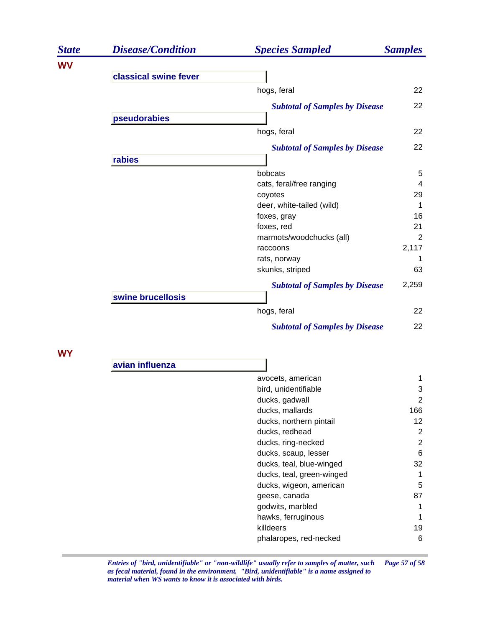| <b>State</b> | <b>Disease/Condition</b> | <b>Species Sampled</b>                | <b>Samples</b> |
|--------------|--------------------------|---------------------------------------|----------------|
| <b>WV</b>    |                          |                                       |                |
|              | classical swine fever    |                                       |                |
|              |                          | hogs, feral                           | 22             |
|              |                          | <b>Subtotal of Samples by Disease</b> | 22             |
|              | pseudorabies             |                                       |                |
|              |                          | hogs, feral                           | 22             |
|              |                          | <b>Subtotal of Samples by Disease</b> | 22             |
|              | rabies                   |                                       |                |
|              |                          | bobcats                               | 5              |
|              |                          | cats, feral/free ranging              | $\overline{4}$ |
|              |                          | coyotes                               | 29             |
|              |                          | deer, white-tailed (wild)             | 1              |
|              |                          | foxes, gray                           | 16             |
|              |                          | foxes, red                            | 21             |
|              |                          | marmots/woodchucks (all)              | 2              |
|              |                          | raccoons                              | 2,117          |
|              |                          | rats, norway                          |                |
|              |                          | skunks, striped                       | 63             |
|              |                          | <b>Subtotal of Samples by Disease</b> | 2,259          |
|              | swine brucellosis        |                                       |                |
|              |                          | hogs, feral                           | 22             |
|              |                          | <b>Subtotal of Samples by Disease</b> | 22             |
| WY           |                          |                                       |                |
|              | avian influenza          |                                       |                |

| 7011 88800114 |                           |                |
|---------------|---------------------------|----------------|
|               | avocets, american         |                |
|               | bird, unidentifiable      | 3              |
|               | ducks, gadwall            | $\overline{2}$ |
|               | ducks, mallards           | 166            |
|               | ducks, northern pintail   | 12             |
|               | ducks, redhead            | 2              |
|               | ducks, ring-necked        | 2              |
|               | ducks, scaup, lesser      | 6              |
|               | ducks, teal, blue-winged  | 32             |
|               | ducks, teal, green-winged | 1              |
|               | ducks, wigeon, american   | 5              |
|               | geese, canada             | 87             |
|               | godwits, marbled          | 1              |
|               | hawks, ferruginous        | 1              |
|               | killdeers                 | 19             |
|               | phalaropes, red-necked    | 6              |
|               |                           |                |

*Entries of "bird, unidentifiable" or "non-wildlife" usually refer to samples of matter, such Page 57 of 58 as fecal material, found in the environment. "Bird, unidentifiable" is a name assigned to material when WS wants to know it is associated with birds.*